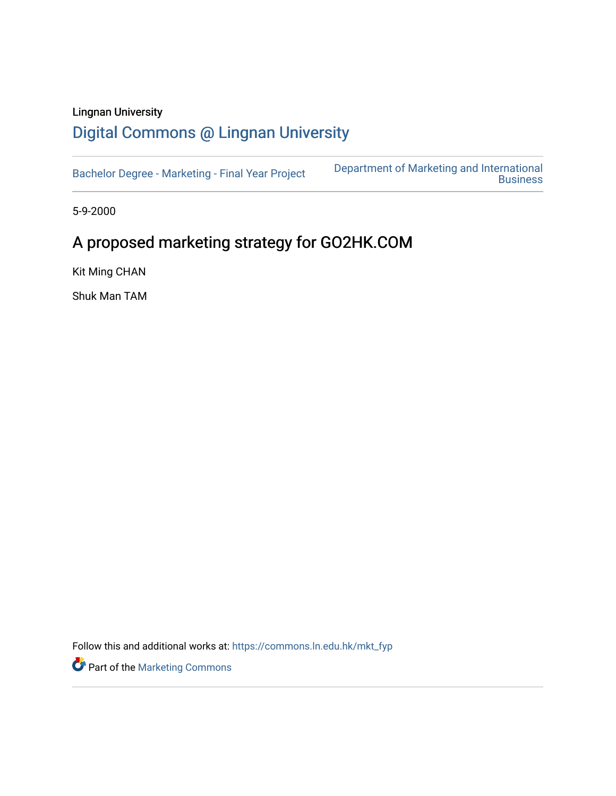# Lingnan University [Digital Commons @ Lingnan University](https://commons.ln.edu.hk/)

[Bachelor Degree - Marketing - Final Year Project](https://commons.ln.edu.hk/mkt_fyp) [Department of Marketing and International](https://commons.ln.edu.hk/mkt)  **Business** 

5-9-2000

# A proposed marketing strategy for GO2HK.COM

Kit Ming CHAN

Shuk Man TAM

Follow this and additional works at: [https://commons.ln.edu.hk/mkt\\_fyp](https://commons.ln.edu.hk/mkt_fyp?utm_source=commons.ln.edu.hk%2Fmkt_fyp%2F11&utm_medium=PDF&utm_campaign=PDFCoverPages) 

Part of the [Marketing Commons](http://network.bepress.com/hgg/discipline/638?utm_source=commons.ln.edu.hk%2Fmkt_fyp%2F11&utm_medium=PDF&utm_campaign=PDFCoverPages)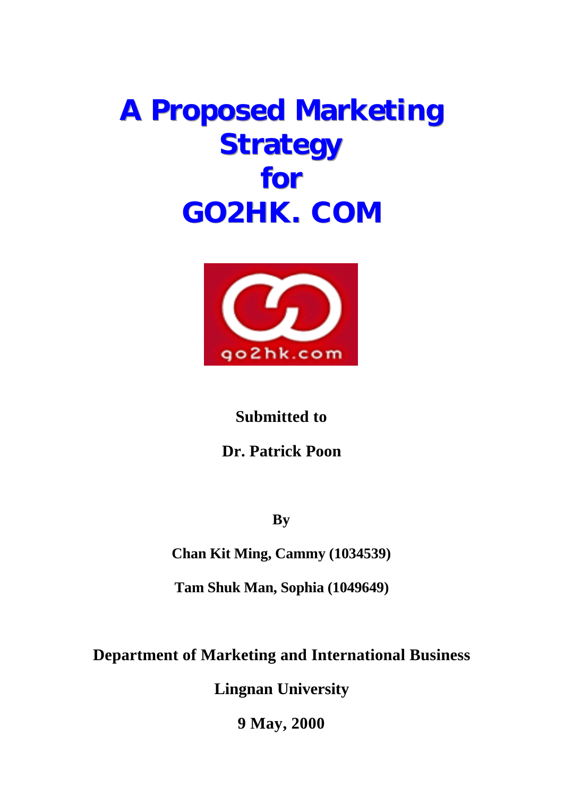# **A Proposed Marketing Strategy for GO2HK. COM**



**Submitted to** 

**Dr. Patrick Poon**

**By** 

**Chan Kit Ming, Cammy (1034539)**

**Tam Shuk Man, Sophia (1049649)**

**Department of Marketing and International Business**

**Lingnan University**

**9 May, 2000**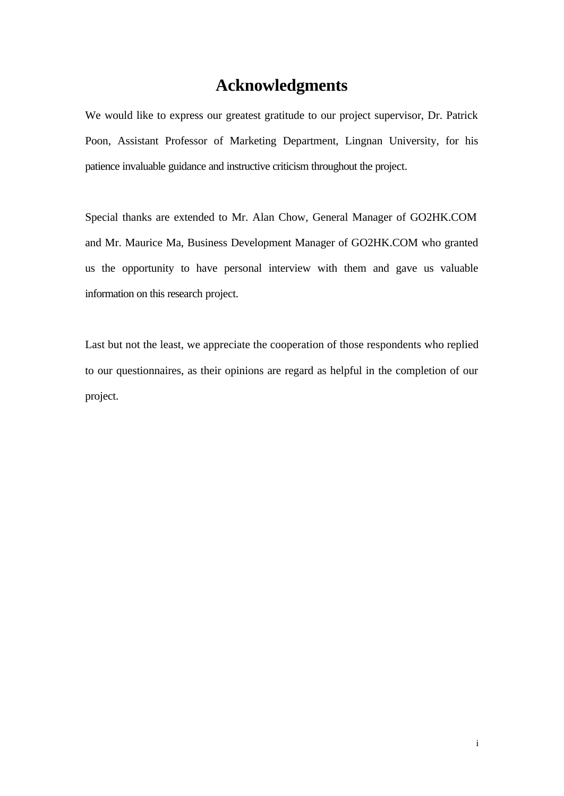# **Acknowledgments**

We would like to express our greatest gratitude to our project supervisor, Dr. Patrick Poon, Assistant Professor of Marketing Department, Lingnan University, for his patience invaluable guidance and instructive criticism throughout the project.

Special thanks are extended to Mr. Alan Chow, General Manager of GO2HK.COM and Mr. Maurice Ma, Business Development Manager of GO2HK.COM who granted us the opportunity to have personal interview with them and gave us valuable information on this research project.

Last but not the least, we appreciate the cooperation of those respondents who replied to our questionnaires, as their opinions are regard as helpful in the completion of our project.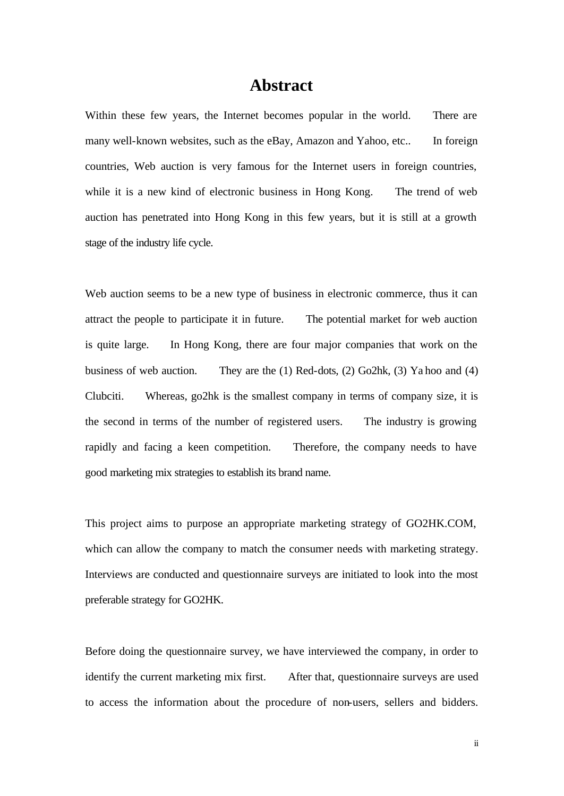# **Abstract**

Within these few years, the Internet becomes popular in the world. There are many well-known websites, such as the eBay, Amazon and Yahoo, etc.. In foreign countries, Web auction is very famous for the Internet users in foreign countries, while it is a new kind of electronic business in Hong Kong. The trend of web auction has penetrated into Hong Kong in this few years, but it is still at a growth stage of the industry life cycle.

Web auction seems to be a new type of business in electronic commerce, thus it can attract the people to participate it in future. The potential market for web auction is quite large. In Hong Kong, there are four major companies that work on the business of web auction. They are the (1) Red-dots, (2) Go2hk, (3) Ya hoo and (4) Clubciti. Whereas, go2hk is the smallest company in terms of company size, it is the second in terms of the number of registered users. The industry is growing rapidly and facing a keen competition. Therefore, the company needs to have good marketing mix strategies to establish its brand name.

This project aims to purpose an appropriate marketing strategy of GO2HK.COM, which can allow the company to match the consumer needs with marketing strategy. Interviews are conducted and questionnaire surveys are initiated to look into the most preferable strategy for GO2HK.

Before doing the questionnaire survey, we have interviewed the company, in order to identify the current marketing mix first. After that, questionnaire surveys are used to access the information about the procedure of non-users, sellers and bidders.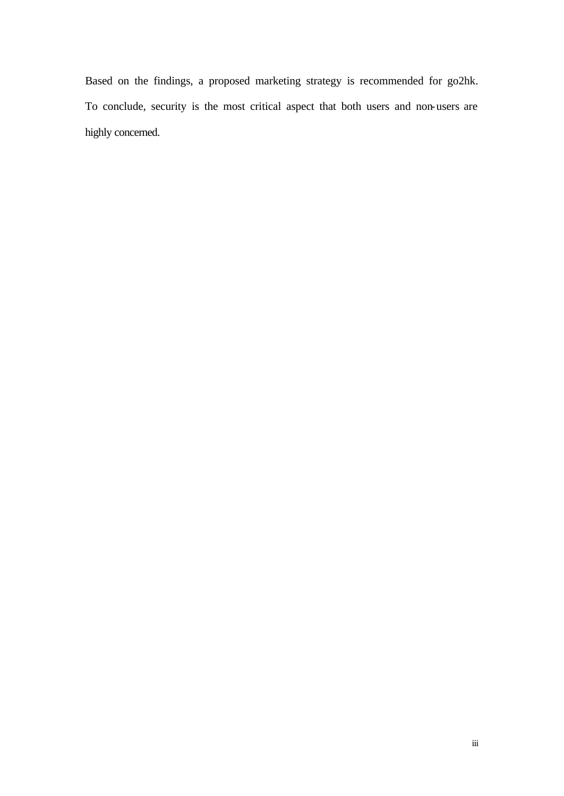Based on the findings, a proposed marketing strategy is recommended for go2hk. To conclude, security is the most critical aspect that both users and non-users are highly concerned.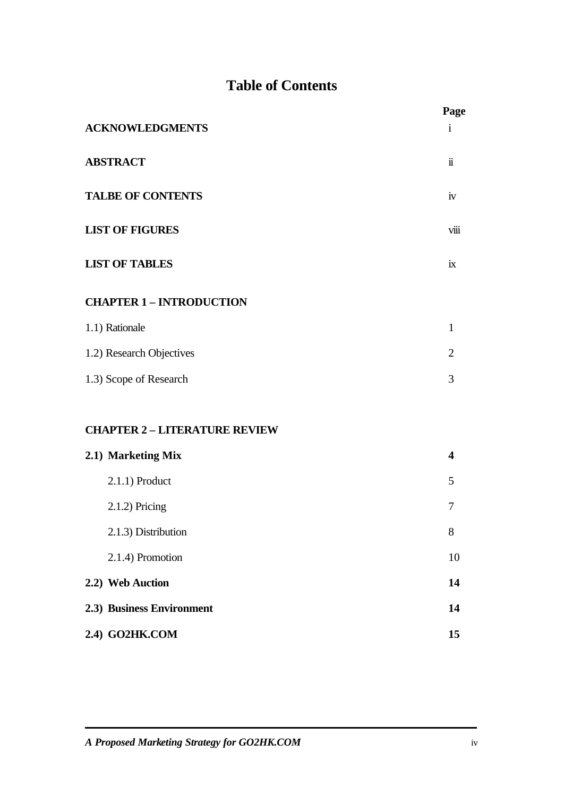# **Table of Contents**

|                                      | Page                |
|--------------------------------------|---------------------|
| <b>ACKNOWLEDGMENTS</b>               | $\mathbf{1}$        |
| <b>ABSTRACT</b>                      | $\ddot{\mathbf{i}}$ |
| <b>TALBE OF CONTENTS</b>             | iv                  |
| <b>LIST OF FIGURES</b>               | viii                |
| <b>LIST OF TABLES</b>                | ix                  |
| <b>CHAPTER 1 - INTRODUCTION</b>      |                     |
| 1.1) Rationale                       | $\mathbf{1}$        |
| 1.2) Research Objectives             | $\overline{2}$      |
| 1.3) Scope of Research               | 3                   |
| <b>CHAPTER 2 - LITERATURE REVIEW</b> |                     |
| 2.1) Marketing Mix                   | 4                   |
| $2.1.1$ ) Product                    | 5                   |
| $2.1.2$ ) Pricing                    | 7                   |
| 2.1.3) Distribution                  | $8\,$               |
| 2.1.4) Promotion                     | 10                  |
| 2.2) Web Auction                     | 14                  |
| 2.3) Business Environment            | 14                  |
| 2.4) GO2HK.COM                       | 15                  |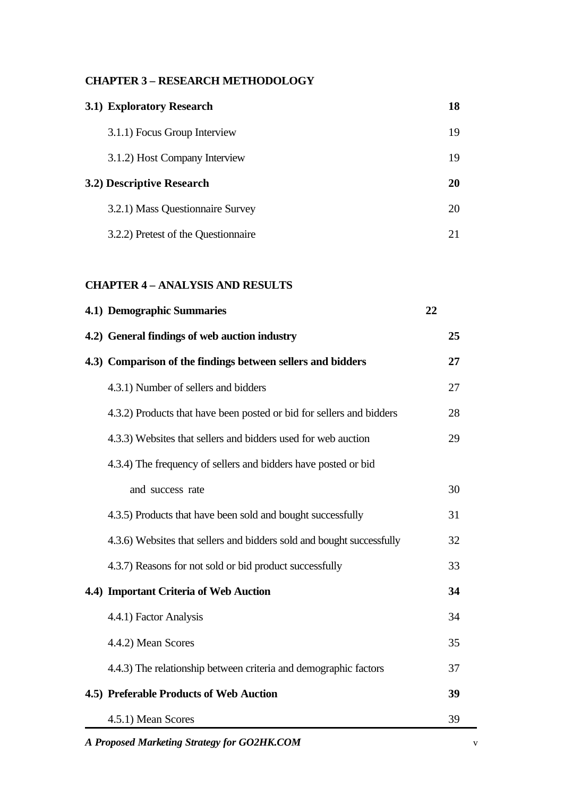#### **CHAPTER 3 – RESEARCH METHODOLOGY**

| 3.1) Exploratory Research        | 18 |
|----------------------------------|----|
| 3.1.1) Focus Group Interview     | 19 |
| 3.1.2) Host Company Interview    | 19 |
| 3.2) Descriptive Research        | 20 |
|                                  |    |
| 3.2.1) Mass Questionnaire Survey | 20 |

### **CHAPTER 4 – ANALYSIS AND RESULTS**

| 4.1) Demographic Summaries                                            | 22 |
|-----------------------------------------------------------------------|----|
| 4.2) General findings of web auction industry                         | 25 |
| 4.3) Comparison of the findings between sellers and bidders           | 27 |
| 4.3.1) Number of sellers and bidders                                  | 27 |
| 4.3.2) Products that have been posted or bid for sellers and bidders  | 28 |
| 4.3.3) Websites that sellers and bidders used for web auction         | 29 |
| 4.3.4) The frequency of sellers and bidders have posted or bid        |    |
| and success rate                                                      | 30 |
| 4.3.5) Products that have been sold and bought successfully           | 31 |
| 4.3.6) Websites that sellers and bidders sold and bought successfully | 32 |
| 4.3.7) Reasons for not sold or bid product successfully               | 33 |
| 4.4) Important Criteria of Web Auction                                | 34 |
| 4.4.1) Factor Analysis                                                | 34 |
| 4.4.2) Mean Scores                                                    | 35 |
| 4.4.3) The relationship between criteria and demographic factors      | 37 |
| 4.5) Preferable Products of Web Auction                               | 39 |
| 4.5.1) Mean Scores                                                    | 39 |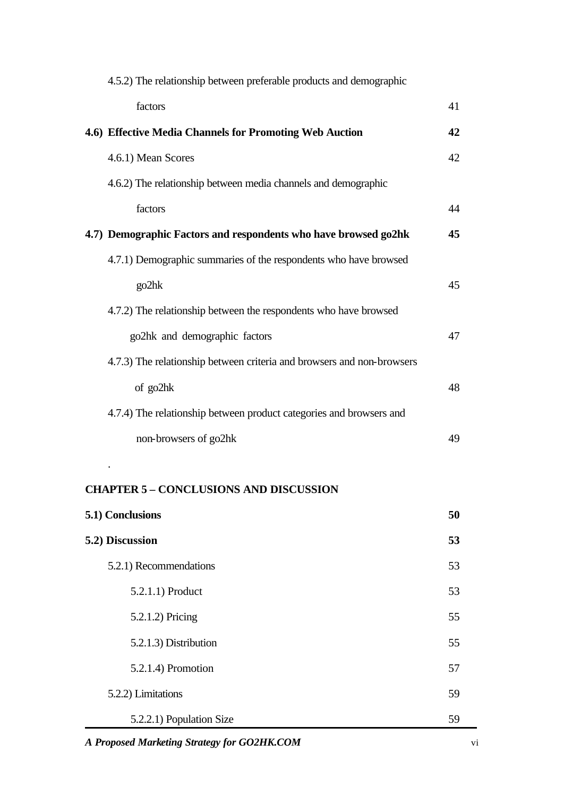| 4.5.2) The relationship between preferable products and demographic    |    |
|------------------------------------------------------------------------|----|
| factors                                                                | 41 |
| 4.6) Effective Media Channels for Promoting Web Auction                | 42 |
| 4.6.1) Mean Scores                                                     | 42 |
| 4.6.2) The relationship between media channels and demographic         |    |
| factors                                                                | 44 |
| 4.7) Demographic Factors and respondents who have browsed go2hk        | 45 |
| 4.7.1) Demographic summaries of the respondents who have browsed       |    |
| go2hk                                                                  | 45 |
| 4.7.2) The relationship between the respondents who have browsed       |    |
| go2hk and demographic factors                                          | 47 |
| 4.7.3) The relationship between criteria and browsers and non-browsers |    |
| of go2hk                                                               | 48 |
| 4.7.4) The relationship between product categories and browsers and    |    |
| non-browsers of go2hk                                                  | 49 |

# **CHAPTER 5 – CONCLUSIONS AND DISCUSSION**

.

| 5.1) Conclusions         | 50 |
|--------------------------|----|
| 5.2) Discussion          | 53 |
| 5.2.1) Recommendations   | 53 |
| 5.2.1.1) Product         | 53 |
| 5.2.1.2) Pricing         | 55 |
| 5.2.1.3) Distribution    | 55 |
| 5.2.1.4) Promotion       | 57 |
| 5.2.2) Limitations       | 59 |
| 5.2.2.1) Population Size | 59 |

*A Proposed Marketing Strategy for GO2HK.COM* vi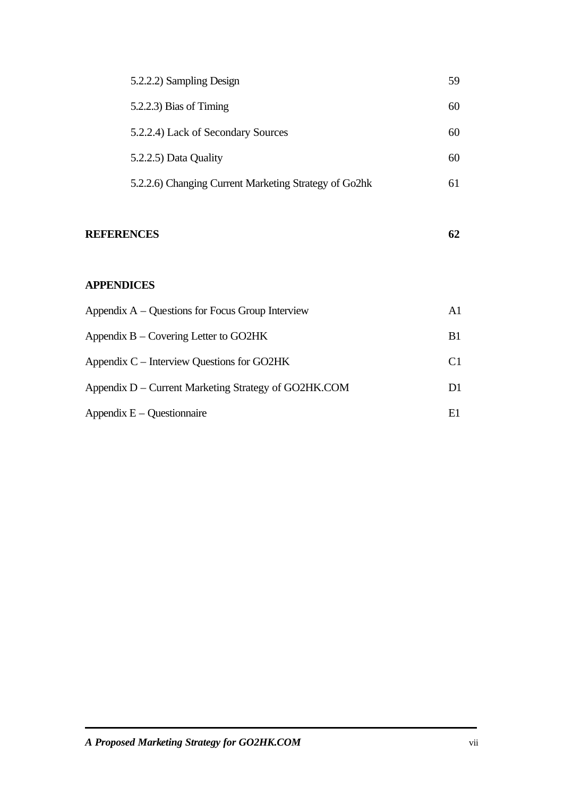| 5.2.2.2) Sampling Design                              | 59 |
|-------------------------------------------------------|----|
| $5.2.2.3$ ) Bias of Timing                            | 60 |
| 5.2.2.4) Lack of Secondary Sources                    | 60 |
| 5.2.2.5) Data Quality                                 | 60 |
| 5.2.2.6) Changing Current Marketing Strategy of Go2hk | 61 |

### **REFERENCES 62**

#### **APPENDICES**

| Appendix $A -$ Questions for Focus Group Interview   | A1             |
|------------------------------------------------------|----------------|
| Appendix $B -$ Covering Letter to GO2HK              | B1             |
| Appendix C – Interview Questions for GO2HK           | C <sub>1</sub> |
| Appendix D – Current Marketing Strategy of GO2HK.COM | D1.            |
| Appendix $E - Q$ uestion naire                       | E1             |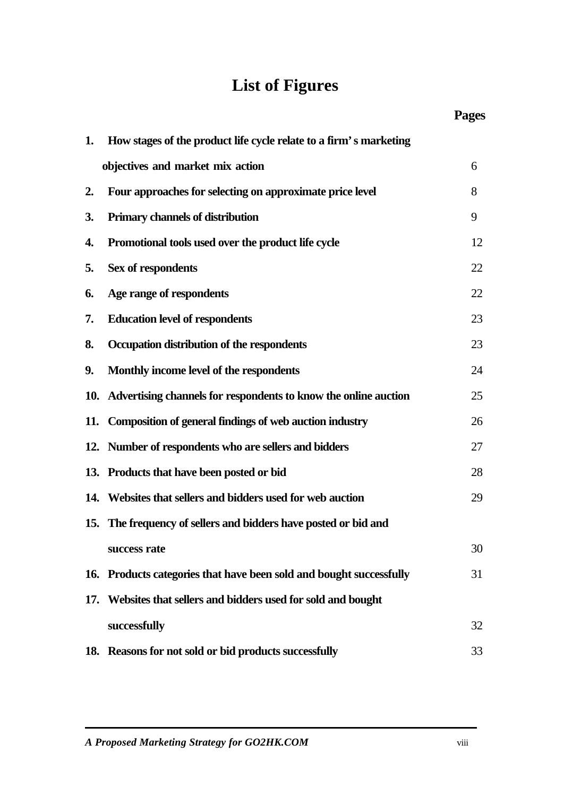# **List of Figures**

|     |                                                                     | <b>Pages</b> |
|-----|---------------------------------------------------------------------|--------------|
| 1.  | How stages of the product life cycle relate to a firm's marketing   |              |
|     | objectives and market mix action                                    | 6            |
| 2.  | Four approaches for selecting on approximate price level            | 8            |
| 3.  | Primary channels of distribution                                    | 9            |
| 4.  | Promotional tools used over the product life cycle                  | 12           |
| 5.  | Sex of respondents                                                  | 22           |
| 6.  | Age range of respondents                                            | 22           |
| 7.  | <b>Education level of respondents</b>                               | 23           |
| 8.  | Occupation distribution of the respondents                          | 23           |
| 9.  | Monthly income level of the respondents                             | 24           |
|     | 10. Advertising channels for respondents to know the online auction | 25           |
|     | 11. Composition of general findings of web auction industry         | 26           |
|     | 12. Number of respondents who are sellers and bidders               | 27           |
|     | 13. Products that have been posted or bid                           | 28           |
|     | 14. Websites that sellers and bidders used for web auction          | 29           |
|     | 15. The frequency of sellers and bidders have posted or bid and     |              |
|     | success rate                                                        | 30           |
|     | 16. Products categories that have been sold and bought successfully | 31           |
| 17. | Websites that sellers and bidders used for sold and bought          |              |
|     | successfully                                                        | 32           |
|     | 18. Reasons for not sold or bid products successfully               | 33           |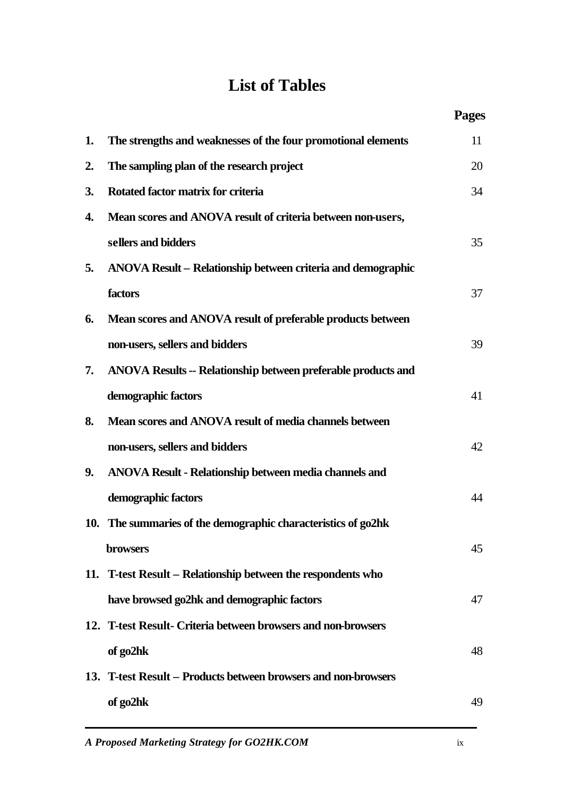# **List of Tables**

|    |                                                                | <b>Pages</b> |
|----|----------------------------------------------------------------|--------------|
| 1. | The strengths and weaknesses of the four promotional elements  | 11           |
| 2. | The sampling plan of the research project                      | 20           |
| 3. | Rotated factor matrix for criteria                             | 34           |
| 4. | Mean scores and ANOVA result of criteria between non-users,    |              |
|    | sellers and bidders                                            | 35           |
| 5. | ANOVA Result - Relationship between criteria and demographic   |              |
|    | factors                                                        | 37           |
| 6. | Mean scores and ANOVA result of preferable products between    |              |
|    | non-users, sellers and bidders                                 | 39           |
| 7. | ANOVA Results -- Relationship between preferable products and  |              |
|    | demographic factors                                            | 41           |
| 8. | Mean scores and ANOVA result of media channels between         |              |
|    | non-users, sellers and bidders                                 | 42           |
| 9. | ANOVA Result - Relationship between media channels and         |              |
|    | demographic factors                                            | 44           |
|    | 10. The summaries of the demographic characteristics of go2hk  |              |
|    | <b>browsers</b>                                                | 45           |
|    | 11. T-test Result – Relationship between the respondents who   |              |
|    | have browsed go2hk and demographic factors                     | 47           |
|    | 12. T-test Result- Criteria between browsers and non-browsers  |              |
|    | of go2hk                                                       | 48           |
|    | 13. T-test Result – Products between browsers and non-browsers |              |
|    | of go2hk                                                       | 49           |
|    |                                                                |              |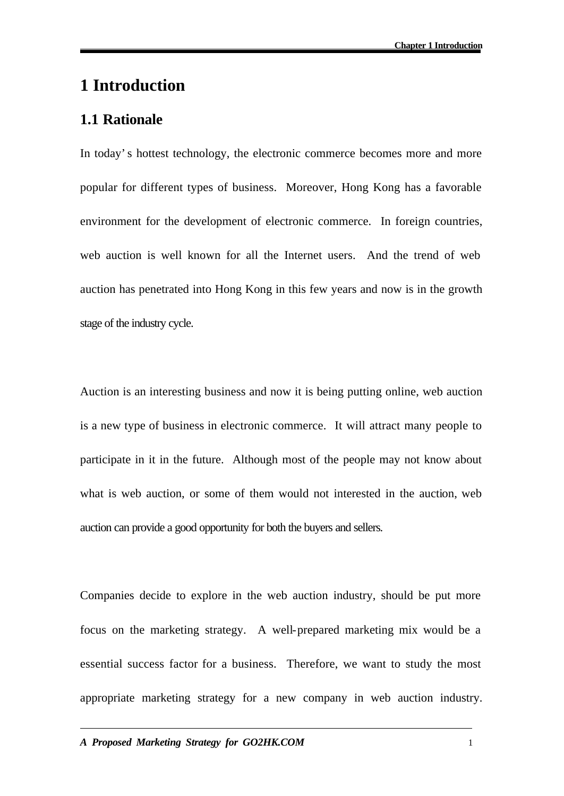# **1 Introduction**

## **1.1 Rationale**

In today's hottest technology, the electronic commerce becomes more and more popular for different types of business. Moreover, Hong Kong has a favorable environment for the development of electronic commerce. In foreign countries, web auction is well known for all the Internet users. And the trend of web auction has penetrated into Hong Kong in this few years and now is in the growth stage of the industry cycle.

Auction is an interesting business and now it is being putting online, web auction is a new type of business in electronic commerce. It will attract many people to participate in it in the future. Although most of the people may not know about what is web auction, or some of them would not interested in the auction, web auction can provide a good opportunity for both the buyers and sellers.

Companies decide to explore in the web auction industry, should be put more focus on the marketing strategy. A well-prepared marketing mix would be a essential success factor for a business. Therefore, we want to study the most appropriate marketing strategy for a new company in web auction industry.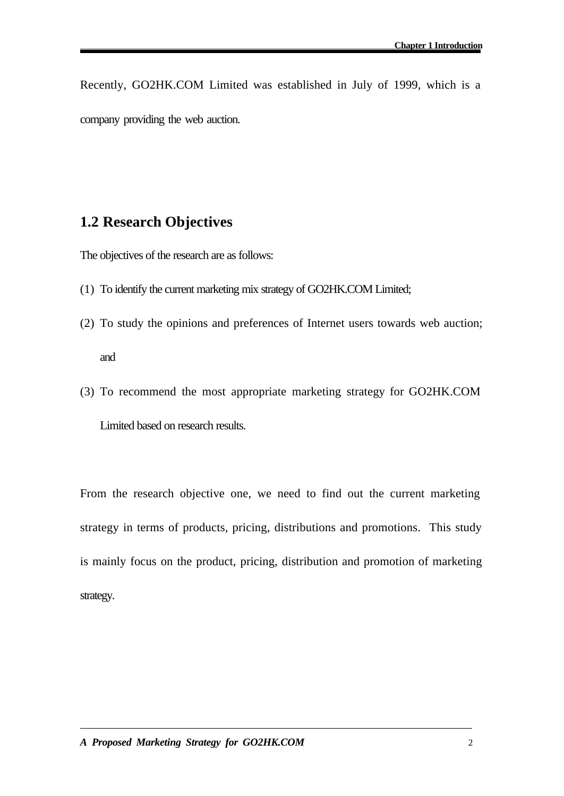Recently, GO2HK.COM Limited was established in July of 1999, which is a company providing the web auction.

### **1.2 Research Objectives**

The objectives of the research are as follows:

- (1) To identify the current marketing mix strategy of GO2HK.COM Limited;
- (2) To study the opinions and preferences of Internet users towards web auction; and
- (3) To recommend the most appropriate marketing strategy for GO2HK.COM Limited based on research results.

From the research objective one, we need to find out the current marketing strategy in terms of products, pricing, distributions and promotions. This study is mainly focus on the product, pricing, distribution and promotion of marketing strategy.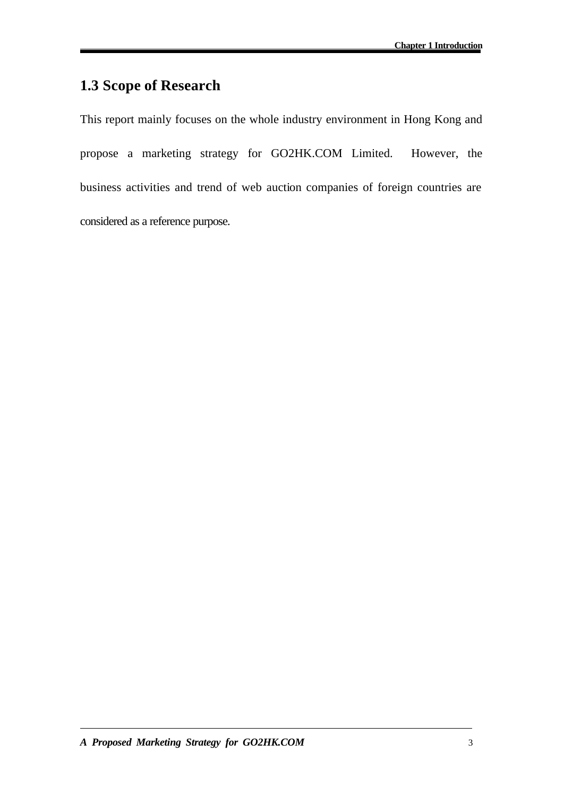# **1.3 Scope of Research**

This report mainly focuses on the whole industry environment in Hong Kong and propose a marketing strategy for GO2HK.COM Limited. However, the business activities and trend of web auction companies of foreign countries are considered as a reference purpose.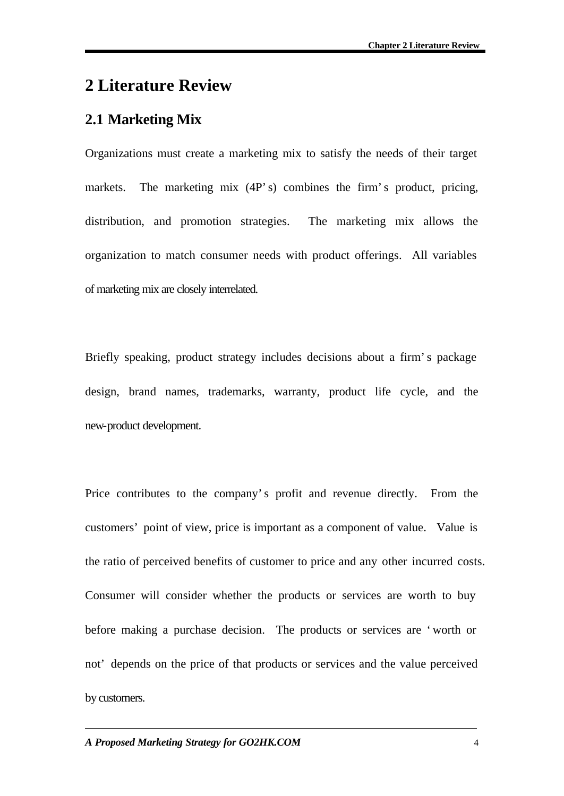# **2 Literature Review**

# **2.1 Marketing Mix**

Organizations must create a marketing mix to satisfy the needs of their target markets. The marketing mix (4P's) combines the firm's product, pricing, distribution, and promotion strategies. The marketing mix allows the organization to match consumer needs with product offerings. All variables of marketing mix are closely interrelated.

Briefly speaking, product strategy includes decisions about a firm's package design, brand names, trademarks, warranty, product life cycle, and the new-product development.

Price contributes to the company's profit and revenue directly. From the customers' point of view, price is important as a component of value. Value is the ratio of perceived benefits of customer to price and any other incurred costs. Consumer will consider whether the products or services are worth to buy before making a purchase decision. The products or services are 'worth or not' depends on the price of that products or services and the value perceived by customers.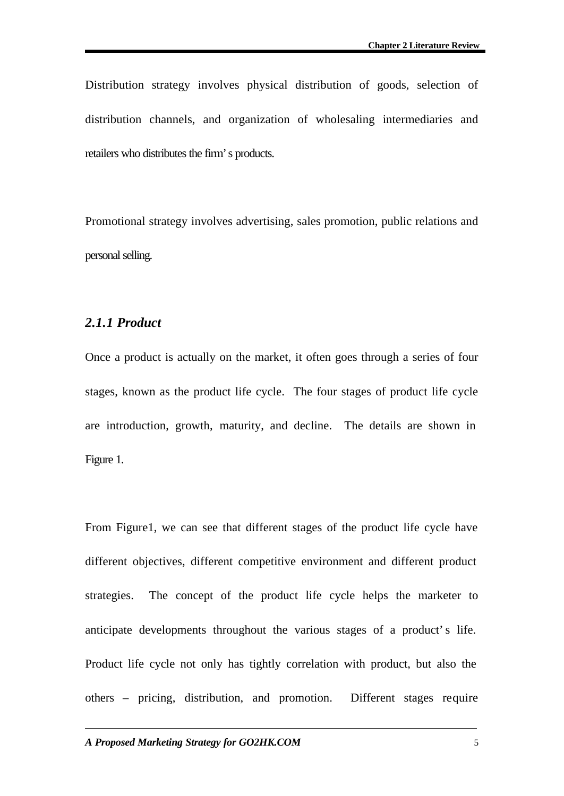Distribution strategy involves physical distribution of goods, selection of distribution channels, and organization of wholesaling intermediaries and retailers who distributes the firm's products.

Promotional strategy involves advertising, sales promotion, public relations and personal selling.

#### *2.1.1 Product*

Once a product is actually on the market, it often goes through a series of four stages, known as the product life cycle. The four stages of product life cycle are introduction, growth, maturity, and decline. The details are shown in Figure 1.

From Figure1, we can see that different stages of the product life cycle have different objectives, different competitive environment and different product strategies. The concept of the product life cycle helps the marketer to anticipate developments throughout the various stages of a product's life. Product life cycle not only has tightly correlation with product, but also the others – pricing, distribution, and promotion. Different stages require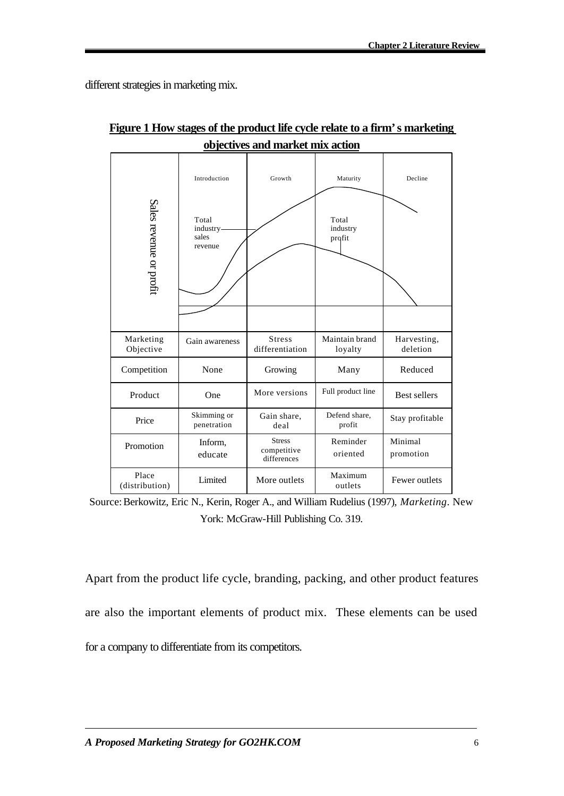different strategies in marketing mix.

| Sales revenue or profit | Introduction<br>Total<br>industry-<br>sales<br>revenue | Growth                                      | Maturity<br>Total<br>industry<br>profit | Decline                 |
|-------------------------|--------------------------------------------------------|---------------------------------------------|-----------------------------------------|-------------------------|
| Marketing<br>Objective  | Gain awareness                                         | <b>Stress</b><br>differentiation            | Maintain brand<br>loyalty               | Harvesting,<br>deletion |
| Competition             | None                                                   | Growing                                     | Many                                    | Reduced                 |
| Product                 | One                                                    | More versions                               | Full product line                       | <b>Best sellers</b>     |
| Price                   | Skimming or<br>penetration                             | Gain share,<br>deal                         | Defend share,<br>profit                 | Stay profitable         |
| Promotion               | Inform,<br>educate                                     | <b>Stress</b><br>competitive<br>differences | Reminder<br>oriented                    | Minimal<br>promotion    |
| Place<br>(distribution) | Limited                                                | More outlets                                | Maximum<br>outlets                      | Fewer outlets           |

**Figure 1 How stages of the product life cycle relate to a firm's marketing objectives and market mix action**

Apart from the product life cycle, branding, packing, and other product features are also the important elements of product mix. These elements can be used for a company to differentiate from its competitors.

Source:Berkowitz, Eric N., Kerin, Roger A., and William Rudelius (1997), *Marketing*. New York: McGraw-Hill Publishing Co. 319.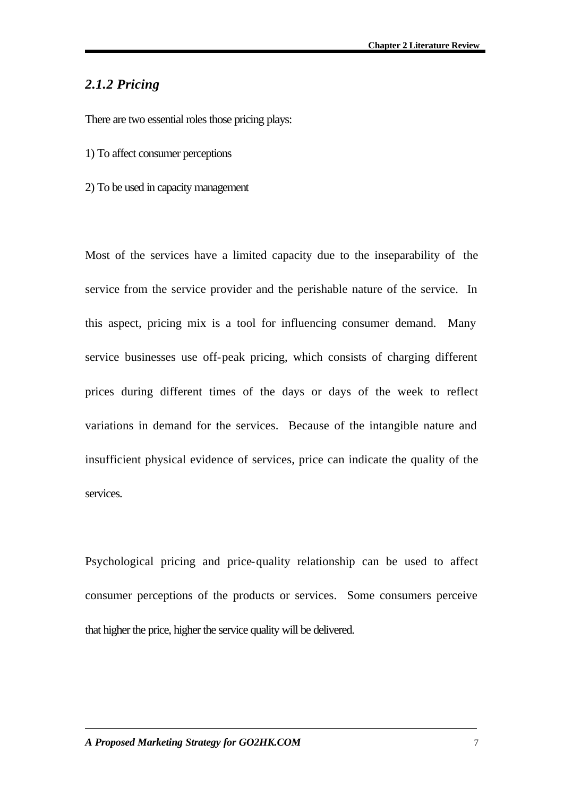### *2.1.2 Pricing*

There are two essential roles those pricing plays:

- 1) To affect consumer perceptions
- 2) To be used in capacity management

Most of the services have a limited capacity due to the inseparability of the service from the service provider and the perishable nature of the service. In this aspect, pricing mix is a tool for influencing consumer demand. Many service businesses use off-peak pricing, which consists of charging different prices during different times of the days or days of the week to reflect variations in demand for the services. Because of the intangible nature and insufficient physical evidence of services, price can indicate the quality of the services.

Psychological pricing and price-quality relationship can be used to affect consumer perceptions of the products or services. Some consumers perceive that higher the price, higher the service quality will be delivered.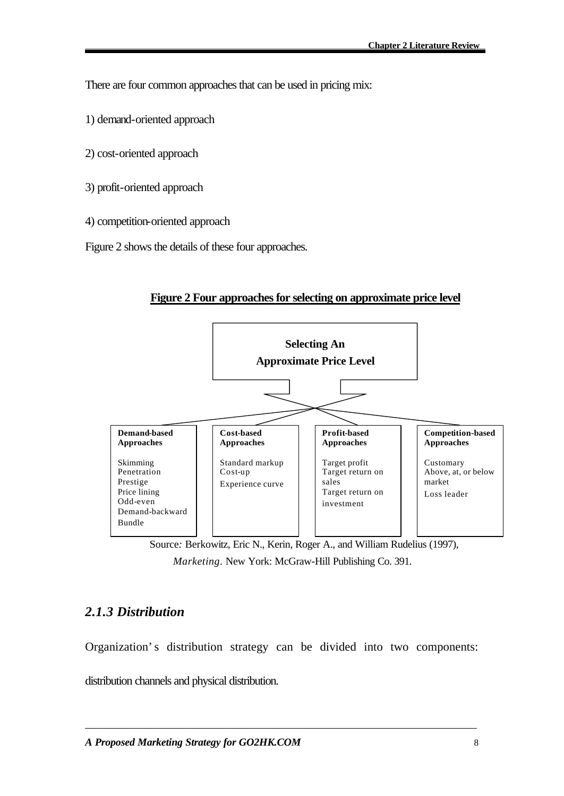There are four common approaches that can be used in pricing mix:

- 1) demand-oriented approach
- 2) cost-oriented approach
- 3) profit-oriented approach
- 4) competition-oriented approach

Figure 2 shows the details of these four approaches.



#### **Figure 2 Four approaches for selecting on approximate price level**

Source*:* Berkowitz, Eric N., Kerin, Roger A., and William Rudelius (1997), *Marketing*. New York: McGraw-Hill Publishing Co. 391.

### *2.1.3 Distribution*

Organization's distribution strategy can be divided into two components:

distribution channels and physical distribution.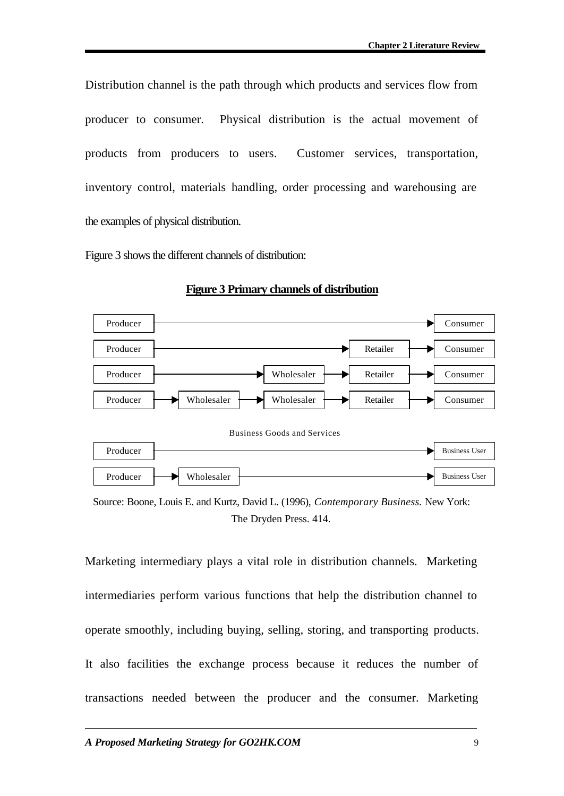Distribution channel is the path through which products and services flow from producer to consumer. Physical distribution is the actual movement of products from producers to users. Customer services, transportation, inventory control, materials handling, order processing and warehousing are the examples of physical distribution.

Figure 3 shows the different channels of distribution:



#### **Figure 3 Primary channels of distribution**

Source: Boone, Louis E. and Kurtz, David L. (1996), *Contemporary Business.* New York: The Dryden Press. 414.

Marketing intermediary plays a vital role in distribution channels. Marketing intermediaries perform various functions that help the distribution channel to operate smoothly, including buying, selling, storing, and transporting products. It also facilities the exchange process because it reduces the number of transactions needed between the producer and the consumer. Marketing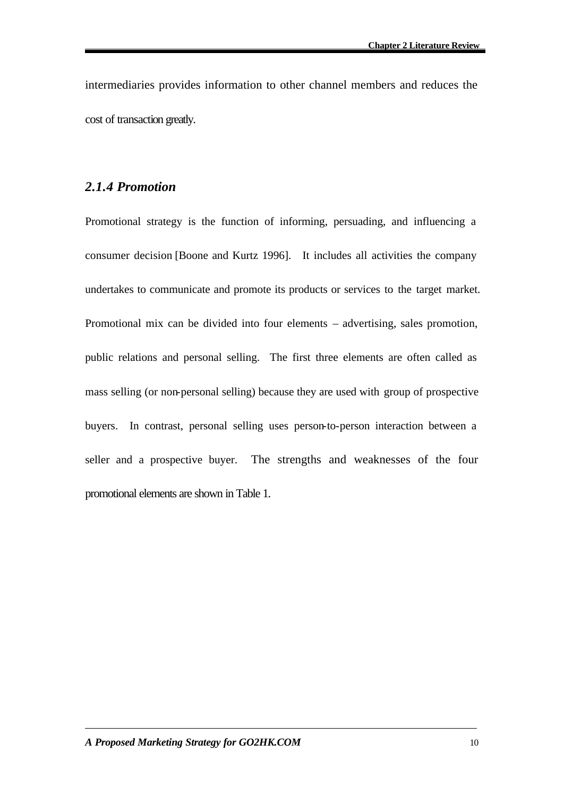intermediaries provides information to other channel members and reduces the cost of transaction greatly.

#### *2.1.4 Promotion*

Promotional strategy is the function of informing, persuading, and influencing a consumer decision [Boone and Kurtz 1996]. It includes all activities the company undertakes to communicate and promote its products or services to the target market. Promotional mix can be divided into four elements – advertising, sales promotion, public relations and personal selling. The first three elements are often called as mass selling (or non-personal selling) because they are used with group of prospective buyers. In contrast, personal selling uses person-to-person interaction between a seller and a prospective buyer. The strengths and weaknesses of the four promotional elements are shown in Table 1.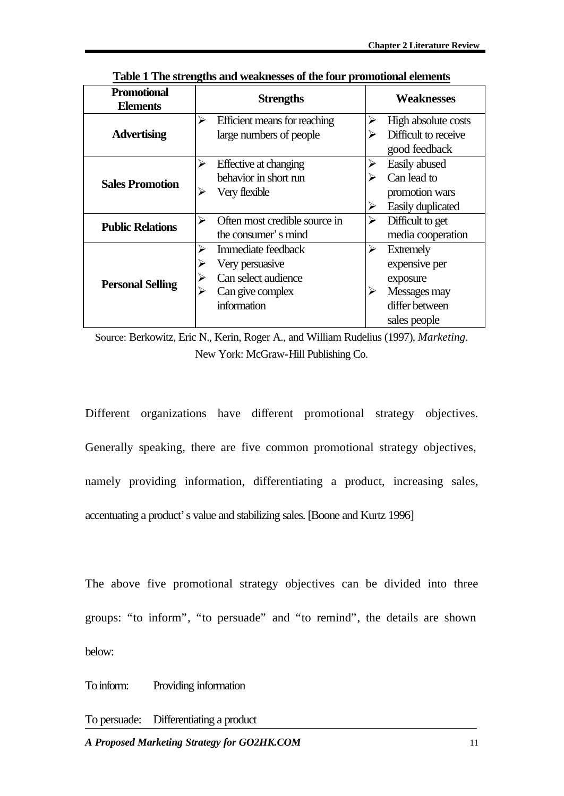| <b>Promotional</b><br><b>Elements</b> | <b>Strengths</b>                                                                                | <b>Weaknesses</b>                                                                                         |  |
|---------------------------------------|-------------------------------------------------------------------------------------------------|-----------------------------------------------------------------------------------------------------------|--|
| <b>Advertising</b>                    | Efficient means for reaching<br>⋗<br>large numbers of people                                    | ➤<br>High absolute costs<br>Difficult to receive<br>good feedback                                         |  |
| <b>Sales Promotion</b>                | ↘<br>Effective at changing<br>behavior in short run<br>Very flexible<br>⋗                       | Easily abused<br>Can lead to<br>⋗<br>promotion wars<br>Easily duplicated                                  |  |
| <b>Public Relations</b>               | Often most credible source in<br>↘<br>the consumer's mind                                       | Difficult to get<br>➤<br>media cooperation                                                                |  |
| <b>Personal Selling</b>               | Immediate feedback<br>Very persuasive<br>Can select audience<br>Can give complex<br>information | <b>Extremely</b><br>⋗<br>expensive per<br>exposure<br>≻<br>Messages may<br>differ between<br>sales people |  |

**Table 1 The strengths and weaknesses of the four promotional elements**

Source: Berkowitz, Eric N., Kerin, Roger A., and William Rudelius (1997), *Marketing*. New York: McGraw-Hill Publishing Co.

Different organizations have different promotional strategy objectives. Generally speaking, there are five common promotional strategy objectives, namely providing information, differentiating a product, increasing sales, accentuating a product's value and stabilizing sales. [Boone and Kurtz 1996]

The above five promotional strategy objectives can be divided into three groups: "to inform", "to persuade" and "to remind", the details are shown below:

To inform: Providing information

To persuade: Differentiating a product

*A Proposed Marketing Strategy for GO2HK.COM* 11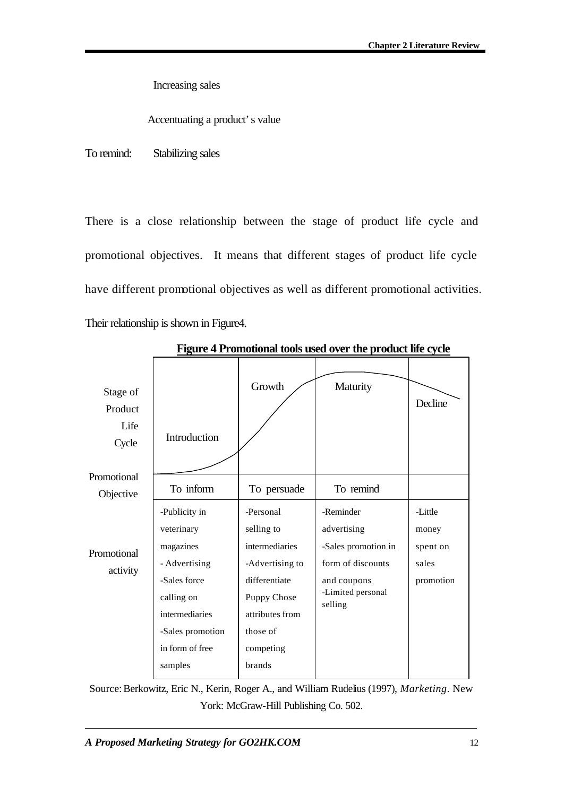Increasing sales

Accentuating a product's value

To remind: Stabilizing sales

There is a close relationship between the stage of product life cycle and promotional objectives. It means that different stages of product life cycle have different promotional objectives as well as different promotional activities. Their relationship is shown in Figure4.

| Stage of<br>Product<br>Life<br>Cycle | Introduction                                                                                              | Growth                                                                                                          | Maturity                                                                                                            | Decline                                            |
|--------------------------------------|-----------------------------------------------------------------------------------------------------------|-----------------------------------------------------------------------------------------------------------------|---------------------------------------------------------------------------------------------------------------------|----------------------------------------------------|
| Promotional<br>Objective             | To inform                                                                                                 | To persuade                                                                                                     | To remind                                                                                                           |                                                    |
| Promotional<br>activity              | -Publicity in<br>veterinary<br>magazines<br>- Advertising<br>-Sales force<br>calling on<br>intermediaries | -Personal<br>selling to<br>intermediaries<br>-Advertising to<br>differentiate<br>Puppy Chose<br>attributes from | -Reminder<br>advertising<br>-Sales promotion in<br>form of discounts<br>and coupons<br>-Limited personal<br>selling | -Little<br>money<br>spent on<br>sales<br>promotion |
|                                      | -Sales promotion<br>in form of free<br>samples                                                            | those of<br>competing<br>brands                                                                                 |                                                                                                                     |                                                    |

 **Figure 4 Promotional tools used over the product life cycle**

Source:Berkowitz, Eric N., Kerin, Roger A., and William Rudelius (1997), *Marketing*. New York: McGraw-Hill Publishing Co. 502.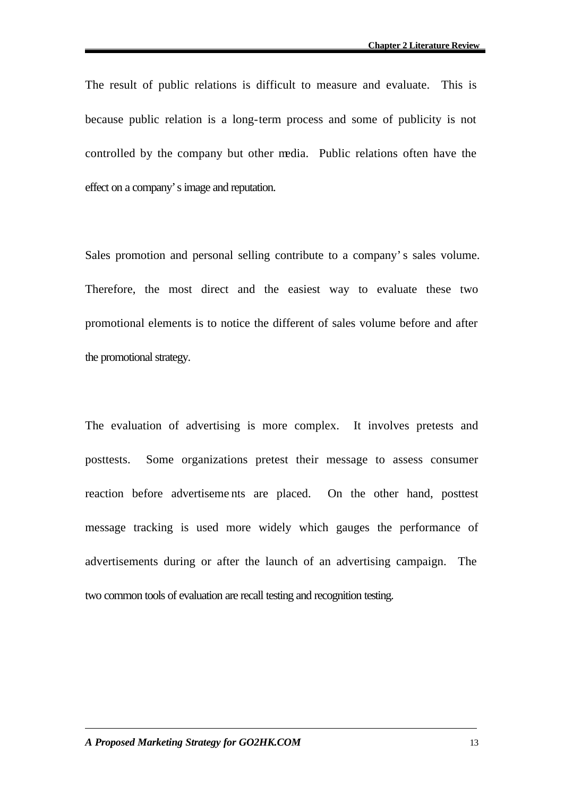The result of public relations is difficult to measure and evaluate. This is because public relation is a long-term process and some of publicity is not controlled by the company but other media. Public relations often have the effect on a company's image and reputation.

Sales promotion and personal selling contribute to a company's sales volume. Therefore, the most direct and the easiest way to evaluate these two promotional elements is to notice the different of sales volume before and after the promotional strategy.

The evaluation of advertising is more complex. It involves pretests and posttests. Some organizations pretest their message to assess consumer reaction before advertiseme nts are placed. On the other hand, posttest message tracking is used more widely which gauges the performance of advertisements during or after the launch of an advertising campaign. The two common tools of evaluation are recall testing and recognition testing.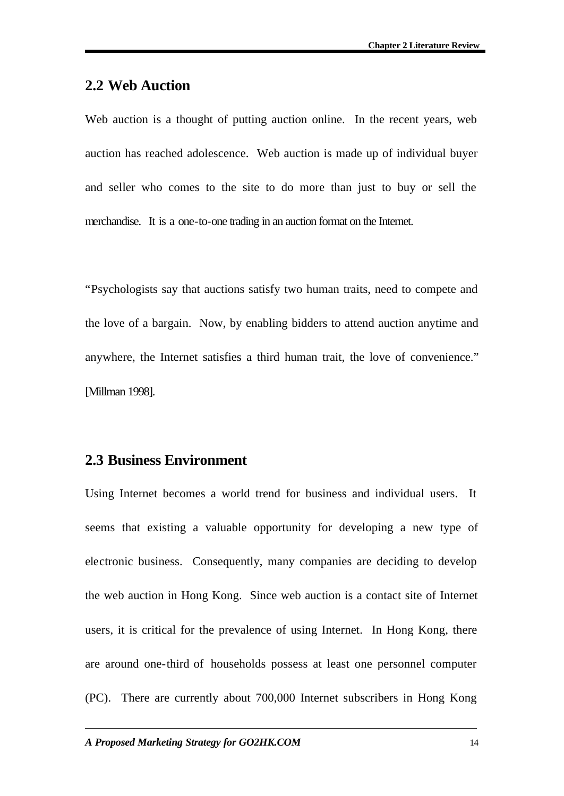### **2.2 Web Auction**

Web auction is a thought of putting auction online. In the recent years, web auction has reached adolescence. Web auction is made up of individual buyer and seller who comes to the site to do more than just to buy or sell the merchandise. It is a one-to-one trading in an auction format on the Internet.

"Psychologists say that auctions satisfy two human traits, need to compete and the love of a bargain. Now, by enabling bidders to attend auction anytime and anywhere, the Internet satisfies a third human trait, the love of convenience." [Millman 1998].

### **2.3 Business Environment**

Using Internet becomes a world trend for business and individual users. It seems that existing a valuable opportunity for developing a new type of electronic business. Consequently, many companies are deciding to develop the web auction in Hong Kong. Since web auction is a contact site of Internet users, it is critical for the prevalence of using Internet. In Hong Kong, there are around one-third of households possess at least one personnel computer (PC). There are currently about 700,000 Internet subscribers in Hong Kong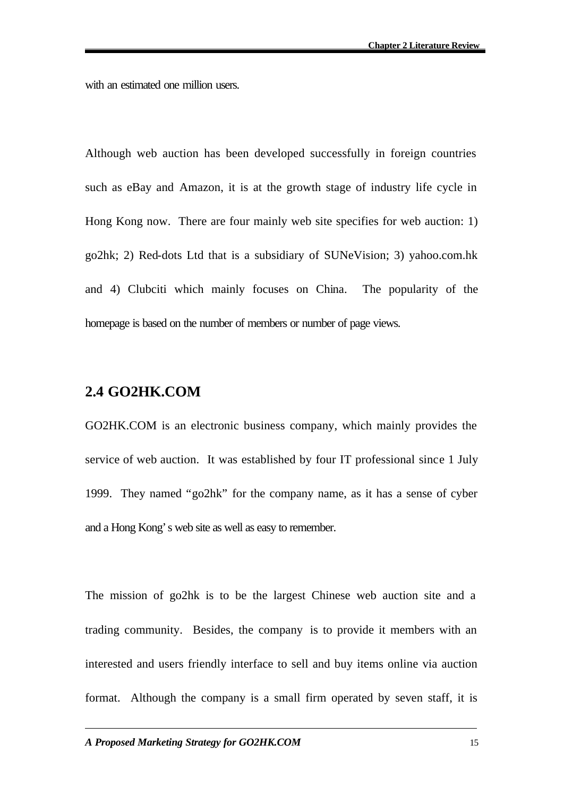with an estimated one million users.

Although web auction has been developed successfully in foreign countries such as eBay and Amazon, it is at the growth stage of industry life cycle in Hong Kong now. There are four mainly web site specifies for web auction: 1) go2hk; 2) Red-dots Ltd that is a subsidiary of SUNeVision; 3) yahoo.com.hk and 4) Clubciti which mainly focuses on China. The popularity of the homepage is based on the number of members or number of page views.

### **2.4 GO2HK.COM**

GO2HK.COM is an electronic business company, which mainly provides the service of web auction. It was established by four IT professional since 1 July 1999. They named "go2hk" for the company name, as it has a sense of cyber and a Hong Kong's web site as well as easy to remember.

The mission of go2hk is to be the largest Chinese web auction site and a trading community. Besides, the company is to provide it members with an interested and users friendly interface to sell and buy items online via auction format. Although the company is a small firm operated by seven staff, it is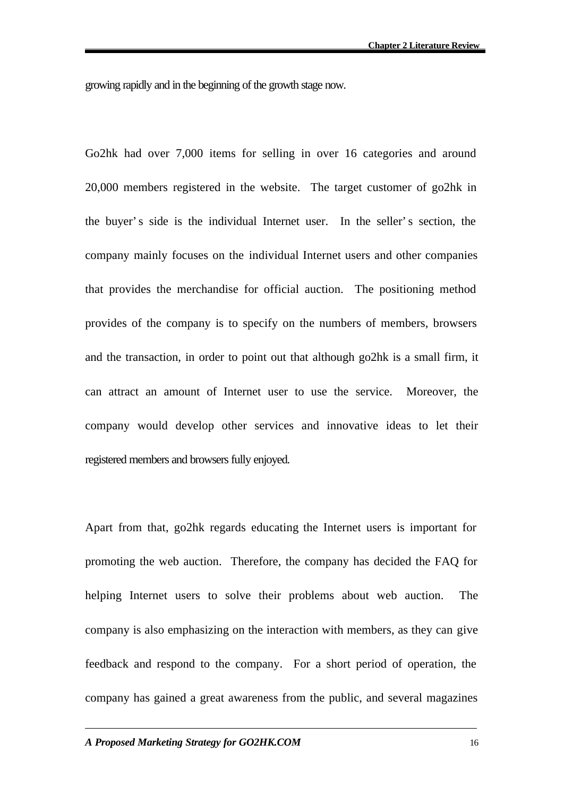growing rapidly and in the beginning of the growth stage now.

Go2hk had over 7,000 items for selling in over 16 categories and around 20,000 members registered in the website. The target customer of go2hk in the buyer's side is the individual Internet user. In the seller's section, the company mainly focuses on the individual Internet users and other companies that provides the merchandise for official auction. The positioning method provides of the company is to specify on the numbers of members, browsers and the transaction, in order to point out that although go2hk is a small firm, it can attract an amount of Internet user to use the service. Moreover, the company would develop other services and innovative ideas to let their registered members and browsers fully enjoyed.

Apart from that, go2hk regards educating the Internet users is important for promoting the web auction. Therefore, the company has decided the FAQ for helping Internet users to solve their problems about web auction. The company is also emphasizing on the interaction with members, as they can give feedback and respond to the company. For a short period of operation, the company has gained a great awareness from the public, and several magazines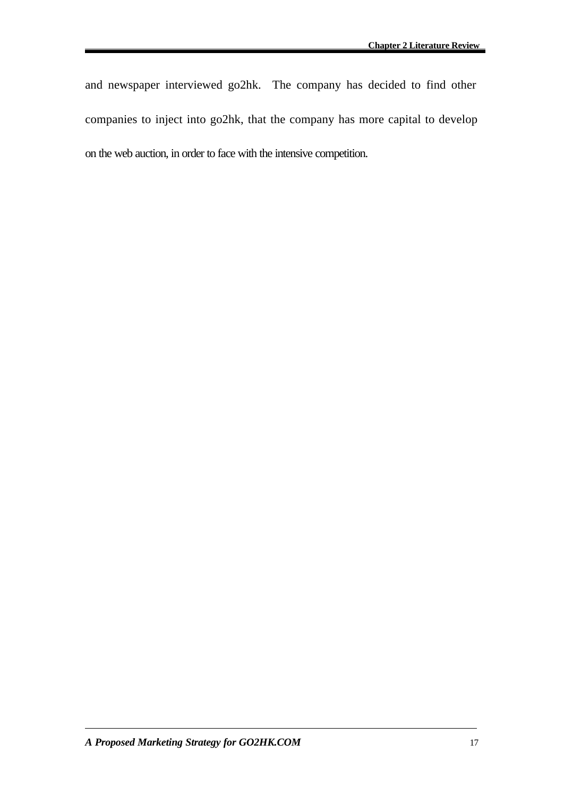and newspaper interviewed go2hk. The company has decided to find other companies to inject into go2hk, that the company has more capital to develop on the web auction, in order to face with the intensive competition.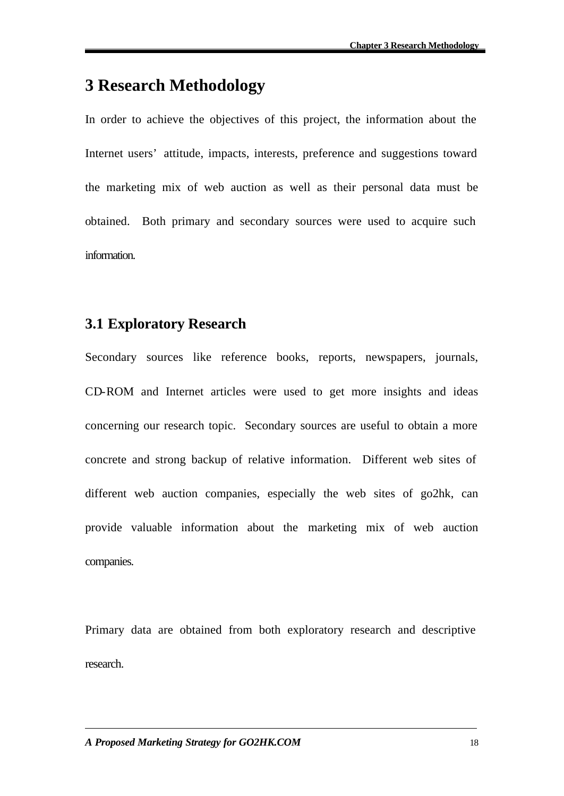# **3 Research Methodology**

In order to achieve the objectives of this project, the information about the Internet users' attitude, impacts, interests, preference and suggestions toward the marketing mix of web auction as well as their personal data must be obtained. Both primary and secondary sources were used to acquire such information.

# **3.1 Exploratory Research**

Secondary sources like reference books, reports, newspapers, journals, CD-ROM and Internet articles were used to get more insights and ideas concerning our research topic. Secondary sources are useful to obtain a more concrete and strong backup of relative information. Different web sites of different web auction companies, especially the web sites of go2hk, can provide valuable information about the marketing mix of web auction companies.

Primary data are obtained from both exploratory research and descriptive research.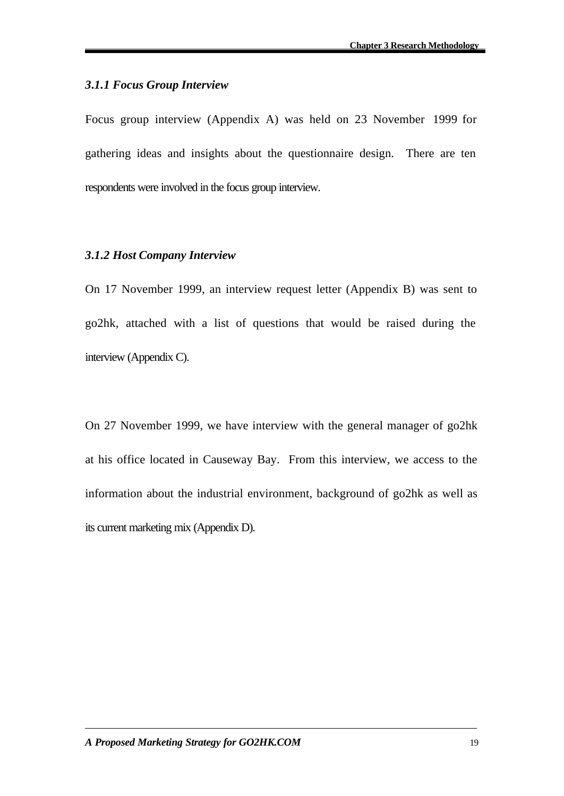#### *3.1.1 Focus Group Interview*

Focus group interview (Appendix A) was held on 23 November 1999 for gathering ideas and insights about the questionnaire design. There are ten respondents were involved in the focus group interview.

#### *3.1.2 Host Company Interview*

On 17 November 1999, an interview request letter (Appendix B) was sent to go2hk, attached with a list of questions that would be raised during the interview (Appendix C).

On 27 November 1999, we have interview with the general manager of go2hk at his office located in Causeway Bay. From this interview, we access to the information about the industrial environment, background of go2hk as well as its current marketing mix (Appendix D).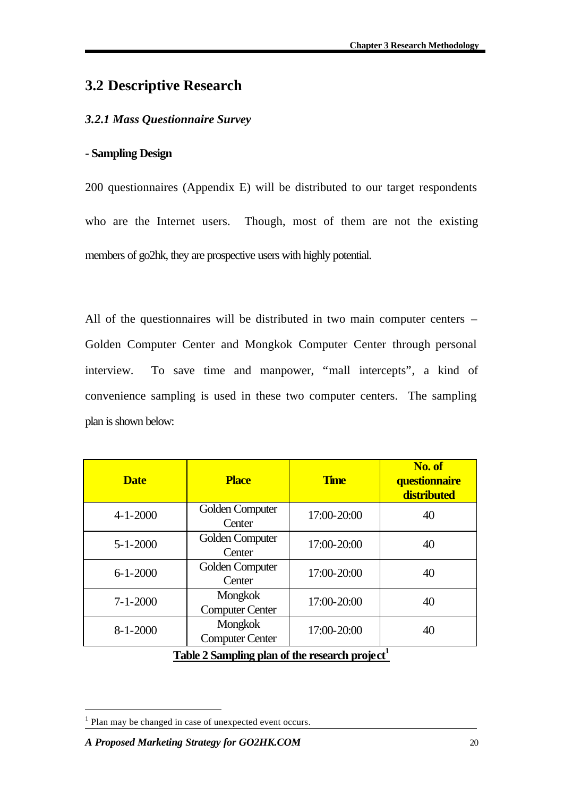# **3.2 Descriptive Research**

### *3.2.1 Mass Questionnaire Survey*

### **- Sampling Design**

200 questionnaires (Appendix E) will be distributed to our target respondents who are the Internet users. Though, most of them are not the existing members of go2hk, they are prospective users with highly potential.

All of the questionnaires will be distributed in two main computer centers – Golden Computer Center and Mongkok Computer Center through personal interview. To save time and manpower, "mall intercepts", a kind of convenience sampling is used in these two computer centers. The sampling plan is shown below:

| <b>Date</b>                                   | <b>Place</b>                             | <b>Time</b> | No. of<br>questionnaire<br>distributed |
|-----------------------------------------------|------------------------------------------|-------------|----------------------------------------|
| $4 - 1 - 2000$                                | Golden Computer<br>Center                | 17:00-20:00 | 40                                     |
| $5 - 1 - 2000$                                | Golden Computer<br>Center                | 17:00-20:00 | 40                                     |
| $6 - 1 - 2000$                                | Golden Computer<br>Center                | 17:00-20:00 | 40                                     |
| $7 - 1 - 2000$                                | <b>Mongkok</b><br><b>Computer Center</b> | 17:00-20:00 | 40                                     |
| $8 - 1 - 2000$                                | <b>Mongkok</b><br><b>Computer Center</b> | 17:00-20:00 | 40                                     |
| Table 2 Sampling plan of the research project |                                          |             |                                        |

l

<sup>&</sup>lt;sup>1</sup> Plan may be changed in case of unexpected event occurs.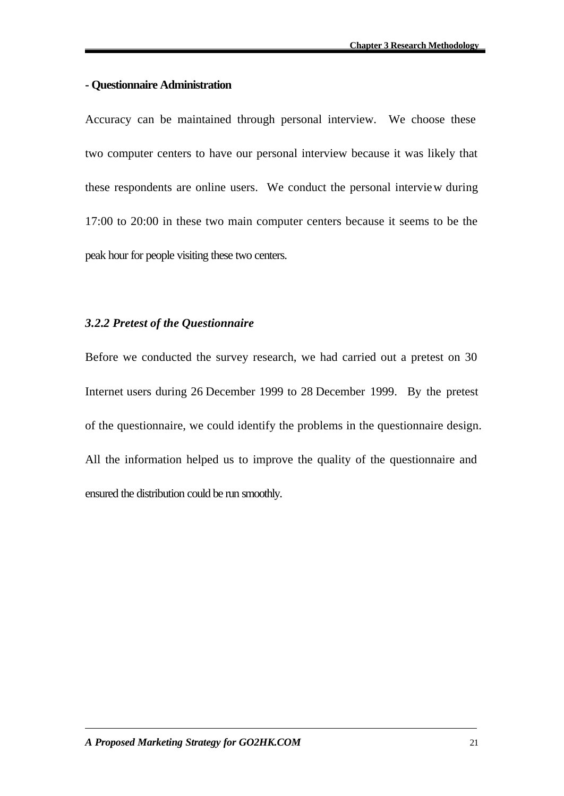#### **- Questionnaire Administration**

Accuracy can be maintained through personal interview. We choose these two computer centers to have our personal interview because it was likely that these respondents are online users. We conduct the personal interview during 17:00 to 20:00 in these two main computer centers because it seems to be the peak hour for people visiting these two centers.

#### *3.2.2 Pretest of the Questionnaire*

Before we conducted the survey research, we had carried out a pretest on 30 Internet users during 26 December 1999 to 28 December 1999. By the pretest of the questionnaire, we could identify the problems in the questionnaire design. All the information helped us to improve the quality of the questionnaire and ensured the distribution could be run smoothly.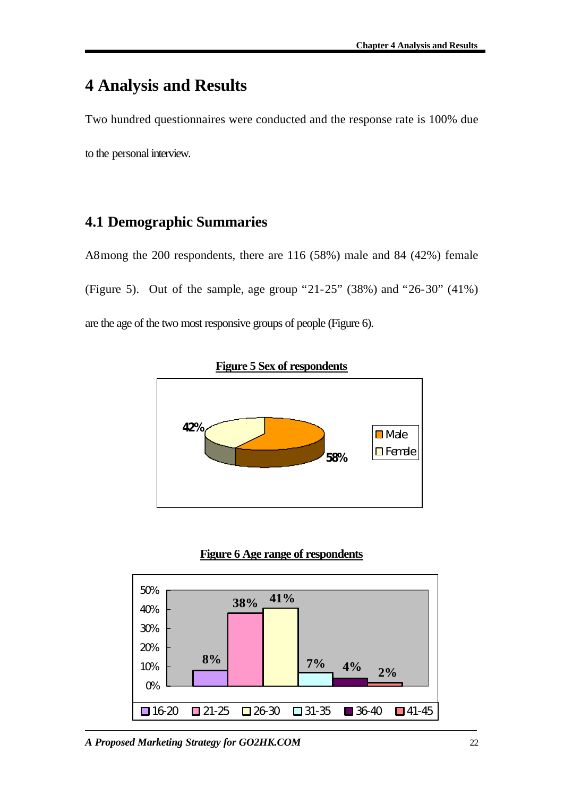# **4 Analysis and Results**

Two hundred questionnaires were conducted and the response rate is 100% due to the personal interview.

# **4.1 Demographic Summaries**

A8mong the 200 respondents, there are 116 (58%) male and 84 (42%) female (Figure 5). Out of the sample, age group "21-25" (38%) and "26-30" (41%) are the age of the two most responsive groups of people (Figure 6).





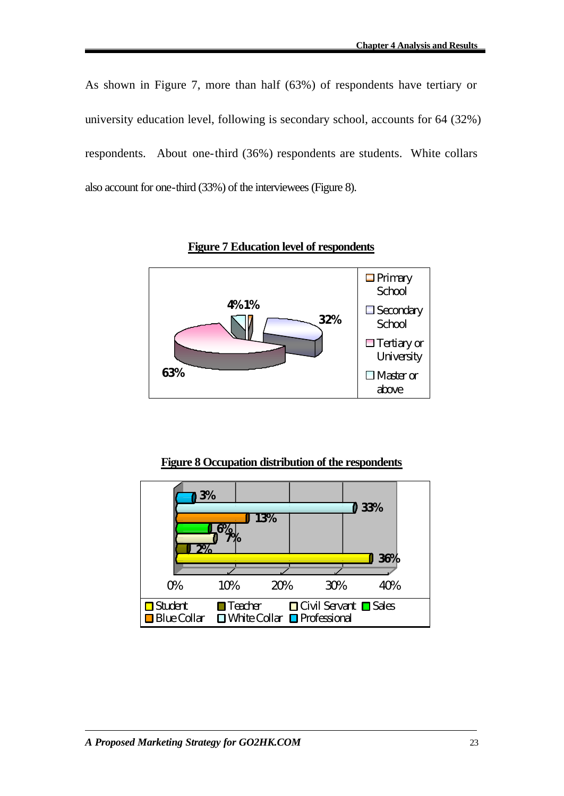As shown in Figure 7, more than half (63%) of respondents have tertiary or university education level, following is secondary school, accounts for 64 (32%) respondents. About one-third (36%) respondents are students. White collars also account for one-third (33%) of the interviewees (Figure 8).



**Figure 7 Education level of respondents**

### **Figure 8 Occupation distribution of the respondents**

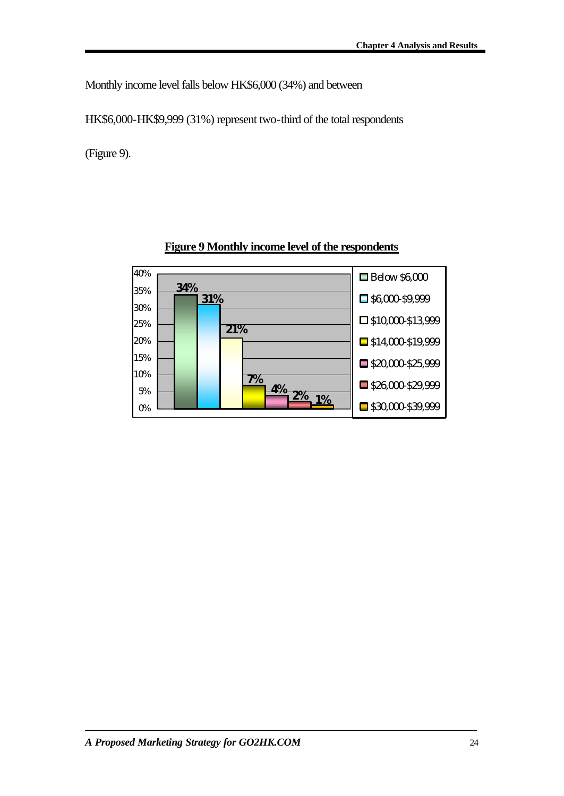Monthly income level falls below HK\$6,000 (34%) and between

HK\$6,000-HK\$9,999 (31%) represent two-third of the total respondents

(Figure 9).



### **Figure 9 Monthly income level of the respondents**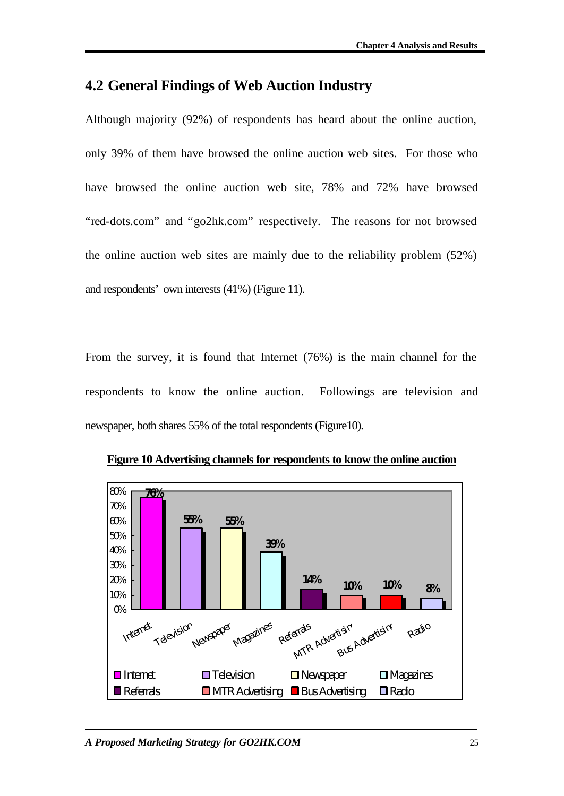# **4.2 General Findings of Web Auction Industry**

Although majority (92%) of respondents has heard about the online auction, only 39% of them have browsed the online auction web sites. For those who have browsed the online auction web site, 78% and 72% have browsed "red-dots.com" and "go2hk.com" respectively. The reasons for not browsed the online auction web sites are mainly due to the reliability problem (52%) and respondents' own interests (41%) (Figure 11).

From the survey, it is found that Internet (76%) is the main channel for the respondents to know the online auction. Followings are television and newspaper, both shares 55% of the total respondents (Figure10).



**Figure 10 Advertising channels for respondents to know the online auction**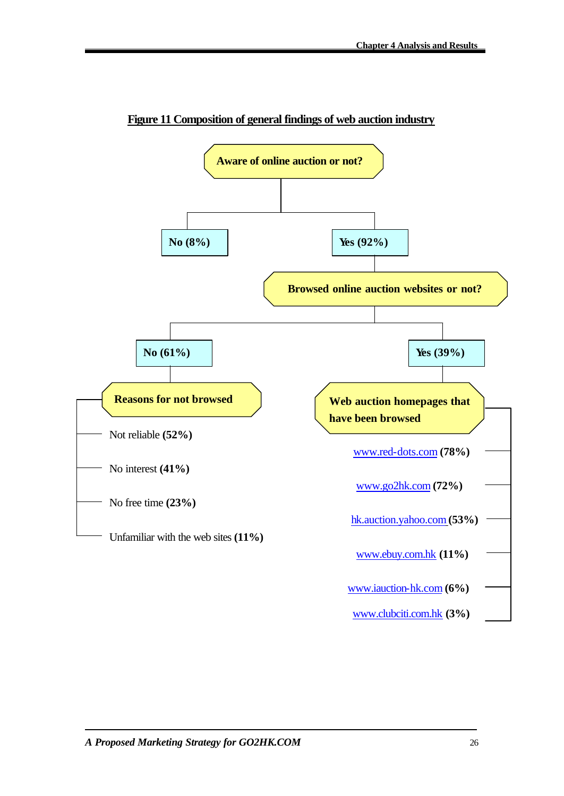

**Figure 11 Composition of general findings of web auction industry**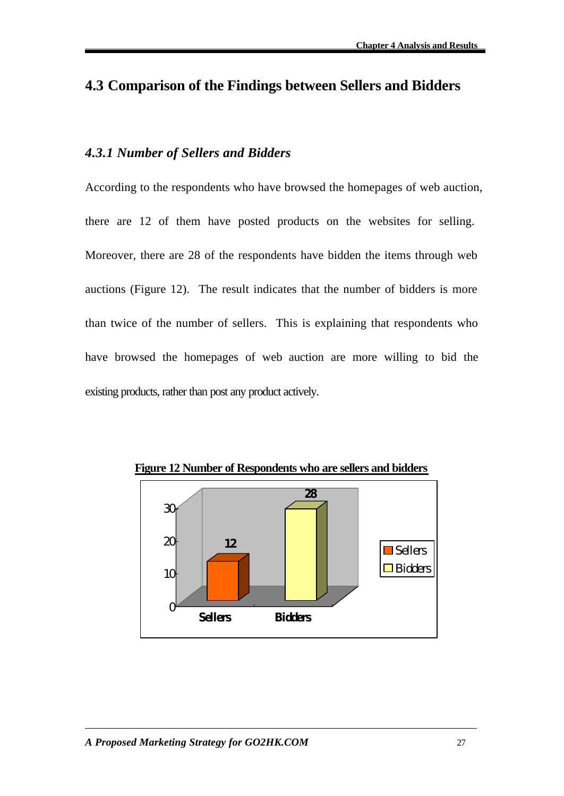# **4.3 Comparison of the Findings between Sellers and Bidders**

### *4.3.1 Number of Sellers and Bidders*

According to the respondents who have browsed the homepages of web auction, there are 12 of them have posted products on the websites for selling. Moreover, there are 28 of the respondents have bidden the items through web auctions (Figure 12). The result indicates that the number of bidders is more than twice of the number of sellers. This is explaining that respondents who have browsed the homepages of web auction are more willing to bid the existing products, rather than post any product actively.



**Figure 12 Number of Respondents who are sellers and bidders**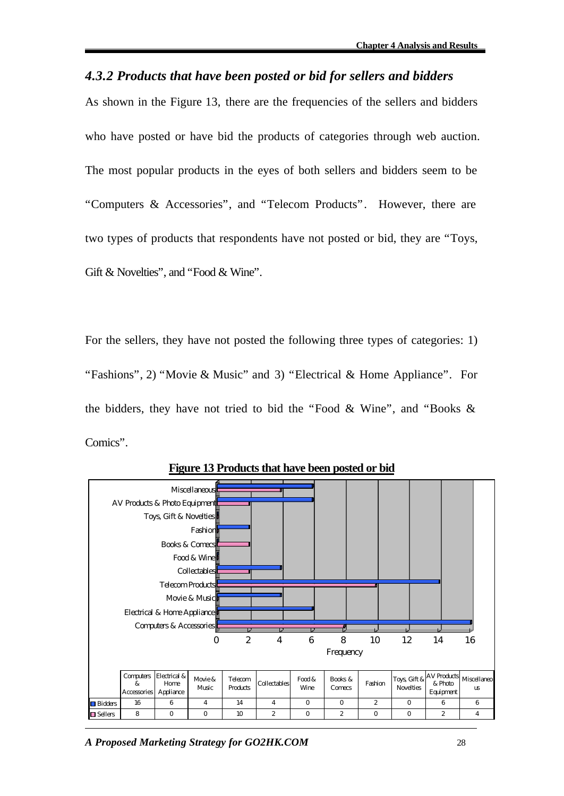### *4.3.2 Products that have been posted or bid for sellers and bidders*

As shown in the Figure 13, there are the frequencies of the sellers and bidders who have posted or have bid the products of categories through web auction. The most popular products in the eyes of both sellers and bidders seem to be "Computers & Accessories", and "Telecom Products". However, there are two types of products that respondents have not posted or bid, they are "Toys, Gift & Novelties", and "Food & Wine".

For the sellers, they have not posted the following three types of categories: 1) "Fashions", 2) "Movie & Music" and 3) "Electrical & Home Appliance". For the bidders, they have not tried to bid the "Food & Wine", and "Books & Comics".



**Figure 13 Products that have been posted or bid**

*A Proposed Marketing Strategy for GO2HK.COM* 28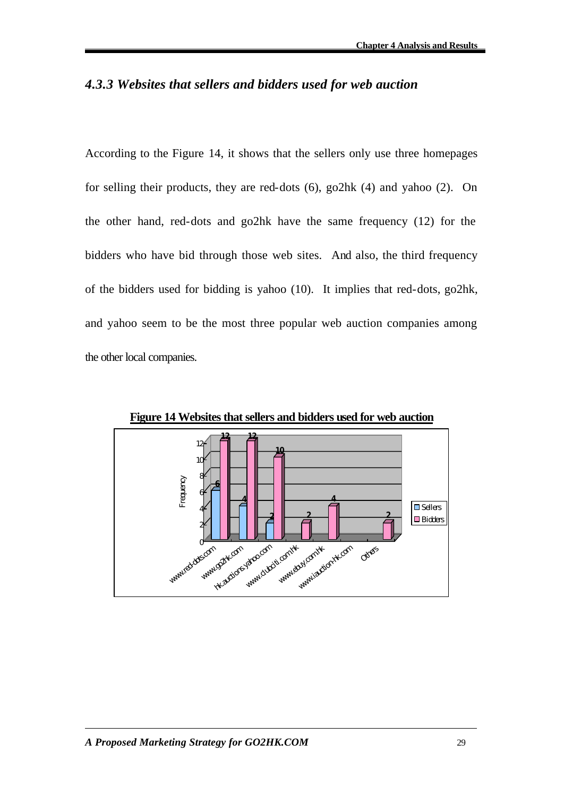## *4.3.3 Websites that sellers and bidders used for web auction*

According to the Figure 14, it shows that the sellers only use three homepages for selling their products, they are red-dots (6), go2hk (4) and yahoo (2). On the other hand, red-dots and go2hk have the same frequency (12) for the bidders who have bid through those web sites. And also, the third frequency of the bidders used for bidding is yahoo (10). It implies that red-dots, go2hk, and yahoo seem to be the most three popular web auction companies among the other local companies.



**Figure 14 Websites that sellers and bidders used for web auction**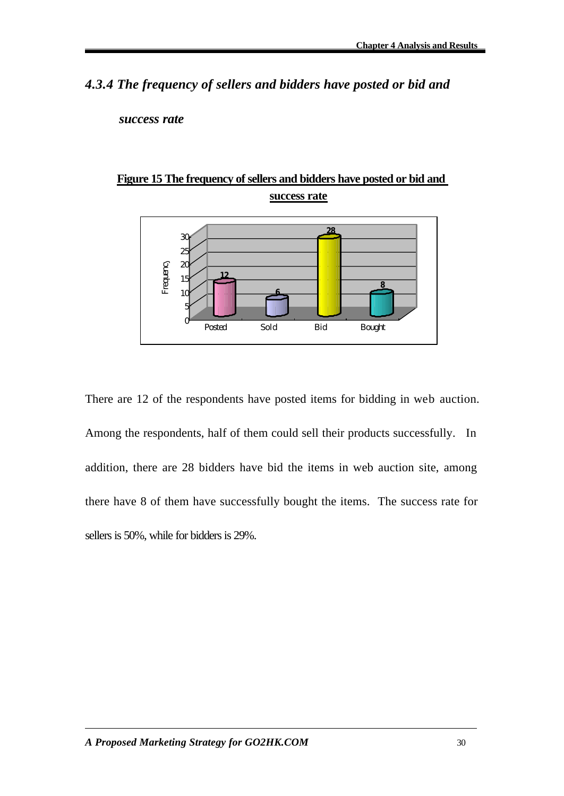*4.3.4 The frequency of sellers and bidders have posted or bid and* 

*success rate*





There are 12 of the respondents have posted items for bidding in web auction. Among the respondents, half of them could sell their products successfully. In addition, there are 28 bidders have bid the items in web auction site, among there have 8 of them have successfully bought the items. The success rate for sellers is 50%, while for bidders is 29%.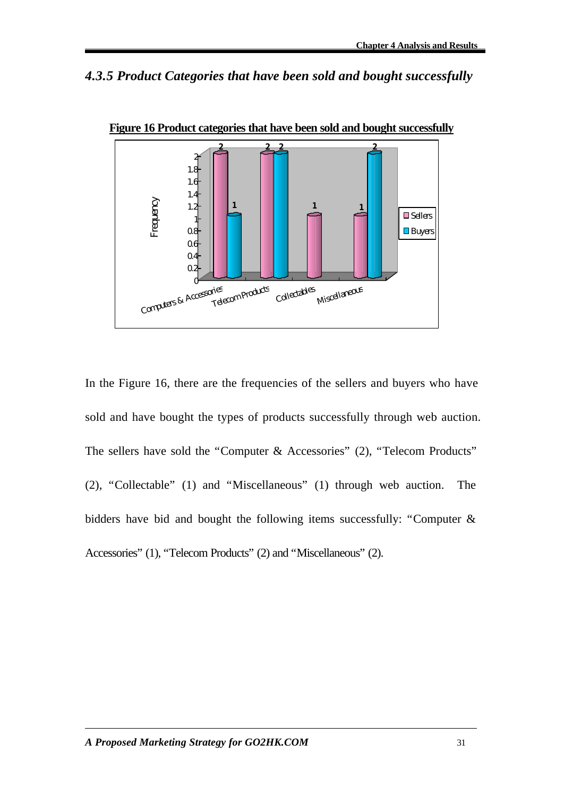*4.3.5 Product Categories that have been sold and bought successfully*



**Figure 16 Product categories that have been sold and bought successfully**

In the Figure 16, there are the frequencies of the sellers and buyers who have sold and have bought the types of products successfully through web auction. The sellers have sold the "Computer & Accessories" (2), "Telecom Products" (2), "Collectable" (1) and "Miscellaneous" (1) through web auction. The bidders have bid and bought the following items successfully: "Computer & Accessories" (1), "Telecom Products" (2) and "Miscellaneous" (2).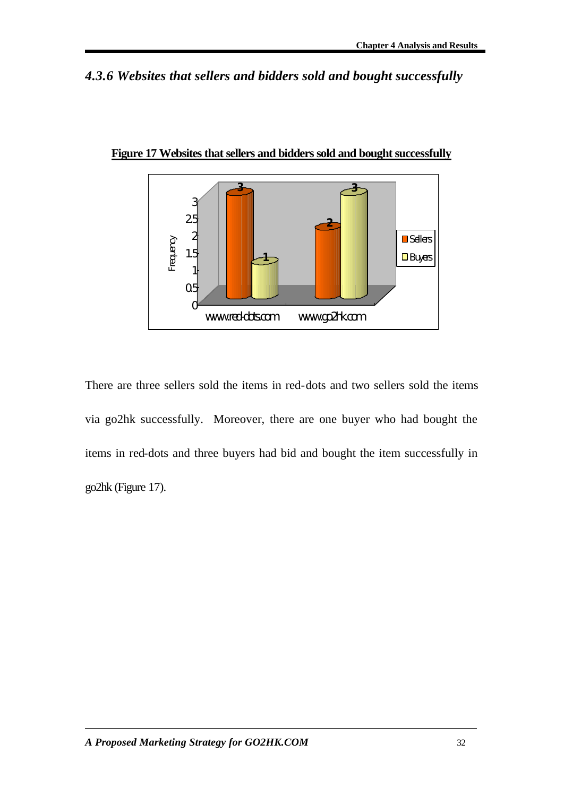# *4.3.6 Websites that sellers and bidders sold and bought successfully*



**Figure 17 Websites that sellers and bidders sold and bought successfully**

There are three sellers sold the items in red-dots and two sellers sold the items via go2hk successfully. Moreover, there are one buyer who had bought the items in red-dots and three buyers had bid and bought the item successfully in go2hk (Figure 17).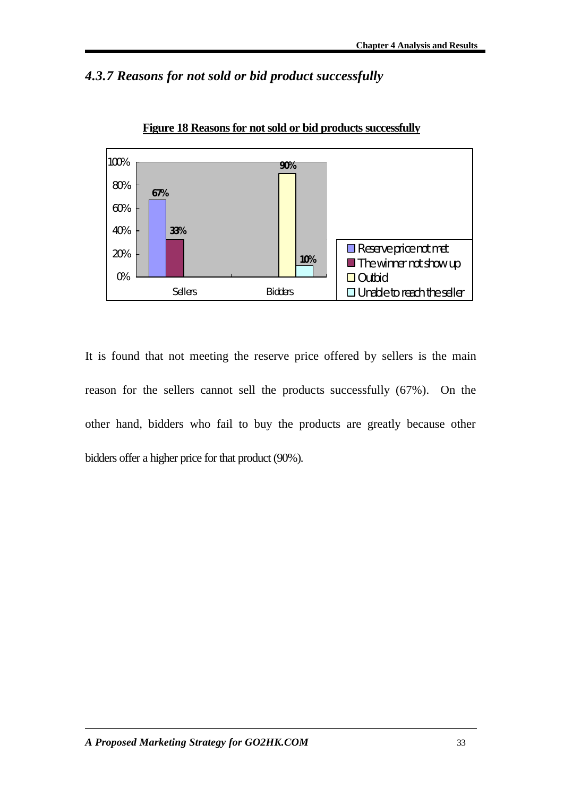# *4.3.7 Reasons for not sold or bid product successfully*



**Figure 18 Reasons for not sold or bid products successfully**

It is found that not meeting the reserve price offered by sellers is the main reason for the sellers cannot sell the products successfully (67%). On the other hand, bidders who fail to buy the products are greatly because other bidders offer a higher price for that product (90%).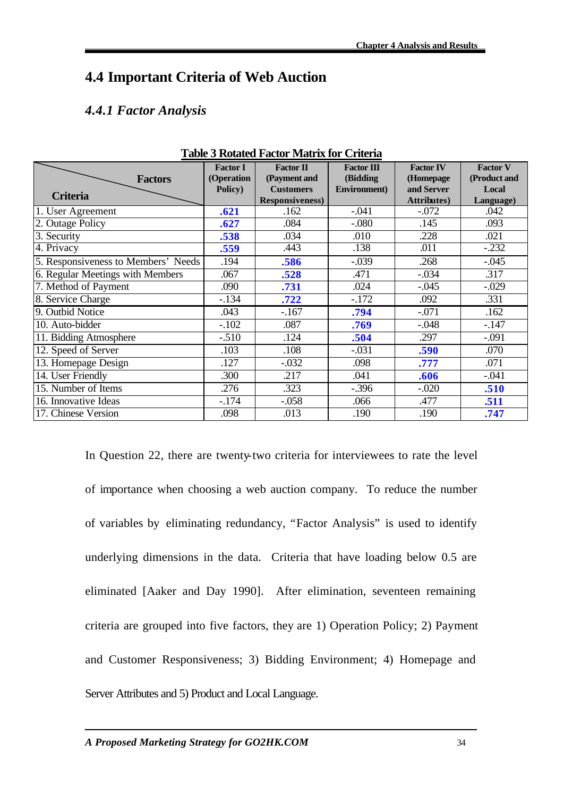# **4.4 Important Criteria of Web Auction**

## *4.4.1 Factor Analysis*

|                                     | <b>Factor I</b> | <b>Factor II</b>       | <b>Factor III</b>    | <b>Factor IV</b>    | <b>Factor V</b> |
|-------------------------------------|-----------------|------------------------|----------------------|---------------------|-----------------|
| <b>Factors</b>                      | (Operation      | (Payment and           | (Bidding             | (Homepage           | (Product and    |
|                                     | Policy)         | <b>Customers</b>       | <b>Environment</b> ) | and Server          | Local           |
| <b>Criteria</b>                     |                 | <b>Responsiveness)</b> |                      | <b>Attributes</b> ) | Language)       |
| 1. User Agreement                   | .621            | .162                   | $-.041$              | $-.072$             | .042            |
| 2. Outage Policy                    | .627            | .084                   | $-.080$              | .145                | .093            |
| 3. Security                         | .538            | .034                   | .010                 | .228                | .021            |
| 4. Privacy                          | .559            | .443                   | .138                 | .011                | $-.232$         |
| 5. Responsiveness to Members' Needs | .194            | .586                   | $-.039$              | .268                | $-.045$         |
| 6. Regular Meetings with Members    | .067            | .528                   | .471                 | $-.034$             | .317            |
| 7. Method of Payment                | .090            | .731                   | .024                 | $-.045$             | $-.029$         |
| 8. Service Charge                   | $-.134$         | .722                   | $-.172$              | .092                | .331            |
| 9. Outbid Notice                    | .043            | $-.167$                | .794                 | $-.071$             | .162            |
| 10. Auto-bidder                     | $-.102$         | .087                   | .769                 | $-.048$             | $-.147$         |
| 11. Bidding Atmosphere              | $-.510$         | .124                   | .504                 | .297                | $-.091$         |
| 12. Speed of Server                 | .103            | .108                   | $-.031$              | .590                | .070            |
| 13. Homepage Design                 | .127            | $-.032$                | .098                 | .777                | .071            |
| 14. User Friendly                   | .300            | .217                   | .041                 | .606                | $-.041$         |
| 15. Number of Items                 | .276            | .323                   | $-.396$              | $-.020$             | .510            |
| 16. Innovative Ideas                | $-.174$         | $-.058$                | .066                 | .477                | .511            |
| 17. Chinese Version                 | .098            | .013                   | .190                 | .190                | .747            |

#### **Table 3 Rotated Factor Matrix for Criteria**

In Question 22, there are twenty-two criteria for interviewees to rate the level of importance when choosing a web auction company. To reduce the number of variables by eliminating redundancy, "Factor Analysis" is used to identify underlying dimensions in the data. Criteria that have loading below 0.5 are eliminated [Aaker and Day 1990]. After elimination, seventeen remaining criteria are grouped into five factors, they are 1) Operation Policy; 2) Payment and Customer Responsiveness; 3) Bidding Environment; 4) Homepage and Server Attributes and 5) Product and Local Language.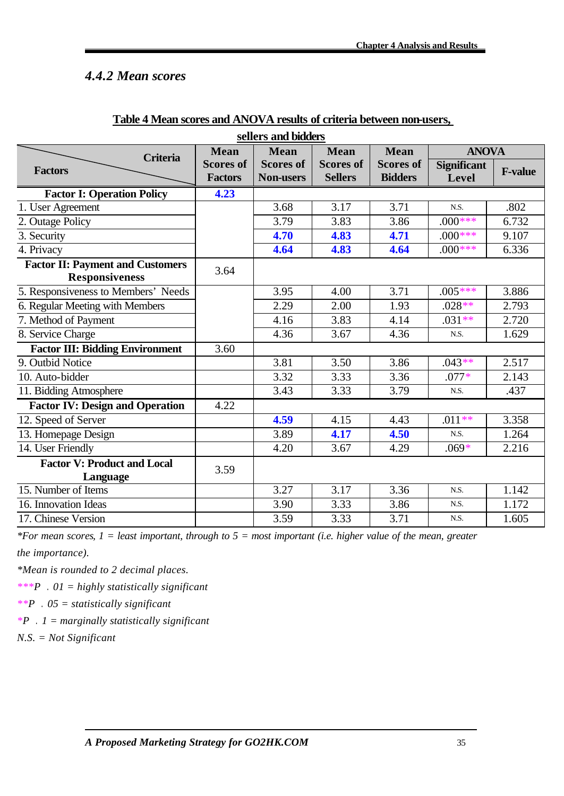# *4.4.2 Mean scores*

| sellers and bidders                                              |                                    |                                      |                                    |                                    |                             |                |
|------------------------------------------------------------------|------------------------------------|--------------------------------------|------------------------------------|------------------------------------|-----------------------------|----------------|
| <b>Criteria</b>                                                  | <b>Mean</b>                        | <b>Mean</b>                          | <b>Mean</b>                        | <b>Mean</b>                        | <b>ANOVA</b>                |                |
| <b>Factors</b>                                                   | <b>Scores of</b><br><b>Factors</b> | <b>Scores of</b><br><b>Non-users</b> | <b>Scores of</b><br><b>Sellers</b> | <b>Scores of</b><br><b>Bidders</b> | <b>Significant</b><br>Level | <b>F-value</b> |
| <b>Factor I: Operation Policy</b>                                | 4.23                               |                                      |                                    |                                    |                             |                |
| 1. User Agreement                                                |                                    | 3.68                                 | 3.17                               | 3.71                               | N.S.                        | .802           |
| 2. Outage Policy                                                 |                                    | 3.79                                 | 3.83                               | 3.86                               | $.000***$                   | 6.732          |
| 3. Security                                                      |                                    | 4.70                                 | 4.83                               | 4.71                               | $.000$ ***                  | 9.107          |
| 4. Privacy                                                       |                                    | 4.64                                 | 4.83                               | 4.64                               | $.000***$                   | 6.336          |
| <b>Factor II: Payment and Customers</b><br><b>Responsiveness</b> | 3.64                               |                                      |                                    |                                    |                             |                |
| 5. Responsiveness to Members' Needs                              |                                    | 3.95                                 | 4.00                               | 3.71                               | $.005***$                   | 3.886          |
| 6. Regular Meeting with Members                                  |                                    | 2.29                                 | 2.00                               | 1.93                               | $.028**$                    | 2.793          |
| 7. Method of Payment                                             |                                    | 4.16                                 | 3.83                               | 4.14                               | $.031**$                    | 2.720          |
| 8. Service Charge                                                |                                    | 4.36                                 | 3.67                               | 4.36                               | N.S.                        | 1.629          |
| <b>Factor III: Bidding Environment</b>                           | 3.60                               |                                      |                                    |                                    |                             |                |
| 9. Outbid Notice                                                 |                                    | 3.81                                 | 3.50                               | 3.86                               | $.043**$                    | 2.517          |
| 10. Auto-bidder                                                  |                                    | 3.32                                 | 3.33                               | 3.36                               | $.077*$                     | 2.143          |
| 11. Bidding Atmosphere                                           |                                    | 3.43                                 | 3.33                               | 3.79                               | N.S.                        | .437           |
| <b>Factor IV: Design and Operation</b>                           | 4.22                               |                                      |                                    |                                    |                             |                |
| 12. Speed of Server                                              |                                    | 4.59                                 | 4.15                               | 4.43                               | $.011**$                    | 3.358          |
| 13. Homepage Design                                              |                                    | 3.89                                 | 4.17                               | 4.50                               | N.S.                        | 1.264          |
| 14. User Friendly                                                |                                    | 4.20                                 | 3.67                               | 4.29                               | $.069*$                     | 2.216          |
| <b>Factor V: Product and Local</b><br>Language                   | 3.59                               |                                      |                                    |                                    |                             |                |
| 15. Number of Items                                              |                                    | 3.27                                 | 3.17                               | 3.36                               | N.S.                        | 1.142          |
| 16. Innovation Ideas                                             |                                    | 3.90                                 | 3.33                               | 3.86                               | N.S.                        | 1.172          |
| 17. Chinese Version                                              |                                    | 3.59                                 | 3.33                               | 3.71                               | N.S.                        | 1.605          |

### **Table 4 Mean scores and ANOVA results of criteria between non-users,**

*\*For mean scores, 1 = least important, through to 5 = most important (i.e. higher value of the mean, greater* 

*the importance).*

*\*Mean is rounded to 2 decimal places.*

*\*\*\*P .01 = highly statistically significant*

*\*\*P .05 = statistically significant* 

*\*P .1 = marginally statistically significant* 

*N.S. = Not Significant*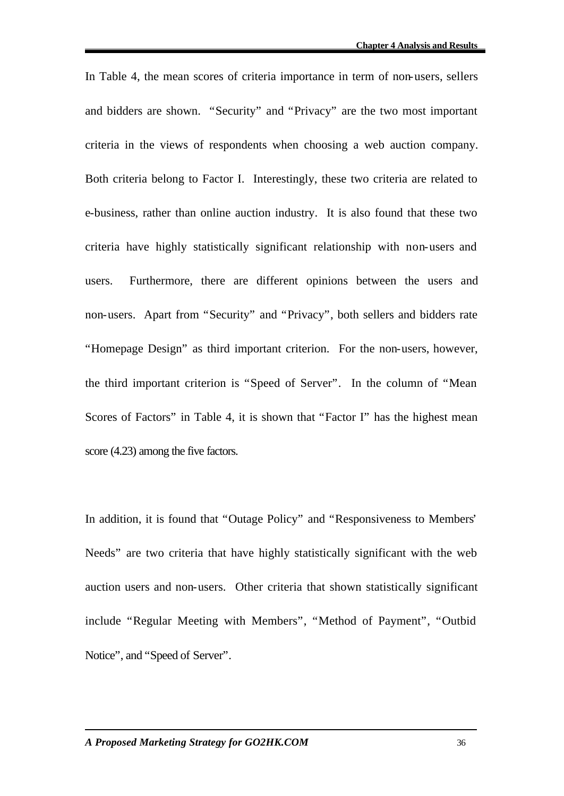In Table 4, the mean scores of criteria importance in term of non-users, sellers and bidders are shown. "Security" and "Privacy" are the two most important criteria in the views of respondents when choosing a web auction company. Both criteria belong to Factor I. Interestingly, these two criteria are related to e-business, rather than online auction industry. It is also found that these two criteria have highly statistically significant relationship with non-users and users. Furthermore, there are different opinions between the users and non-users. Apart from "Security" and "Privacy", both sellers and bidders rate "Homepage Design" as third important criterion. For the non-users, however, the third important criterion is "Speed of Server". In the column of "Mean Scores of Factors" in Table 4, it is shown that "Factor I" has the highest mean score (4.23) among the five factors.

In addition, it is found that "Outage Policy" and "Responsiveness to Members' Needs" are two criteria that have highly statistically significant with the web auction users and non-users. Other criteria that shown statistically significant include "Regular Meeting with Members", "Method of Payment", "Outbid Notice", and "Speed of Server".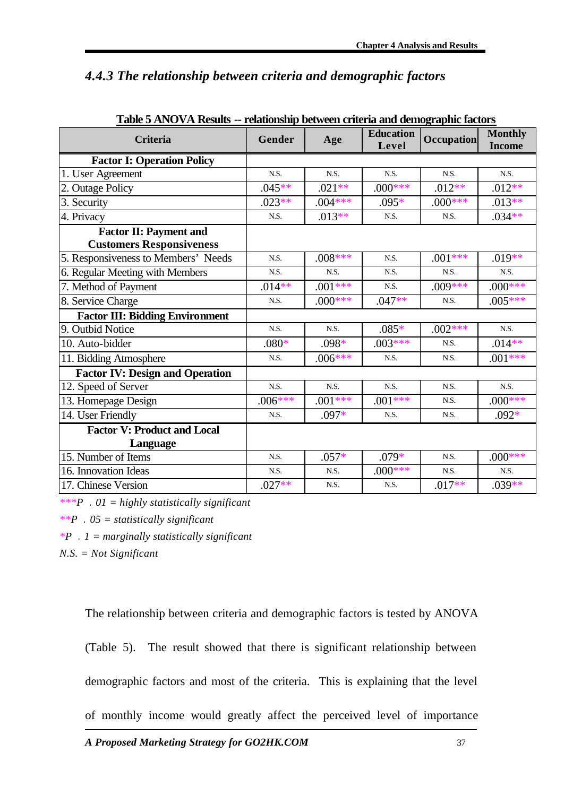# *4.4.3 The relationship between criteria and demographic factors*

| <b>Criteria</b>                                                  | Gender    | Age        | <b>Education</b><br>Level | <b>Occupation</b> | <b>Monthly</b><br><b>Income</b> |
|------------------------------------------------------------------|-----------|------------|---------------------------|-------------------|---------------------------------|
| <b>Factor I: Operation Policy</b>                                |           |            |                           |                   |                                 |
| 1. User Agreement                                                | N.S.      | N.S.       | N.S.                      | N.S.              | N.S.                            |
| 2. Outage Policy                                                 | $.045**$  | $.021**$   | $.000***$                 | $.012**$          | $.012**$                        |
| 3. Security                                                      | $.023**$  | $.004***$  | $.095*$                   | $.000***$         | $.013**$                        |
| $\overline{4}$ . Privacy                                         | N.S.      | $.013**$   | N.S.                      | N.S.              | $.034**$                        |
| <b>Factor II: Payment and</b><br><b>Customers Responsiveness</b> |           |            |                           |                   |                                 |
| 5. Responsiveness to Members' Needs                              | N.S.      | $.008***$  | N.S.                      | $.001***$         | $.019**$                        |
| 6. Regular Meeting with Members                                  | N.S.      | N.S.       | N.S.                      | N.S.              | N.S.                            |
| 7. Method of Payment                                             | $.014**$  | $.001***$  | N.S.                      | $.009***$         | $.000$ ***                      |
| 8. Service Charge                                                | N.S.      | $.000$ *** | $.047**$                  | N.S.              | $.005***$                       |
| <b>Factor III: Bidding Environment</b>                           |           |            |                           |                   |                                 |
| 9. Outbid Notice                                                 | N.S.      | N.S.       | $.085*$                   | $.002***$         | N.S.                            |
| 10. Auto-bidder                                                  | $.080*$   | .098*      | $.003***$                 | N.S.              | $.014**$                        |
| 11. Bidding Atmosphere                                           | N.S.      | $.006***$  | N.S.                      | N.S.              | $.001***$                       |
| <b>Factor IV: Design and Operation</b>                           |           |            |                           |                   |                                 |
| 12. Speed of Server                                              | N.S.      | N.S.       | N.S.                      | N.S.              | N.S.                            |
| 13. Homepage Design                                              | $.006***$ | $.001***$  | $.001***$                 | N.S.              | $.000$ ***                      |
| 14. User Friendly                                                | N.S.      | $.097*$    | N.S.                      | N.S.              | $.092*$                         |
| <b>Factor V: Product and Local</b><br>Language                   |           |            |                           |                   |                                 |
| 15. Number of Items                                              | N.S.      | $.057*$    | $.079*$                   | N.S.              | $.000$ ***                      |
| 16. Innovation Ideas                                             | N.S.      | N.S.       | $.000$ ***                | N.S.              | N.S.                            |
| 17. Chinese Version                                              | $.027**$  | N.S.       | N.S.                      | $.017**$          | $.039**$                        |

**Table 5 ANOVA Results -- relationship between criteria and demographic factors**

*\*\*\*P .01 = highly statistically significant*

*\*\*P .05 = statistically significant* 

*\*P .1 = marginally statistically significant* 

*N.S. = Not Significant*

The relationship between criteria and demographic factors is tested by ANOVA

(Table 5). The result showed that there is significant relationship between

demographic factors and most of the criteria. This is explaining that the level

of monthly income would greatly affect the perceived level of importance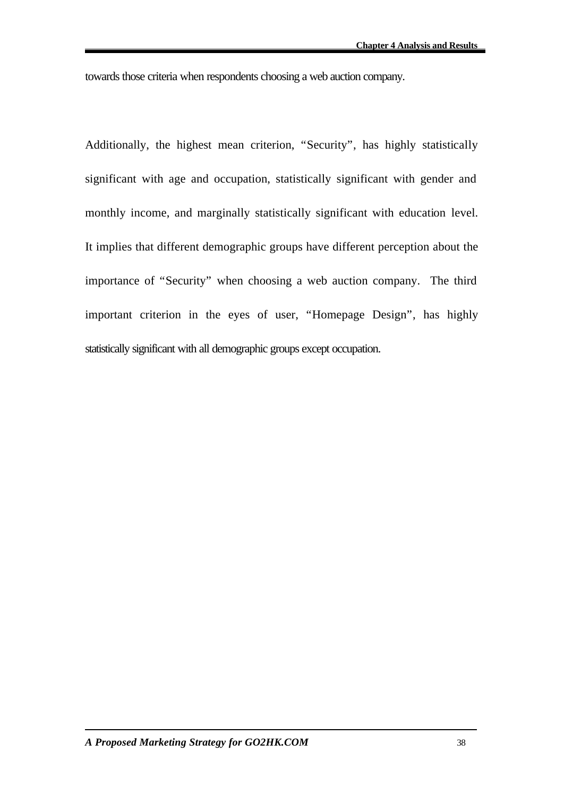towards those criteria when respondents choosing a web auction company.

Additionally, the highest mean criterion, "Security", has highly statistically significant with age and occupation, statistically significant with gender and monthly income, and marginally statistically significant with education level. It implies that different demographic groups have different perception about the importance of "Security" when choosing a web auction company. The third important criterion in the eyes of user, "Homepage Design", has highly statistically significant with all demographic groups except occupation.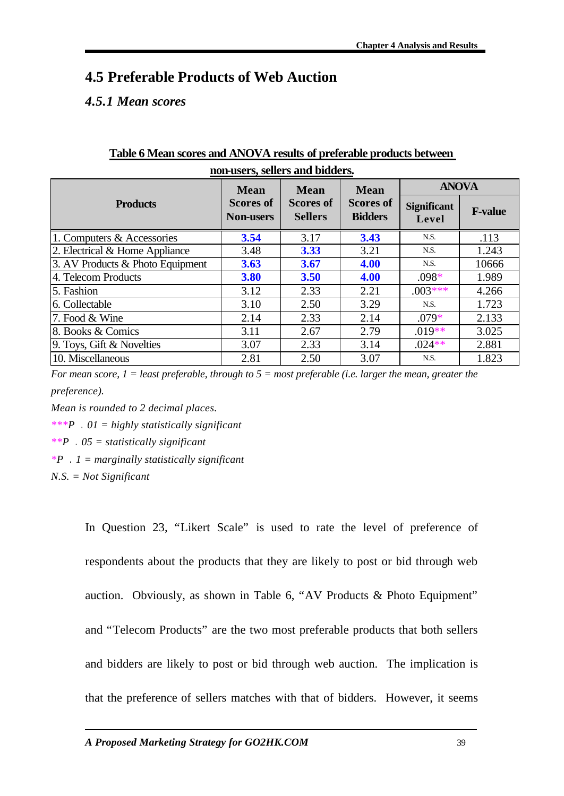# **4.5 Preferable Products of Web Auction**

# *4.5.1 Mean scores*

|                                    | <b>Mean</b>                          | <b>Mean</b>                        | <b>Mean</b>                        | <b>ANOVA</b>                |                |
|------------------------------------|--------------------------------------|------------------------------------|------------------------------------|-----------------------------|----------------|
| <b>Products</b>                    | <b>Scores of</b><br><b>Non-users</b> | <b>Scores of</b><br><b>Sellers</b> | <b>Scores of</b><br><b>Bidders</b> | <b>Significant</b><br>Level | <b>F-value</b> |
| 1. Computers & Accessories         | 3.54                                 | 3.17                               | 3.43                               | N.S.                        | .113           |
| 2. Electrical $&$ Home Appliance   | 3.48                                 | 3.33                               | 3.21                               | N.S.                        | 1.243          |
| 3. AV Products $&$ Photo Equipment | <b>3.63</b>                          | 3.67                               | 4.00                               | N.S.                        | 10666          |
| 4. Telecom Products                | 3.80                                 | <b>3.50</b>                        | 4.00                               | $.098*$                     | 1.989          |
| 5. Fashion                         | 3.12                                 | 2.33                               | 2.21                               | $.003***$                   | 4.266          |
| 6. Collectable                     | 3.10                                 | 2.50                               | 3.29                               | N.S.                        | 1.723          |
| 7. Food & Wine                     | 2.14                                 | 2.33                               | 2.14                               | $.079*$                     | 2.133          |
| 8. Books & Comics                  | 3.11                                 | 2.67                               | 2.79                               | $.019**$                    | 3.025          |
| 9. Toys, Gift & Novelties          | 3.07                                 | 2.33                               | 3.14                               | $.024**$                    | 2.881          |
| 10. Miscellaneous                  | 2.81                                 | 2.50                               | 3.07                               | N.S.                        | 1.823          |

### **Table 6 Mean scores and ANOVA results of preferable products between non-users, sellers and bidders.**

*For mean score, 1 = least preferable, through to 5 = most preferable (i.e. larger the mean, greater the preference).*

*Mean is rounded to 2 decimal places.*

*\*\*\*P .01 = highly statistically significant*

*\*\*P .05 = statistically significant*

*\*P .1 = marginally statistically significant*

*N.S. = Not Significant*

In Question 23, "Likert Scale" is used to rate the level of preference of respondents about the products that they are likely to post or bid through web auction. Obviously, as shown in Table 6, "AV Products & Photo Equipment" and "Telecom Products" are the two most preferable products that both sellers and bidders are likely to post or bid through web auction. The implication is that the preference of sellers matches with that of bidders. However, it seems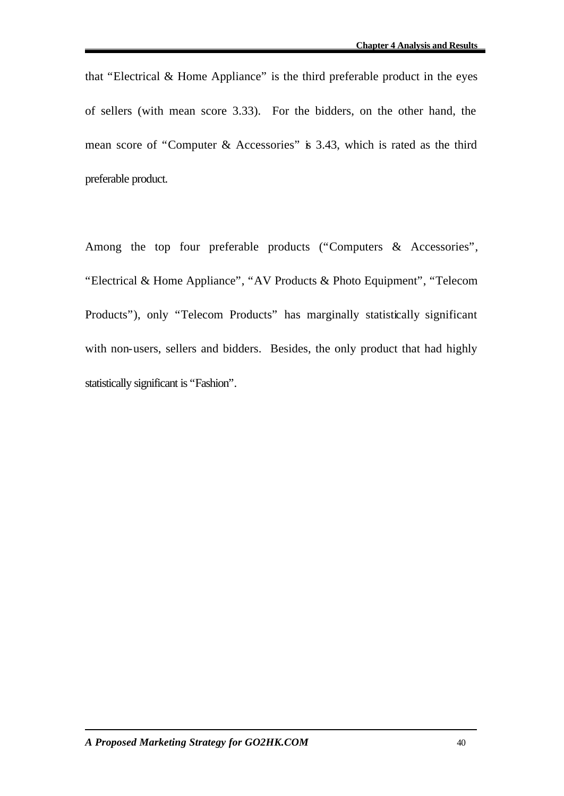that "Electrical & Home Appliance" is the third preferable product in the eyes of sellers (with mean score 3.33). For the bidders, on the other hand, the mean score of "Computer & Accessories" is 3.43, which is rated as the third preferable product.

Among the top four preferable products ("Computers & Accessories", "Electrical & Home Appliance", "AV Products & Photo Equipment", "Telecom Products"), only "Telecom Products" has marginally statistically significant with non-users, sellers and bidders. Besides, the only product that had highly statistically significant is "Fashion".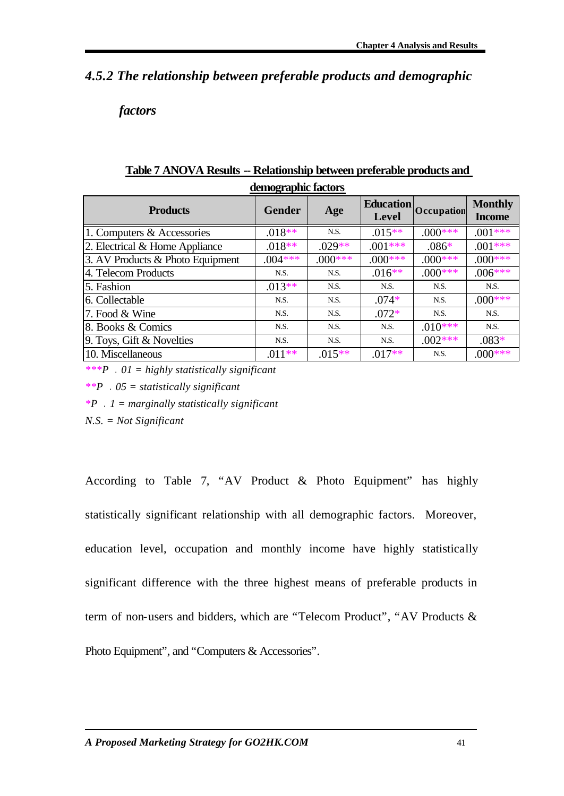# *4.5.2 The relationship between preferable products and demographic*

### *factors*

| demographic factors              |               |           |                           |            |                                 |  |
|----------------------------------|---------------|-----------|---------------------------|------------|---------------------------------|--|
| <b>Products</b>                  | <b>Gender</b> | Age       | <b>Education</b><br>Level | Occupation | <b>Monthly</b><br><b>Income</b> |  |
| 1. Computers & Accessories       | $.018**$      | N.S.      | $.015**$                  | $.000***$  | $.001***$                       |  |
| 2. Electrical & Home Appliance   | $.018**$      | $.029**$  | $.001***$                 | $.086*$    | $.001***$                       |  |
| 3. AV Products & Photo Equipment | $.004***$     | $.000***$ | $.000***$                 | $.000***$  | $.000***$                       |  |
| 4. Telecom Products              | N.S.          | N.S.      | $.016**$                  | $.000***$  | $.006***$                       |  |
| 5. Fashion                       | $.013**$      | N.S.      | N.S.                      | N.S.       | N.S.                            |  |
| 6. Collectable                   | N.S.          | N.S.      | $.074*$                   | N.S.       | $.000$ ***                      |  |
| 7. Food & Wine                   | N.S.          | N.S.      | $.072*$                   | N.S.       | N.S.                            |  |
| 8. Books & Comics                | N.S.          | N.S.      | N.S.                      | $.010***$  | N.S.                            |  |
| 9. Toys, Gift & Novelties        | N.S.          | N.S.      | N.S.                      | $.002***$  | $.083*$                         |  |
| 10. Miscellaneous                | $.011**$      | $.015**$  | $.017**$                  | N.S.       | $.000$ ***                      |  |

# **Table 7 ANOVA Results -- Relationship between preferable products and**

*\*\*\*P .01 = highly statistically significant*

*\*\*P .05 = statistically significant*

*\*P .1 = marginally statistically significant*

*N.S. = Not Significant*

According to Table 7, "AV Product & Photo Equipment" has highly statistically significant relationship with all demographic factors. Moreover, education level, occupation and monthly income have highly statistically significant difference with the three highest means of preferable products in term of non-users and bidders, which are "Telecom Product", "AV Products & Photo Equipment", and "Computers & Accessories".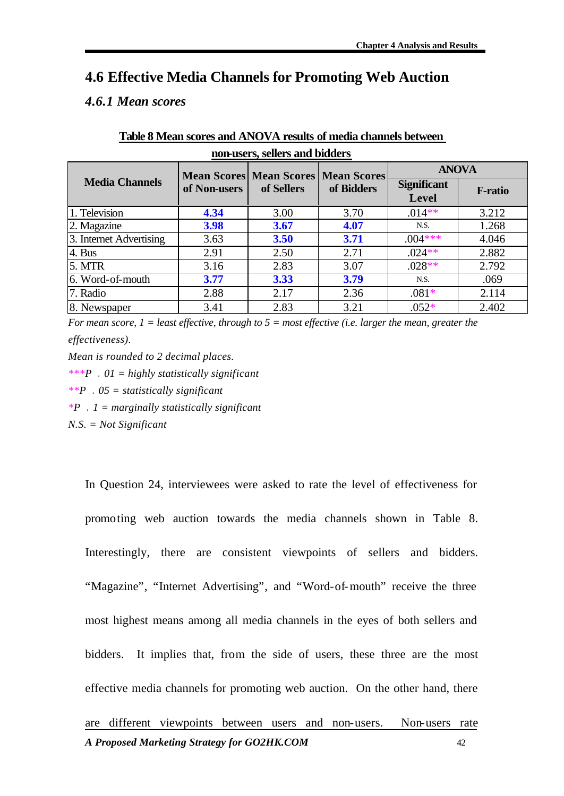## **4.6 Effective Media Channels for Promoting Web Auction**

### *4.6.1 Mean scores*

| non-users, sellers and bidders |              |                                |                    |                    |                |  |
|--------------------------------|--------------|--------------------------------|--------------------|--------------------|----------------|--|
|                                |              | <b>Mean Scores Mean Scores</b> | <b>Mean Scores</b> | <b>ANOVA</b>       |                |  |
| <b>Media Channels</b>          | of Non-users | of Sellers                     | of Bidders         | <b>Significant</b> | <b>F-ratio</b> |  |
|                                |              |                                |                    | Level              |                |  |
| 1. Television                  | 4.34         | 3.00                           | 3.70               | $.014**$           | 3.212          |  |
| 2. Magazine                    | 3.98         | 3.67                           | 4.07               | N.S.               | 1.268          |  |
| 3. Internet Advertising        | 3.63         | 3.50                           | 3.71               | $.004***$          | 4.046          |  |
| 4. Bus                         | 2.91         | 2.50                           | 2.71               | $.024**$           | 2.882          |  |
| 5. MTR                         | 3.16         | 2.83                           | 3.07               | $.028**$           | 2.792          |  |
| 6. Word-of-mouth               | 3.77         | 3.33                           | 3.79               | N.S.               | .069           |  |
| 7. Radio                       | 2.88         | 2.17                           | 2.36               | $.081*$            | 2.114          |  |
| 8. Newspaper                   | 3.41         | 2.83                           | 3.21               | $.052*$            | 2.402          |  |

# **Table 8 Mean scores and ANOVA results of media channels between**

*For mean score, 1 = least effective, through to 5 = most effective (i.e. larger the mean, greater the effectiveness).*

*Mean is rounded to 2 decimal places.*

*\*\*\*P .01 = highly statistically significant*

*\*\*P .05 = statistically significant*

*\*P .1 = marginally statistically significant*

*N.S. = Not Significant*

*A Proposed Marketing Strategy for GO2HK.COM* 42 In Question 24, interviewees were asked to rate the level of effectiveness for promoting web auction towards the media channels shown in Table 8. Interestingly, there are consistent viewpoints of sellers and bidders. "Magazine", "Internet Advertising", and "Word-of-mouth" receive the three most highest means among all media channels in the eyes of both sellers and bidders. It implies that, from the side of users, these three are the most effective media channels for promoting web auction. On the other hand, there are different viewpoints between users and non-users. Non-users rate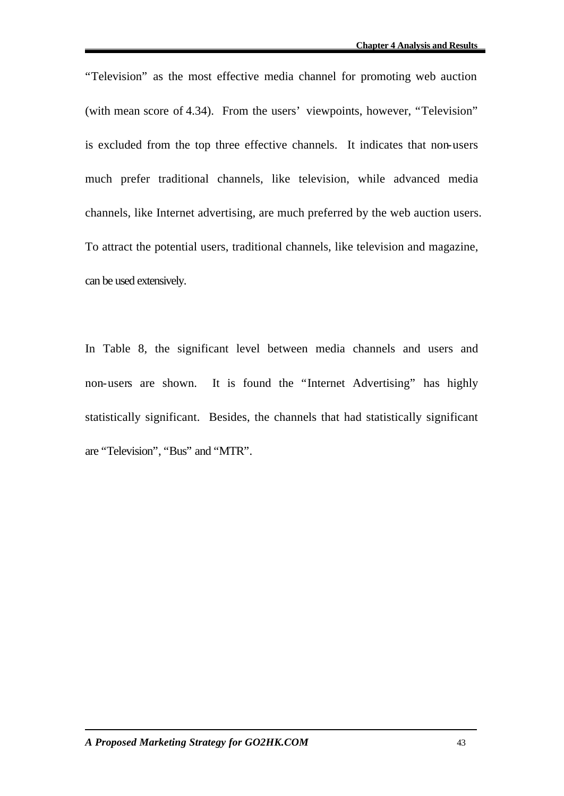"Television" as the most effective media channel for promoting web auction (with mean score of 4.34). From the users' viewpoints, however, "Television" is excluded from the top three effective channels. It indicates that non-users much prefer traditional channels, like television, while advanced media channels, like Internet advertising, are much preferred by the web auction users. To attract the potential users, traditional channels, like television and magazine, can be used extensively.

In Table 8, the significant level between media channels and users and non-users are shown. It is found the "Internet Advertising" has highly statistically significant. Besides, the channels that had statistically significant are "Television", "Bus" and "MTR".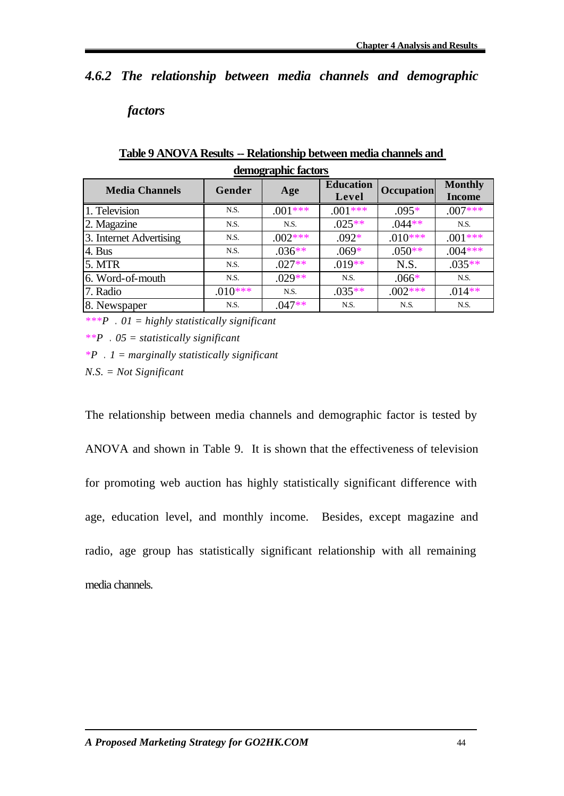# *4.6.2 The relationship between media channels and demographic*

### *factors*

| uunvgrapmu lauwro |           |                           |                   |                                 |  |
|-------------------|-----------|---------------------------|-------------------|---------------------------------|--|
| Gender            | Age       | <b>Education</b><br>Level | <b>Occupation</b> | <b>Monthly</b><br><b>Income</b> |  |
| N.S.              | $.001***$ | $.001***$                 | $.095*$           | $.007***$                       |  |
| N.S.              | N.S.      | $.025**$                  | $.044**$          | N.S.                            |  |
| N.S.              | $.002***$ | $.092*$                   | $.010***$         | $.001***$                       |  |
| N.S.              | $.036**$  | $.069*$                   | $.050**$          | $.004***$                       |  |
| N.S.              | $.027**$  | $.019**$                  | N.S.              | $.035**$                        |  |
| N.S.              | $.029**$  | N.S.                      | $.066*$           | N.S.                            |  |
| $.010***$         | N.S.      | $.035**$                  | $.002***$         | $.014**$                        |  |
| N.S.              | $.047**$  | N.S.                      | N.S.              | N.S.                            |  |
|                   |           |                           |                   |                                 |  |

#### **Table 9 ANOVA Results -- Relationship between media channels and demographic factors**

*\*\*\*P .01 = highly statistically significant*

*\*\*P .05 = statistically significant*

*\*P .1 = marginally statistically significant*

*N.S. = Not Significant*

The relationship between media channels and demographic factor is tested by ANOVA and shown in Table 9. It is shown that the effectiveness of television for promoting web auction has highly statistically significant difference with age, education level, and monthly income. Besides, except magazine and radio, age group has statistically significant relationship with all remaining media channels.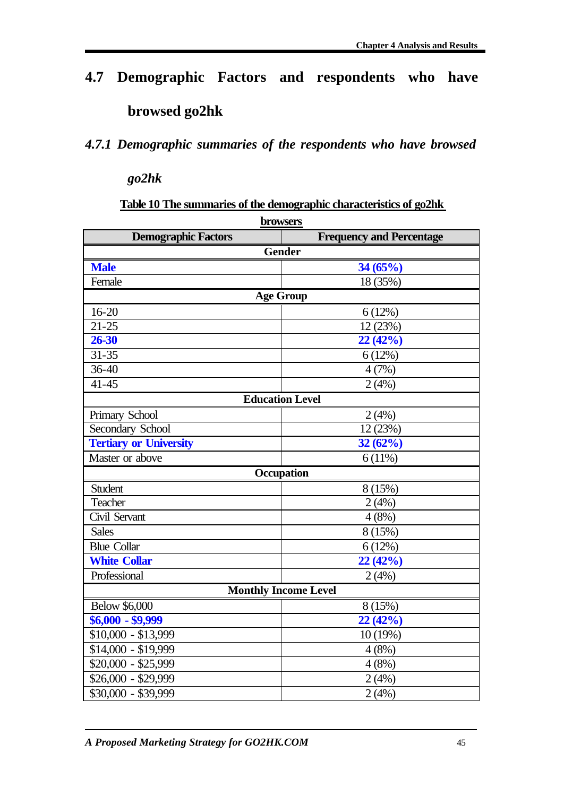# **4.7 Demographic Factors and respondents who have browsed go2hk**

# *4.7.1 Demographic summaries of the respondents who have browsed*

*go2hk*

### **Table 10 The summaries of the demographic characteristics of go2hk**

| browsers                      |                                 |  |  |  |  |
|-------------------------------|---------------------------------|--|--|--|--|
| <b>Demographic Factors</b>    | <b>Frequency and Percentage</b> |  |  |  |  |
| <b>Gender</b>                 |                                 |  |  |  |  |
| <b>Male</b>                   | 34(65%)                         |  |  |  |  |
| Female                        | 18 (35%)                        |  |  |  |  |
| <b>Age Group</b>              |                                 |  |  |  |  |
| $16 - 20$                     | 6(12%)                          |  |  |  |  |
| $21 - 25$                     | 12 (23%)                        |  |  |  |  |
| 26-30                         | 22(42%)                         |  |  |  |  |
| $31 - 35$                     | 6(12%)                          |  |  |  |  |
| $36 - 40$                     | 4(7%)                           |  |  |  |  |
| $41 - 45$                     | 2(4%)                           |  |  |  |  |
| <b>Education Level</b>        |                                 |  |  |  |  |
| Primary School                | 2(4%)                           |  |  |  |  |
| Secondary School              | 12 (23%)                        |  |  |  |  |
| <b>Tertiary or University</b> | 32(62%)                         |  |  |  |  |
| Master or above               | 6(11%)                          |  |  |  |  |
| Occupation                    |                                 |  |  |  |  |
| Student                       | 8(15%)                          |  |  |  |  |
| Teacher                       | 2(4%)                           |  |  |  |  |
| Civil Servant                 | 4(8%)                           |  |  |  |  |
| <b>Sales</b>                  | 8(15%)                          |  |  |  |  |
| <b>Blue Collar</b>            | 6(12%)                          |  |  |  |  |
| <b>White Collar</b>           | 22(42%)                         |  |  |  |  |
| Professional                  | 2(4%)                           |  |  |  |  |
| <b>Monthly Income Level</b>   |                                 |  |  |  |  |
| <b>Below \$6,000</b>          | 8 (15%)                         |  |  |  |  |
| $$6,000 - $9,999$             | 22(42%)                         |  |  |  |  |
| \$10,000 - \$13,999           | 10(19%)                         |  |  |  |  |
| $$14,000 - $19,999$           | 4(8%)                           |  |  |  |  |
| $$20,000 - $25,999$           | 4(8%)                           |  |  |  |  |
| $$26,000 - $29,999$           | 2(4%)                           |  |  |  |  |
| $$30,000 - $39,999$           | 2(4%)                           |  |  |  |  |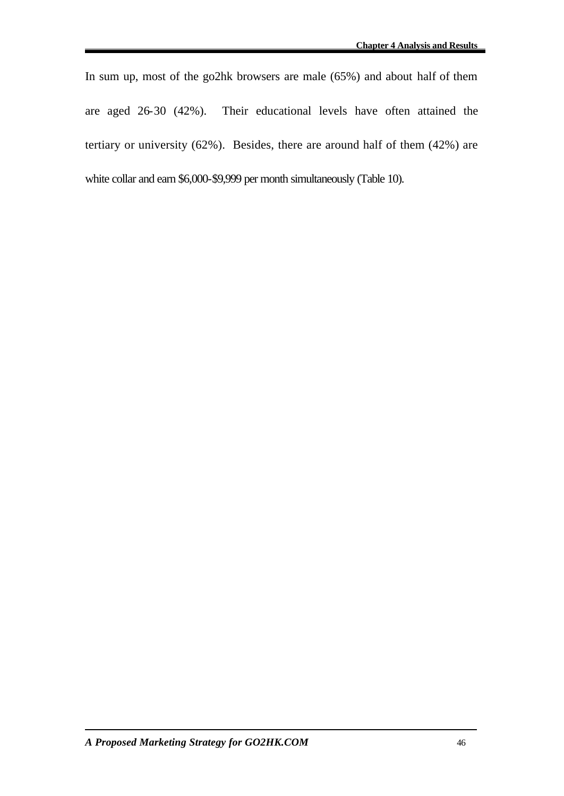In sum up, most of the go2hk browsers are male (65%) and about half of them are aged 26-30 (42%). Their educational levels have often attained the tertiary or university (62%). Besides, there are around half of them (42%) are white collar and earn \$6,000-\$9,999 per month simultaneously (Table 10).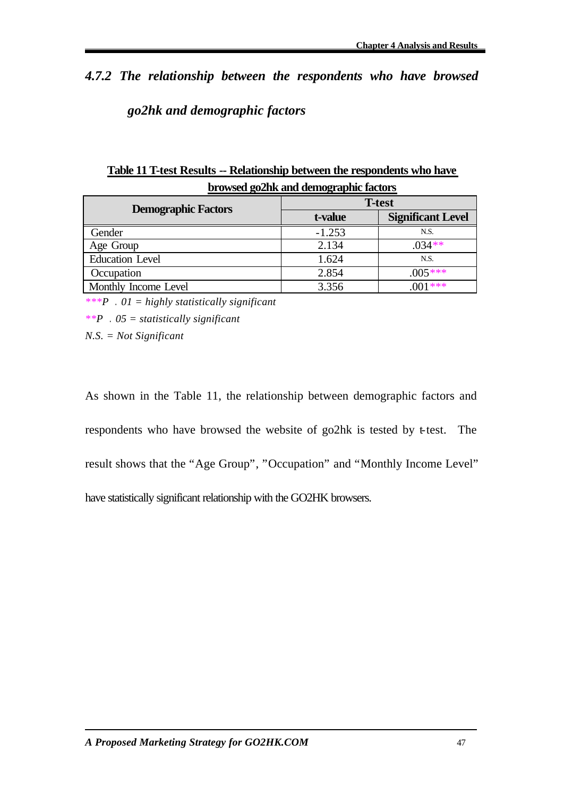# *4.7.2 The relationship between the respondents who have browsed go2hk and demographic factors*

| Drowsed gozink and demographic factors |                          |  |  |  |  |  |
|----------------------------------------|--------------------------|--|--|--|--|--|
| <b>T-test</b>                          |                          |  |  |  |  |  |
| t-value                                | <b>Significant Level</b> |  |  |  |  |  |
| $-1.253$                               | N.S.                     |  |  |  |  |  |
| 2.134                                  | $.034**$                 |  |  |  |  |  |
| 1.624                                  | N.S.                     |  |  |  |  |  |
| 2.854                                  | $.005***$                |  |  |  |  |  |
| 3.356                                  | $001$ ***                |  |  |  |  |  |
|                                        |                          |  |  |  |  |  |

**Table 11 T-test Results -- Relationship between the respondents who have browsed go2hk and demographic factors**

*\*\*\*P .01 = highly statistically significant*

*\*\*P .05 = statistically significant*

*N.S. = Not Significant*

As shown in the Table 11, the relationship between demographic factors and respondents who have browsed the website of go2hk is tested by t-test. The result shows that the "Age Group", "Occupation" and "Monthly Income Level" have statistically significant relationship with the GO2HK browsers.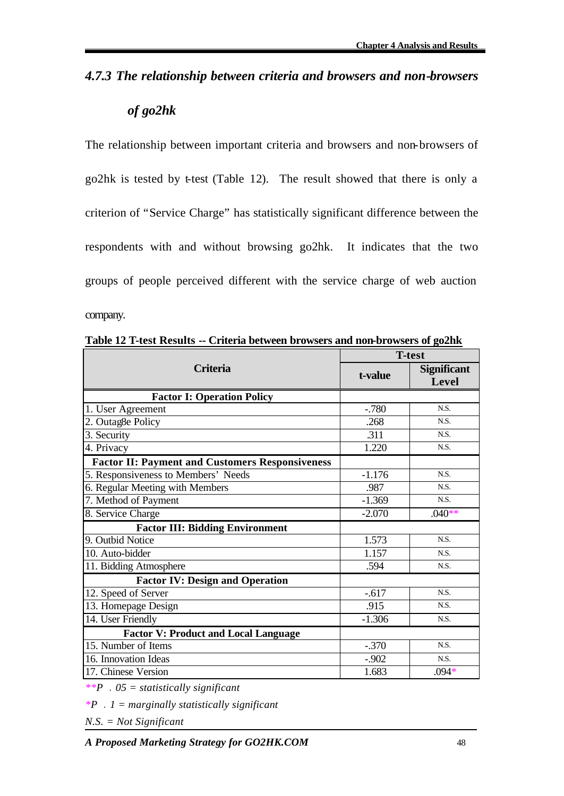# *4.7.3 The relationship between criteria and browsers and non-browsers*

# *of go2hk*

The relationship between important criteria and browsers and non-browsers of go2hk is tested by t-test (Table 12). The result showed that there is only a criterion of "Service Charge" has statistically significant difference between the respondents with and without browsing go2hk. It indicates that the two groups of people perceived different with the service charge of web auction company.

|                                                        | <b>T-test</b> |                             |  |
|--------------------------------------------------------|---------------|-----------------------------|--|
| <b>Criteria</b>                                        | t-value       | <b>Significant</b><br>Level |  |
| <b>Factor I: Operation Policy</b>                      |               |                             |  |
| 1. User Agreement                                      | $-0.780$      | N.S.                        |  |
| 2. Outag8e Policy                                      | .268          | N.S.                        |  |
| 3. Security                                            | .311          | N.S.                        |  |
| 4. Privacy                                             | 1.220         | N.S.                        |  |
| <b>Factor II: Payment and Customers Responsiveness</b> |               |                             |  |
| 5. Responsiveness to Members' Needs                    | $-1.176$      | N.S.                        |  |
| 6. Regular Meeting with Members                        | .987          | N.S.                        |  |
| 7. Method of Payment                                   | $-1.369$      | N.S.                        |  |
| 8. Service Charge                                      | $-2.070$      | $.040**$                    |  |
| <b>Factor III: Bidding Environment</b>                 |               |                             |  |
| 9. Outbid Notice                                       | 1.573         | N.S.                        |  |
| 10. Auto-bidder                                        | 1.157         | N.S.                        |  |
| 11. Bidding Atmosphere                                 | .594          | N.S.                        |  |
| <b>Factor IV: Design and Operation</b>                 |               |                             |  |
| 12. Speed of Server                                    | $-0.617$      | N.S.                        |  |
| 13. Homepage Design                                    | .915          | N.S.                        |  |
| 14. User Friendly                                      | $-1.306$      | N.S.                        |  |
| <b>Factor V: Product and Local Language</b>            |               |                             |  |
| 15. Number of Items                                    | $-.370$       | N.S.                        |  |
| 16. Innovation Ideas                                   | $-.902$       | N.S.                        |  |
| 17. Chinese Version                                    | 1.683         | $.094*$                     |  |

**Table 12 T-test Results -- Criteria between browsers and non-browsers of go2hk**

*\*\*P .05 = statistically significant*

*\*P .1 = marginally statistically significant*

*N.S. = Not Significant*

*A Proposed Marketing Strategy for GO2HK.COM* 48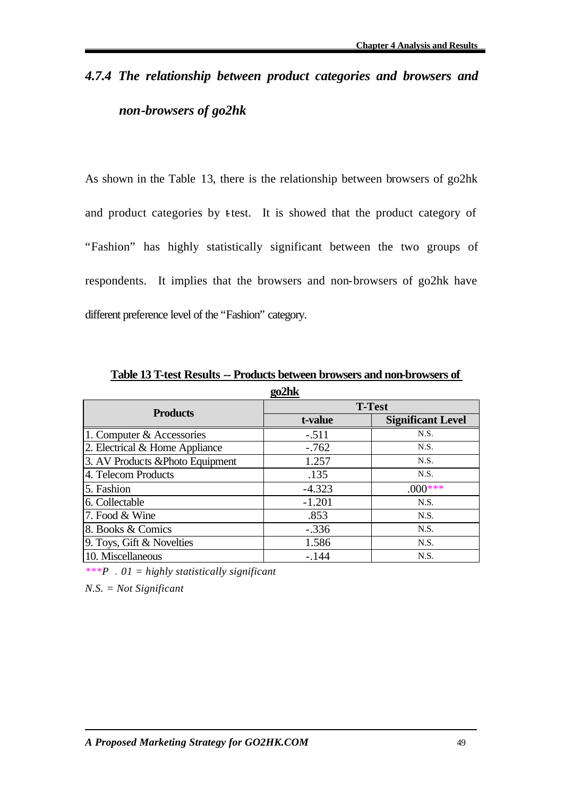# *4.7.4 The relationship between product categories and browsers and non-browsers of go2hk*

As shown in the Table 13, there is the relationship between browsers of go2hk and product categories by t-test. It is showed that the product category of "Fashion" has highly statistically significant between the two groups of respondents. It implies that the browsers and non-browsers of go2hk have different preference level of the "Fashion" category.

| go2hk                            |               |                          |  |  |  |
|----------------------------------|---------------|--------------------------|--|--|--|
| <b>Products</b>                  | <b>T-Test</b> |                          |  |  |  |
|                                  | t-value       | <b>Significant Level</b> |  |  |  |
| 1. Computer & Accessories        | $-.511$       | N.S.                     |  |  |  |
| 2. Electrical & Home Appliance   | $-.762$       | N.S.                     |  |  |  |
| 3. AV Products & Photo Equipment | 1.257         | N.S.                     |  |  |  |
| 4. Telecom Products              | .135          | N.S.                     |  |  |  |
| 5. Fashion                       | $-4.323$      | $.000$ ***               |  |  |  |
| 6. Collectable                   | $-1.201$      | N.S.                     |  |  |  |
| 7. Food & Wine                   | .853          | N.S.                     |  |  |  |
| 8. Books & Comics                | $-.336$       | N.S.                     |  |  |  |
| 9. Toys, Gift & Novelties        | 1.586         | N.S.                     |  |  |  |
| 10. Miscellaneous                | $-.144$       | N.S.                     |  |  |  |

**Table 13 T-test Results -- Products between browsers and non-browsers of** 

*\*\*\*P .01 = highly statistically significant*

*N.S. = Not Significant*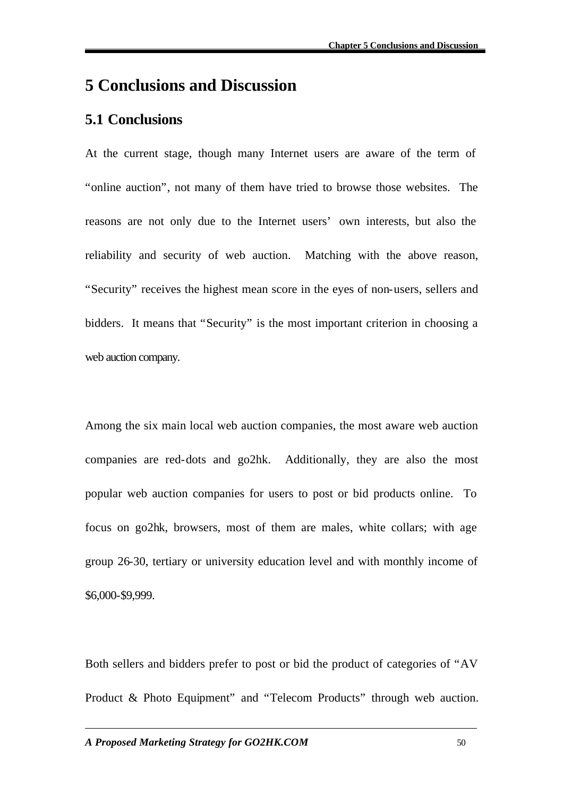# **5 Conclusions and Discussion**

# **5.1 Conclusions**

At the current stage, though many Internet users are aware of the term of "online auction", not many of them have tried to browse those websites. The reasons are not only due to the Internet users' own interests, but also the reliability and security of web auction. Matching with the above reason, "Security" receives the highest mean score in the eyes of non-users, sellers and bidders. It means that "Security" is the most important criterion in choosing a web auction company.

Among the six main local web auction companies, the most aware web auction companies are red-dots and go2hk. Additionally, they are also the most popular web auction companies for users to post or bid products online. To focus on go2hk, browsers, most of them are males, white collars; with age group 26-30, tertiary or university education level and with monthly income of \$6,000-\$9,999.

Both sellers and bidders prefer to post or bid the product of categories of "AV Product & Photo Equipment" and "Telecom Products" through web auction.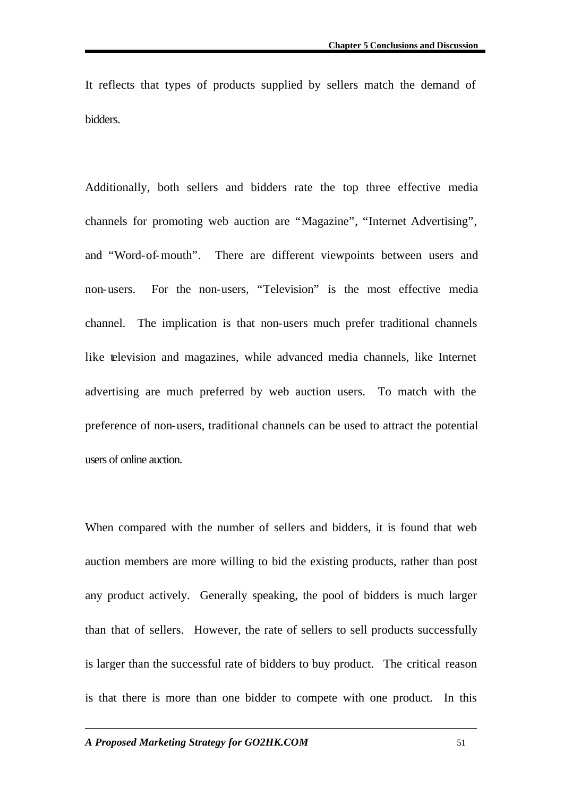It reflects that types of products supplied by sellers match the demand of bidders.

Additionally, both sellers and bidders rate the top three effective media channels for promoting web auction are "Magazine", "Internet Advertising", and "Word-of-mouth". There are different viewpoints between users and non-users. For the non-users, "Television" is the most effective media channel. The implication is that non-users much prefer traditional channels like television and magazines, while advanced media channels, like Internet advertising are much preferred by web auction users. To match with the preference of non-users, traditional channels can be used to attract the potential users of online auction.

When compared with the number of sellers and bidders, it is found that web auction members are more willing to bid the existing products, rather than post any product actively. Generally speaking, the pool of bidders is much larger than that of sellers. However, the rate of sellers to sell products successfully is larger than the successful rate of bidders to buy product. The critical reason is that there is more than one bidder to compete with one product. In this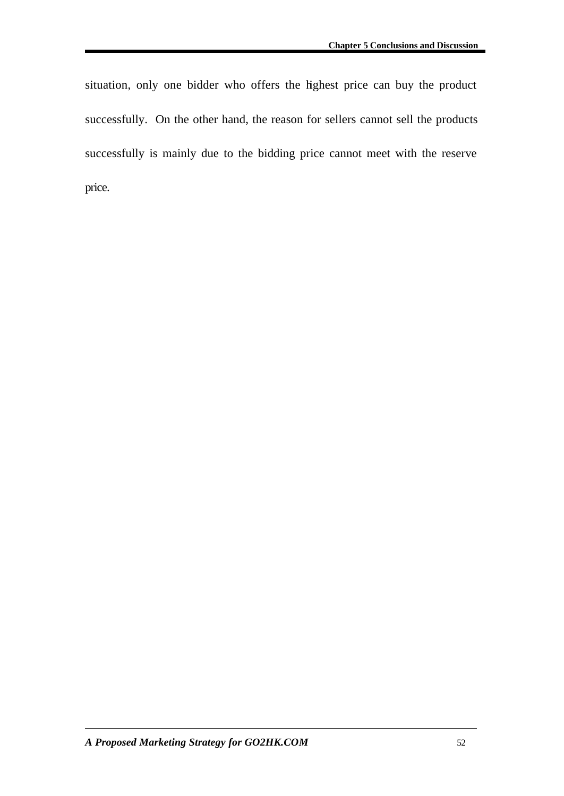situation, only one bidder who offers the highest price can buy the product successfully. On the other hand, the reason for sellers cannot sell the products successfully is mainly due to the bidding price cannot meet with the reserve price.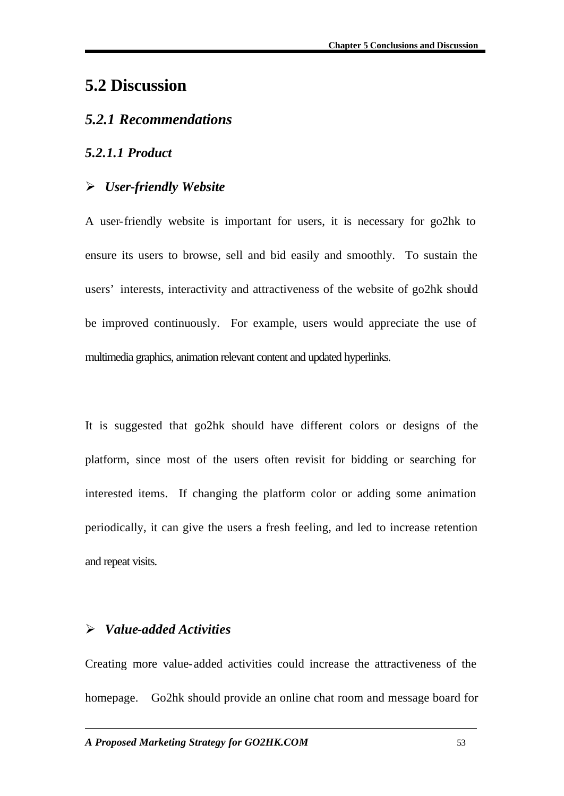# **5.2 Discussion**

## *5.2.1 Recommendations*

### *5.2.1.1 Product*

## ÿ *User-friendly Website*

A user-friendly website is important for users, it is necessary for go2hk to ensure its users to browse, sell and bid easily and smoothly. To sustain the users' interests, interactivity and attractiveness of the website of go2hk should be improved continuously. For example, users would appreciate the use of multimedia graphics, animation relevant content and updated hyperlinks.

It is suggested that go2hk should have different colors or designs of the platform, since most of the users often revisit for bidding or searching for interested items. If changing the platform color or adding some animation periodically, it can give the users a fresh feeling, and led to increase retention and repeat visits.

## ÿ *Value-added Activities*

Creating more value-added activities could increase the attractiveness of the homepage. Go2hk should provide an online chat room and message board for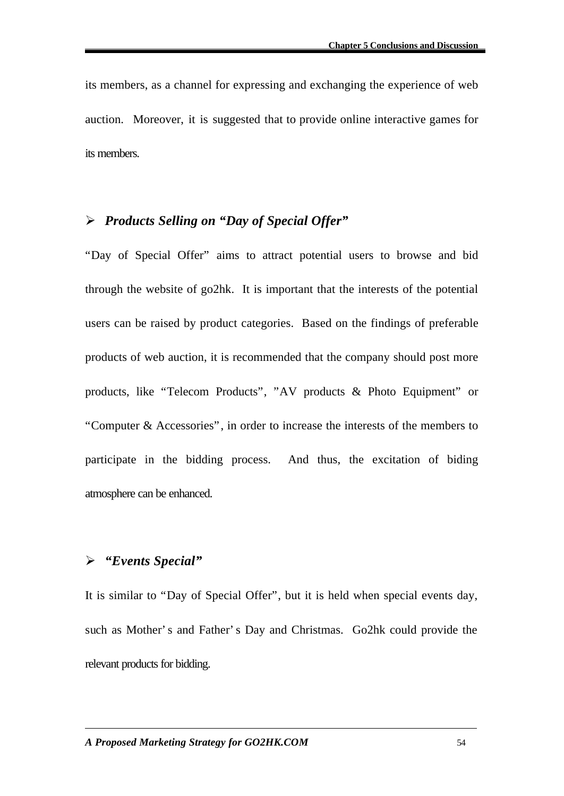its members, as a channel for expressing and exchanging the experience of web auction. Moreover, it is suggested that to provide online interactive games for its members.

### ÿ *Products Selling on "Day of Special Offer"*

"Day of Special Offer" aims to attract potential users to browse and bid through the website of go2hk. It is important that the interests of the potential users can be raised by product categories. Based on the findings of preferable products of web auction, it is recommended that the company should post more products, like "Telecom Products", "AV products & Photo Equipment" or "Computer & Accessories", in order to increase the interests of the members to participate in the bidding process. And thus, the excitation of biding atmosphere can be enhanced.

### ÿ *"Events Special"*

It is similar to "Day of Special Offer", but it is held when special events day, such as Mother's and Father's Day and Christmas. Go2hk could provide the relevant products for bidding.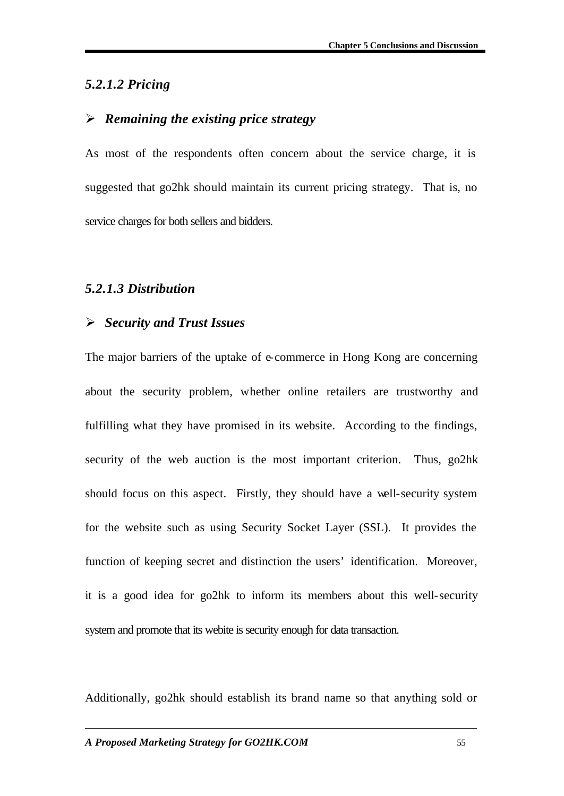### *5.2.1.2 Pricing*

### ÿ *Remaining the existing price strategy*

As most of the respondents often concern about the service charge, it is suggested that go2hk should maintain its current pricing strategy. That is, no service charges for both sellers and bidders.

### *5.2.1.3 Distribution*

### ÿ *Security and Trust Issues*

The major barriers of the uptake of e-commerce in Hong Kong are concerning about the security problem, whether online retailers are trustworthy and fulfilling what they have promised in its website. According to the findings, security of the web auction is the most important criterion. Thus, go2hk should focus on this aspect. Firstly, they should have a well-security system for the website such as using Security Socket Layer (SSL). It provides the function of keeping secret and distinction the users' identification. Moreover, it is a good idea for go2hk to inform its members about this well-security system and promote that its webite is security enough for data transaction.

Additionally, go2hk should establish its brand name so that anything sold or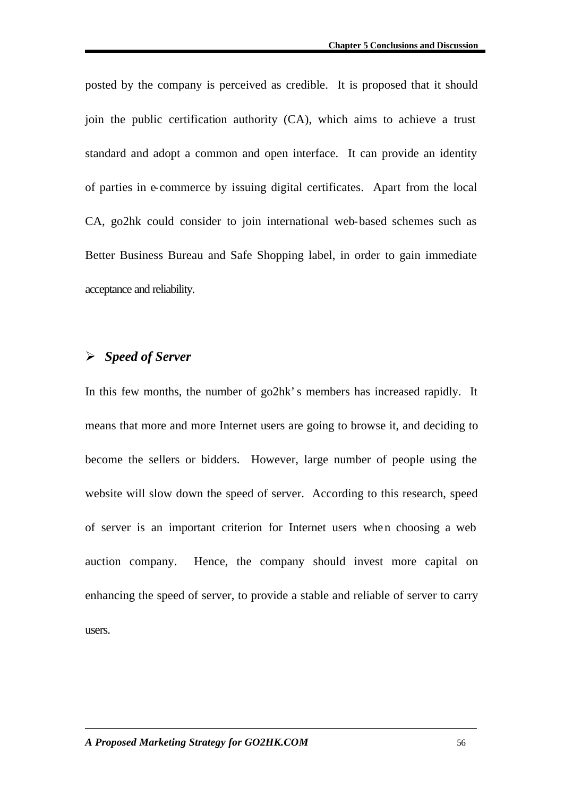posted by the company is perceived as credible. It is proposed that it should join the public certification authority (CA), which aims to achieve a trust standard and adopt a common and open interface. It can provide an identity of parties in e-commerce by issuing digital certificates. Apart from the local CA, go2hk could consider to join international web-based schemes such as Better Business Bureau and Safe Shopping label, in order to gain immediate acceptance and reliability.

### ÿ *Speed of Server*

In this few months, the number of go2hk's members has increased rapidly. It means that more and more Internet users are going to browse it, and deciding to become the sellers or bidders. However, large number of people using the website will slow down the speed of server. According to this research, speed of server is an important criterion for Internet users when choosing a web auction company. Hence, the company should invest more capital on enhancing the speed of server, to provide a stable and reliable of server to carry users.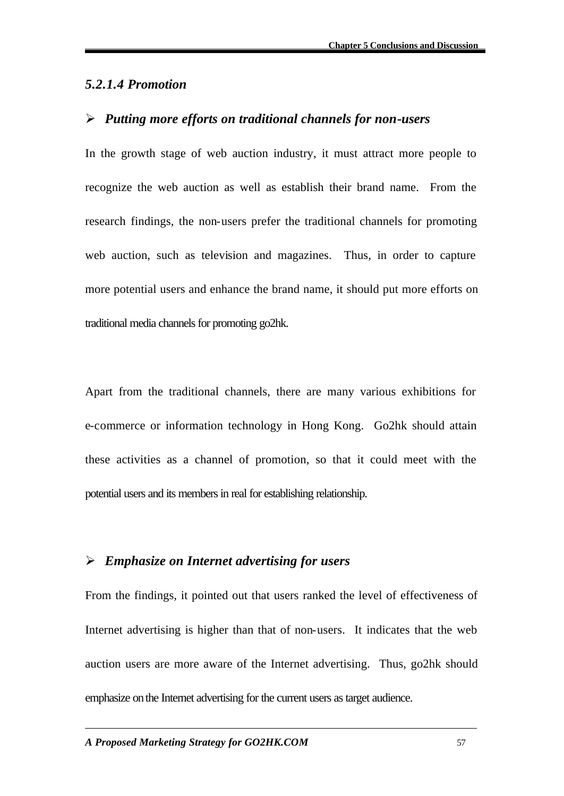### *5.2.1.4 Promotion*

### ÿ *Putting more efforts on traditional channels for non-users*

In the growth stage of web auction industry, it must attract more people to recognize the web auction as well as establish their brand name. From the research findings, the non-users prefer the traditional channels for promoting web auction, such as television and magazines. Thus, in order to capture more potential users and enhance the brand name, it should put more efforts on traditional media channels for promoting go2hk.

Apart from the traditional channels, there are many various exhibitions for e-commerce or information technology in Hong Kong. Go2hk should attain these activities as a channel of promotion, so that it could meet with the potential users and its members in real for establishing relationship.

### ÿ *Emphasize on Internet advertising for users*

From the findings, it pointed out that users ranked the level of effectiveness of Internet advertising is higher than that of non-users. It indicates that the web auction users are more aware of the Internet advertising. Thus, go2hk should emphasize on the Internet advertising for the current users as target audience.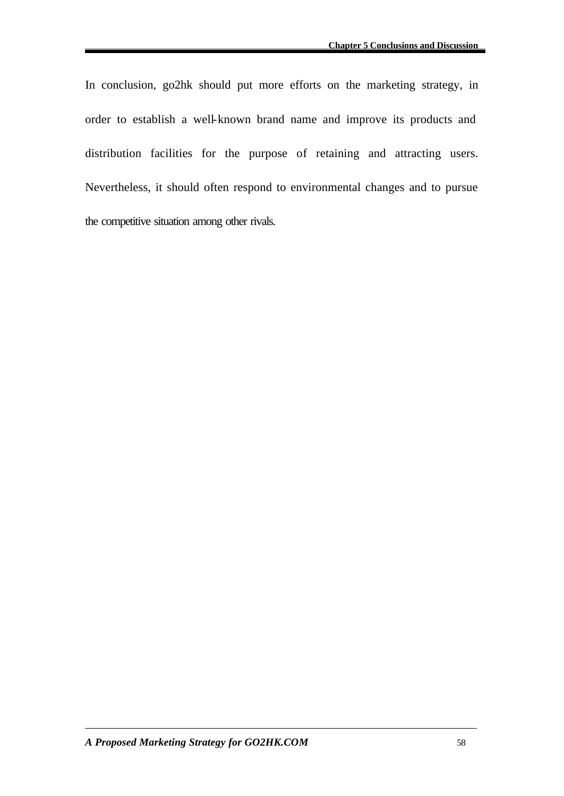In conclusion, go2hk should put more efforts on the marketing strategy, in order to establish a well-known brand name and improve its products and distribution facilities for the purpose of retaining and attracting users. Nevertheless, it should often respond to environmental changes and to pursue the competitive situation among other rivals.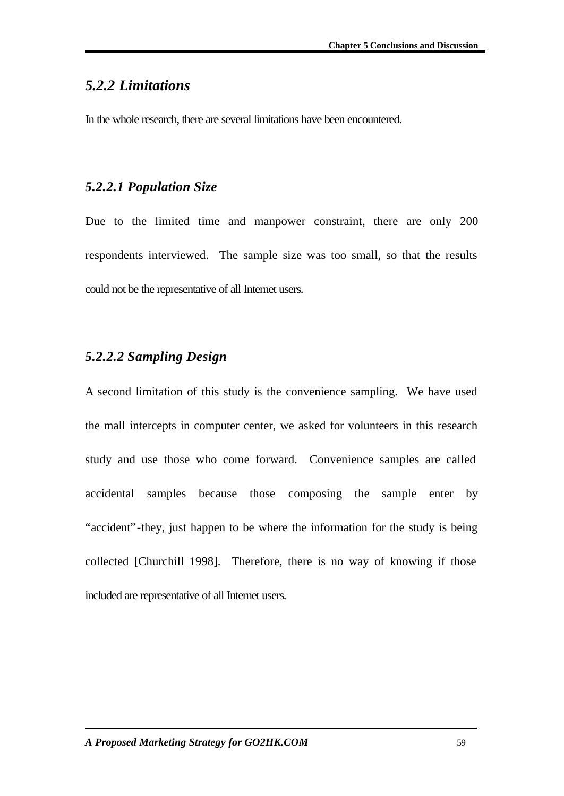# *5.2.2 Limitations*

In the whole research, there are several limitations have been encountered.

## *5.2.2.1 Population Size*

Due to the limited time and manpower constraint, there are only 200 respondents interviewed. The sample size was too small, so that the results could not be the representative of all Internet users.

# *5.2.2.2 Sampling Design*

A second limitation of this study is the convenience sampling. We have used the mall intercepts in computer center, we asked for volunteers in this research study and use those who come forward. Convenience samples are called accidental samples because those composing the sample enter by "accident"-they, just happen to be where the information for the study is being collected [Churchill 1998]. Therefore, there is no way of knowing if those included are representative of all Internet users.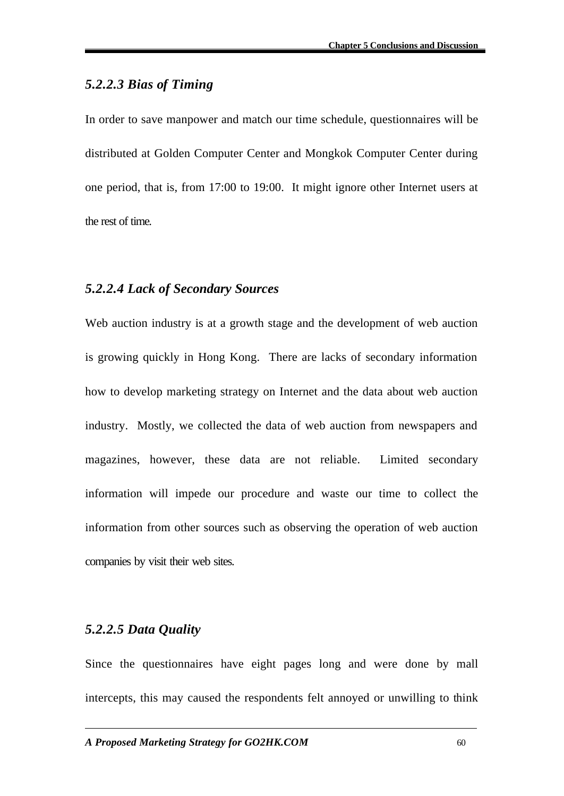## *5.2.2.3 Bias of Timing*

In order to save manpower and match our time schedule, questionnaires will be distributed at Golden Computer Center and Mongkok Computer Center during one period, that is, from 17:00 to 19:00. It might ignore other Internet users at the rest of time.

### *5.2.2.4 Lack of Secondary Sources*

Web auction industry is at a growth stage and the development of web auction is growing quickly in Hong Kong. There are lacks of secondary information how to develop marketing strategy on Internet and the data about web auction industry. Mostly, we collected the data of web auction from newspapers and magazines, however, these data are not reliable. Limited secondary information will impede our procedure and waste our time to collect the information from other sources such as observing the operation of web auction companies by visit their web sites.

### *5.2.2.5 Data Quality*

Since the questionnaires have eight pages long and were done by mall intercepts, this may caused the respondents felt annoyed or unwilling to think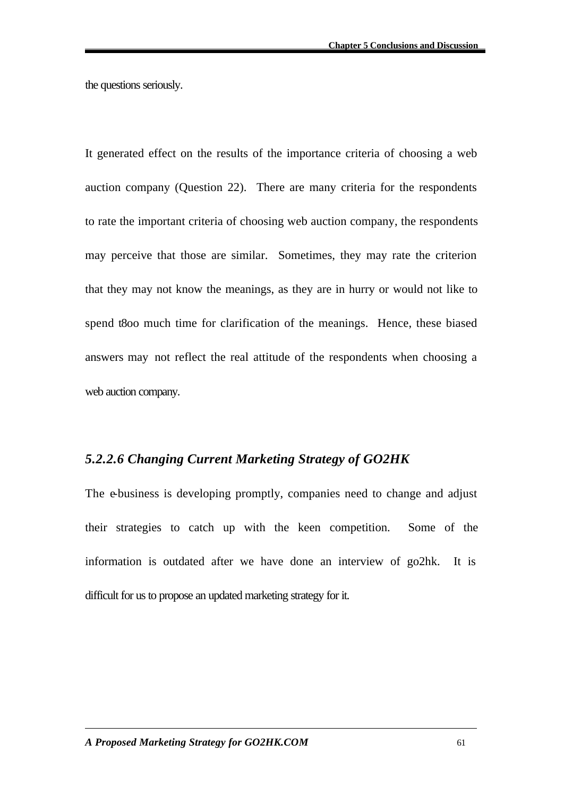the questions seriously.

It generated effect on the results of the importance criteria of choosing a web auction company (Question 22). There are many criteria for the respondents to rate the important criteria of choosing web auction company, the respondents may perceive that those are similar. Sometimes, they may rate the criterion that they may not know the meanings, as they are in hurry or would not like to spend t8oo much time for clarification of the meanings. Hence, these biased answers may not reflect the real attitude of the respondents when choosing a web auction company.

### *5.2.2.6 Changing Current Marketing Strategy of GO2HK*

The e-business is developing promptly, companies need to change and adjust their strategies to catch up with the keen competition. Some of the information is outdated after we have done an interview of go2hk. It is difficult for us to propose an updated marketing strategy for it.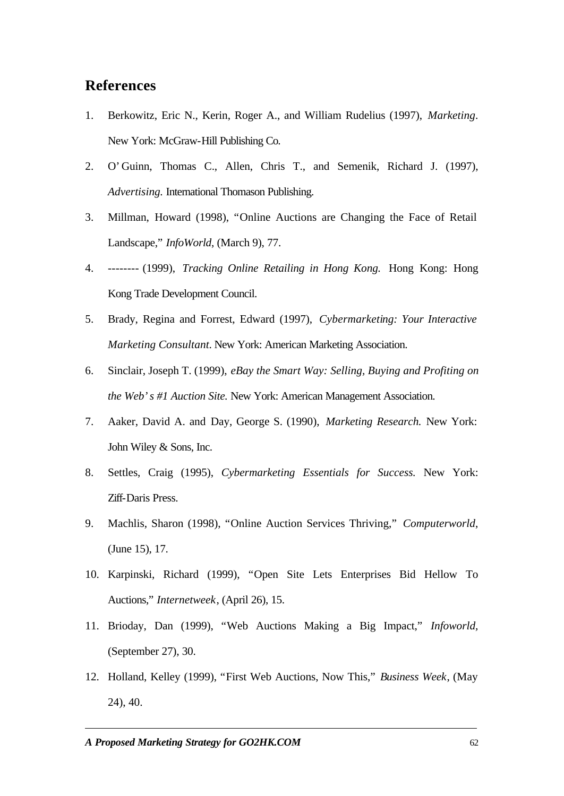## **References**

- 1. Berkowitz, Eric N., Kerin, Roger A., and William Rudelius (1997), *Marketing*. New York: McGraw-Hill Publishing Co.
- 2. O'Guinn, Thomas C., Allen, Chris T., and Semenik, Richard J. (1997), *Advertising.* International Thomason Publishing.
- 3. Millman, Howard (1998), "Online Auctions are Changing the Face of Retail Landscape," *InfoWorld*, (March 9), 77.
- 4. -------- (1999), *Tracking Online Retailing in Hong Kong.* Hong Kong: Hong Kong Trade Development Council.
- 5. Brady, Regina and Forrest, Edward (1997), *Cybermarketing: Your Interactive Marketing Consultant.* New York: American Marketing Association.
- 6. Sinclair, Joseph T. (1999), *eBay the Smart Way: Selling, Buying and Profiting on the Web's #1 Auction Site.* New York: American Management Association.
- 7. Aaker, David A. and Day, George S. (1990), *Marketing Research.* New York: John Wiley & Sons, Inc.
- 8. Settles, Craig (1995), *Cybermarketing Essentials for Success.* New York: Ziff-Daris Press.
- 9. Machlis, Sharon (1998), "Online Auction Services Thriving," *Computerworld*, (June 15), 17.
- 10. Karpinski, Richard (1999), "Open Site Lets Enterprises Bid Hellow To Auctions," *Internetweek*, (April 26), 15.
- 11. Brioday, Dan (1999), "Web Auctions Making a Big Impact," *Infoworld,*  (September 27), 30.
- 12. Holland, Kelley (1999), "First Web Auctions, Now This," *Business Week*, (May 24), 40.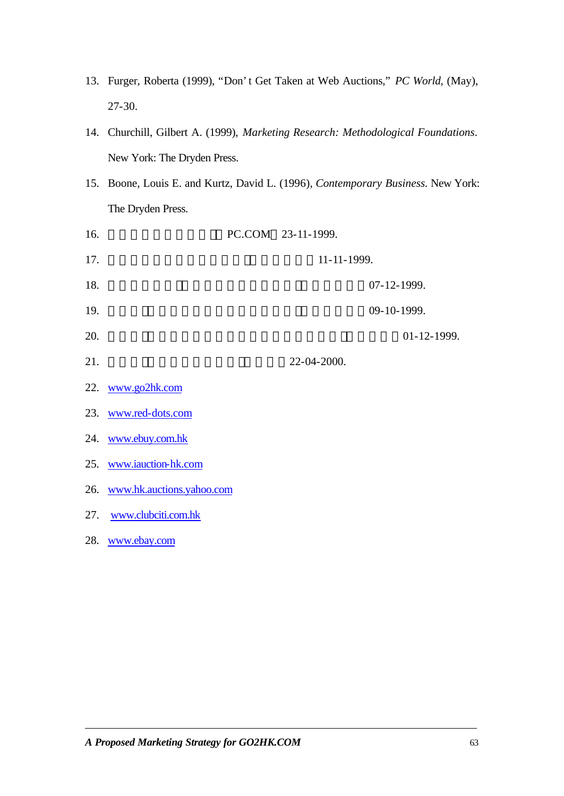- 13. Furger, Roberta (1999), "Don't Get Taken at Web Auctions," *PC World*, (May), 27-30.
- 14. Churchill, Gilbert A. (1999), *Marketing Research: Methodological Foundations*. New York: The Dryden Press.
- 15. Boone, Louis E. and Kurtz, David L. (1996), *Contemporary Business.* New York: The Dryden Press.

| 16. |                               | PC.COM 23-11-1999. |             |             |  |
|-----|-------------------------------|--------------------|-------------|-------------|--|
| 17. |                               | 11-11-1999.        |             |             |  |
| 18. |                               |                    | 07-12-1999. |             |  |
| 19. |                               |                    | 09-10-1999. |             |  |
| 20. |                               |                    |             | 01-12-1999. |  |
| 21. |                               | 22-04-2000.        |             |             |  |
|     | 22. www.go2hk.com             |                    |             |             |  |
|     | 23. www.red-dots.com          |                    |             |             |  |
|     | 24. www.ebuy.com.hk           |                    |             |             |  |
|     | 25. www.iauction-hk.com       |                    |             |             |  |
|     | 26. www.hk.auctions.yahoo.com |                    |             |             |  |
| 27. | www.clubciti.com.hk           |                    |             |             |  |
|     | 28. www.ebay.com              |                    |             |             |  |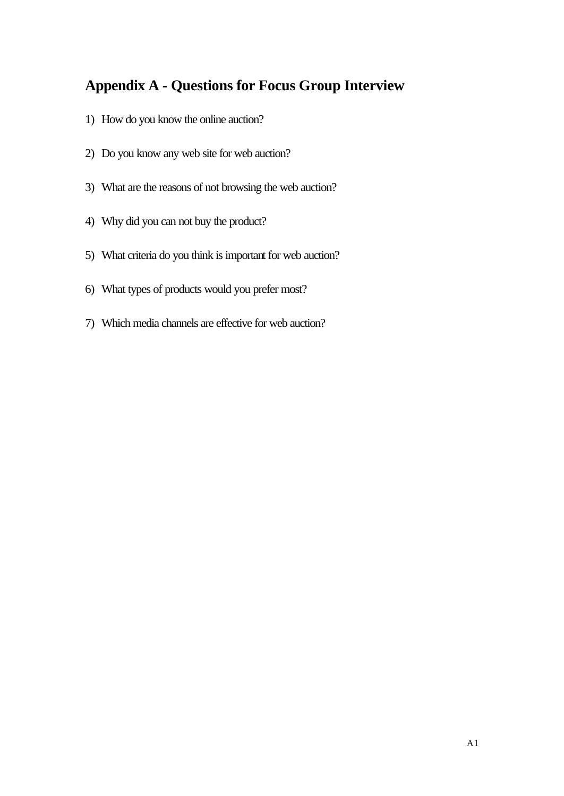## **Appendix A - Questions for Focus Group Interview**

- 1) How do you know the online auction?
- 2) Do you know any web site for web auction?
- 3) What are the reasons of not browsing the web auction?
- 4) Why did you can not buy the product?
- 5) What criteria do you think is important for web auction?
- 6) What types of products would you prefer most?
- 7) Which media channels are effective for web auction?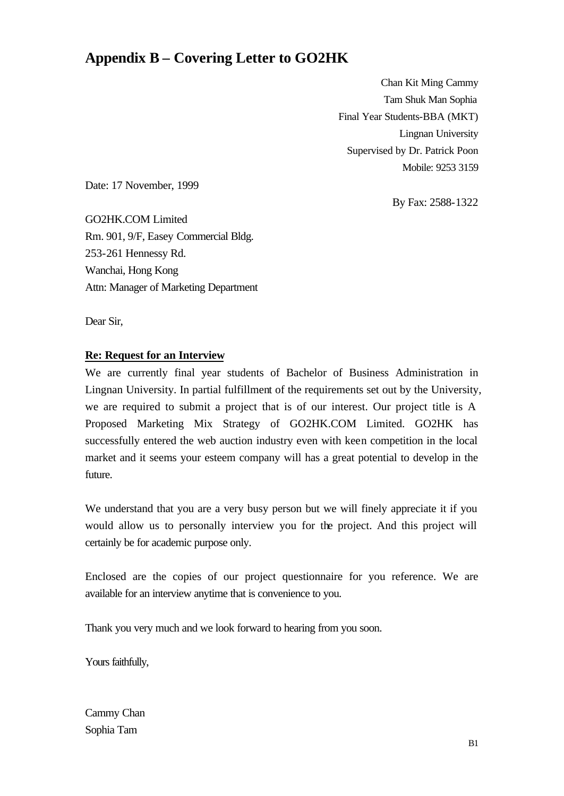## **Appendix B – Covering Letter to GO2HK**

Chan Kit Ming Cammy Tam Shuk Man Sophia Final Year Students-BBA (MKT) Lingnan University Supervised by Dr. Patrick Poon Mobile: 9253 3159

Date: 17 November, 1999

By Fax: 2588-1322

GO2HK.COM Limited Rm. 901, 9/F, Easey Commercial Bldg. 253-261 Hennessy Rd. Wanchai, Hong Kong Attn: Manager of Marketing Department

Dear Sir,

#### **Re: Request for an Interview**

We are currently final year students of Bachelor of Business Administration in Lingnan University. In partial fulfillment of the requirements set out by the University, we are required to submit a project that is of our interest. Our project title is A Proposed Marketing Mix Strategy of GO2HK.COM Limited. GO2HK has successfully entered the web auction industry even with keen competition in the local market and it seems your esteem company will has a great potential to develop in the future.

We understand that you are a very busy person but we will finely appreciate it if you would allow us to personally interview you for the project. And this project will certainly be for academic purpose only.

Enclosed are the copies of our project questionnaire for you reference. We are available for an interview anytime that is convenience to you.

Thank you very much and we look forward to hearing from you soon.

Yours faithfully,

Cammy Chan Sophia Tam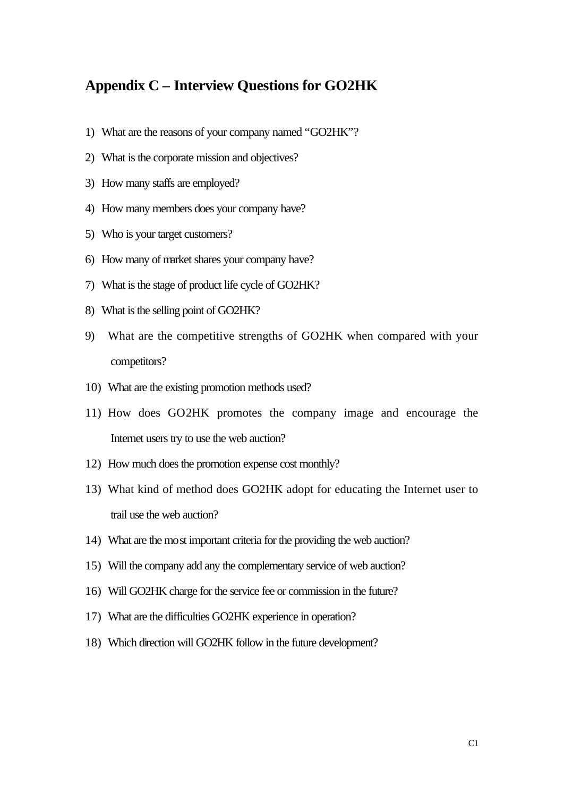## **Appendix C – Interview Questions for GO2HK**

- 1) What are the reasons of your company named "GO2HK"?
- 2) What is the corporate mission and objectives?
- 3) How many staffs are employed?
- 4) How many members does your company have?
- 5) Who is your target customers?
- 6) How many of market shares your company have?
- 7) What is the stage of product life cycle of GO2HK?
- 8) What is the selling point of GO2HK?
- 9) What are the competitive strengths of GO2HK when compared with your competitors?
- 10) What are the existing promotion methods used?
- 11) How does GO2HK promotes the company image and encourage the Internet users try to use the web auction?
- 12) How much does the promotion expense cost monthly?
- 13) What kind of method does GO2HK adopt for educating the Internet user to trail use the web auction?
- 14) What are the most important criteria for the providing the web auction?
- 15) Will the company add any the complementary service of web auction?
- 16) Will GO2HK charge for the service fee or commission in the future?
- 17) What are the difficulties GO2HK experience in operation?
- 18) Which direction will GO2HK follow in the future development?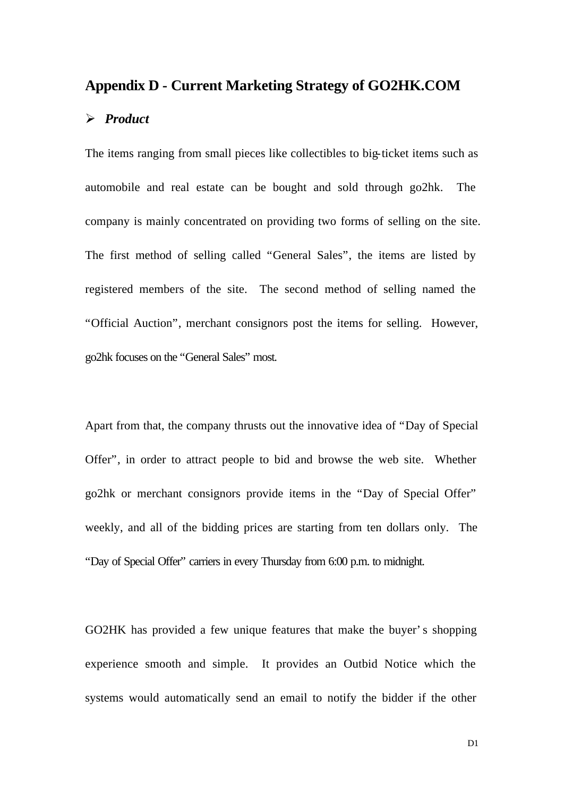### **Appendix D - Current Marketing Strategy of GO2HK.COM**

#### ÿ *Product*

The items ranging from small pieces like collectibles to big-ticket items such as automobile and real estate can be bought and sold through go2hk. The company is mainly concentrated on providing two forms of selling on the site. The first method of selling called "General Sales", the items are listed by registered members of the site. The second method of selling named the "Official Auction", merchant consignors post the items for selling. However, go2hk focuses on the "General Sales" most.

Apart from that, the company thrusts out the innovative idea of "Day of Special Offer", in order to attract people to bid and browse the web site. Whether go2hk or merchant consignors provide items in the "Day of Special Offer" weekly, and all of the bidding prices are starting from ten dollars only. The "Day of Special Offer" carriers in every Thursday from 6:00 p.m. to midnight.

GO2HK has provided a few unique features that make the buyer's shopping experience smooth and simple. It provides an Outbid Notice which the systems would automatically send an email to notify the bidder if the other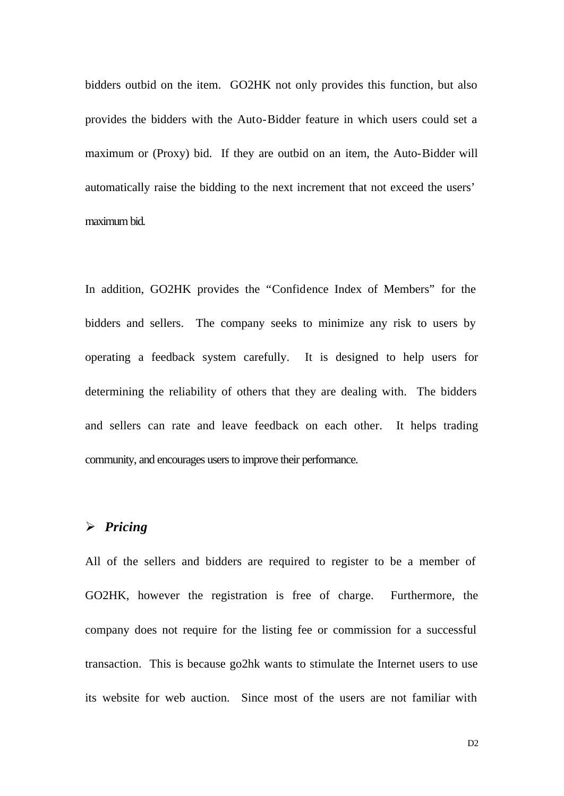bidders outbid on the item. GO2HK not only provides this function, but also provides the bidders with the Auto-Bidder feature in which users could set a maximum or (Proxy) bid. If they are outbid on an item, the Auto-Bidder will automatically raise the bidding to the next increment that not exceed the users' maximum bid.

In addition, GO2HK provides the "Confidence Index of Members" for the bidders and sellers. The company seeks to minimize any risk to users by operating a feedback system carefully. It is designed to help users for determining the reliability of others that they are dealing with. The bidders and sellers can rate and leave feedback on each other. It helps trading community, and encourages users to improve their performance.

#### ÿ *Pricing*

All of the sellers and bidders are required to register to be a member of GO2HK, however the registration is free of charge. Furthermore, the company does not require for the listing fee or commission for a successful transaction. This is because go2hk wants to stimulate the Internet users to use its website for web auction. Since most of the users are not familiar with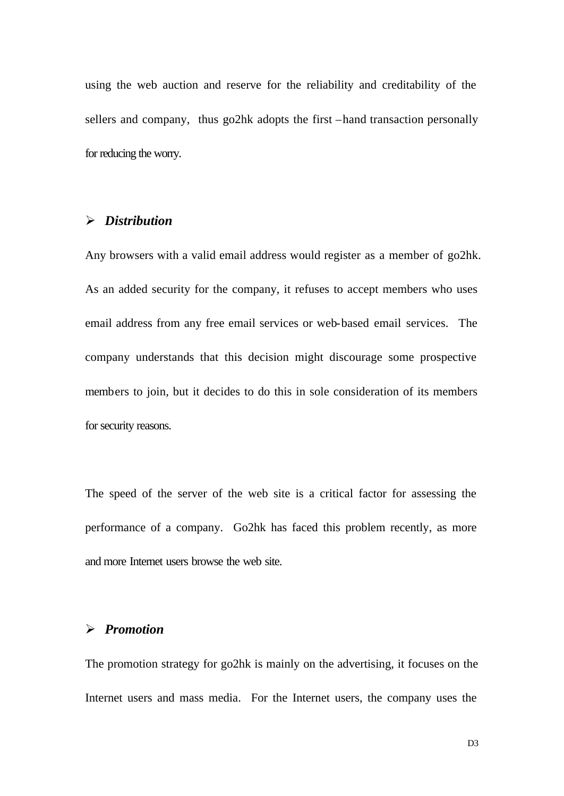using the web auction and reserve for the reliability and creditability of the sellers and company, thus go2hk adopts the first –hand transaction personally for reducing the worry.

### ÿ *Distribution*

Any browsers with a valid email address would register as a member of go2hk. As an added security for the company, it refuses to accept members who uses email address from any free email services or web-based email services. The company understands that this decision might discourage some prospective members to join, but it decides to do this in sole consideration of its members for security reasons.

The speed of the server of the web site is a critical factor for assessing the performance of a company. Go2hk has faced this problem recently, as more and more Internet users browse the web site.

#### ÿ *Promotion*

The promotion strategy for go2hk is mainly on the advertising, it focuses on the Internet users and mass media. For the Internet users, the company uses the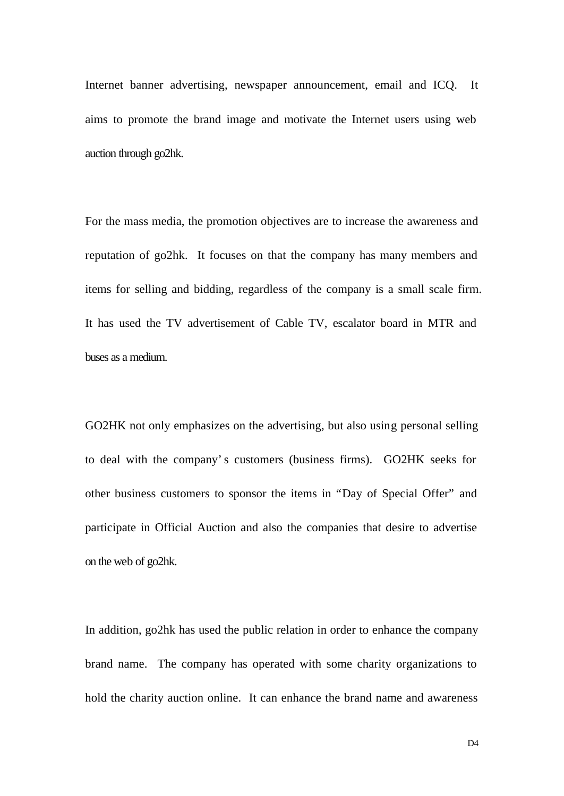Internet banner advertising, newspaper announcement, email and ICQ. It aims to promote the brand image and motivate the Internet users using web auction through go2hk.

For the mass media, the promotion objectives are to increase the awareness and reputation of go2hk. It focuses on that the company has many members and items for selling and bidding, regardless of the company is a small scale firm. It has used the TV advertisement of Cable TV, escalator board in MTR and buses as a medium.

GO2HK not only emphasizes on the advertising, but also using personal selling to deal with the company's customers (business firms). GO2HK seeks for other business customers to sponsor the items in "Day of Special Offer" and participate in Official Auction and also the companies that desire to advertise on the web of go2hk.

In addition, go2hk has used the public relation in order to enhance the company brand name. The company has operated with some charity organizations to hold the charity auction online. It can enhance the brand name and awareness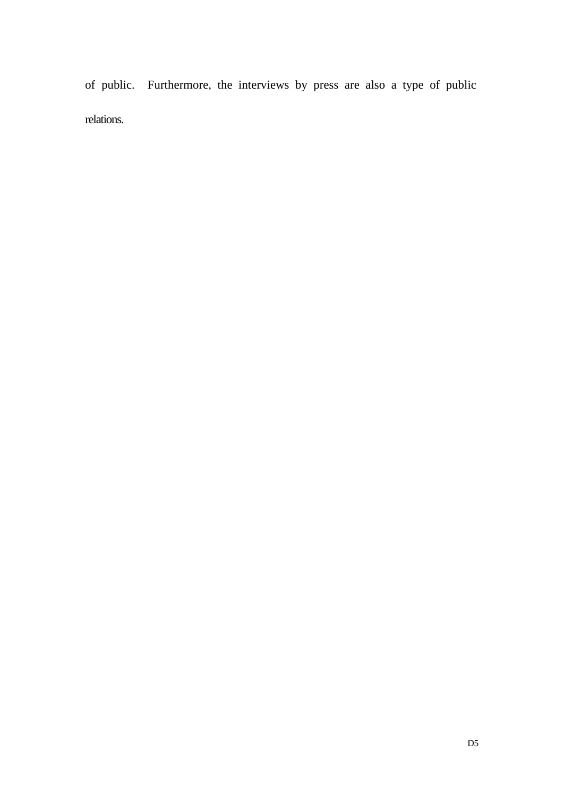of public. Furthermore, the interviews by press are also a type of public relations.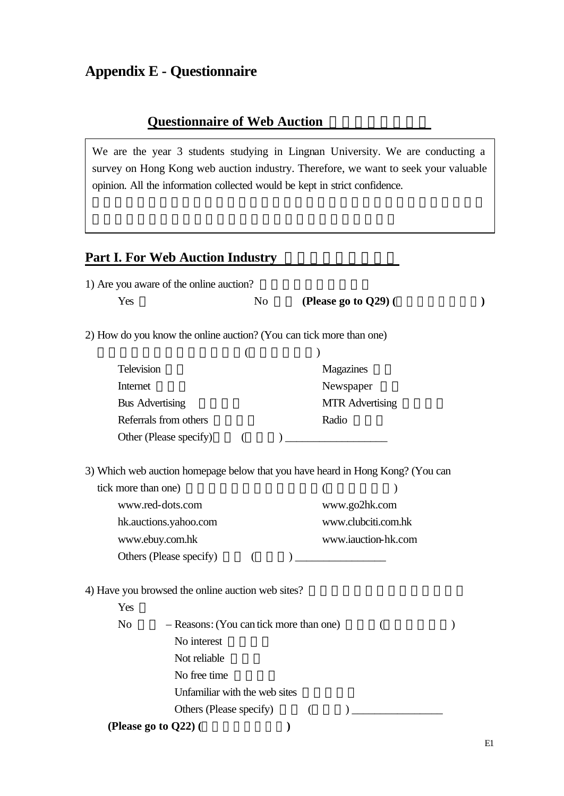# **Appendix E - Questionnaire**

## **Questionnaire of Web Auction**

We are the year 3 students studying in Lingnan University. We are conducting a survey on Hong Kong web auction industry. Therefore, we want to seek your valuable opinion. All the information collected would be kept in strict confidence.

## **Part I. For Web Auction Industry**

|                     | 1) Are you aware of the online auction?                                        |                          |   |                      |                       |               |
|---------------------|--------------------------------------------------------------------------------|--------------------------|---|----------------------|-----------------------|---------------|
| ÿ Yes               |                                                                                | $\ddot{y}$ No            |   | (Please go to Q29) ( |                       | $\mathcal{E}$ |
|                     | 2) How do you know the online auction? (You can tick more than one)            |                          |   |                      |                       |               |
|                     |                                                                                | $\overline{\phantom{a}}$ |   |                      |                       |               |
| ÿ Television        |                                                                                |                          |   | ÿ Magazines          |                       |               |
| ÿ Internet          |                                                                                |                          |   | ÿ Newspaper          |                       |               |
| ÿ Bus Advertising   |                                                                                |                          |   | ÿ MTR Advertising    |                       |               |
|                     | ÿ Referrals from others                                                        |                          |   | ÿ Radio              |                       |               |
|                     | ÿ Other (Please specify)                                                       | $\overline{(}$           |   |                      |                       |               |
|                     |                                                                                |                          |   |                      |                       |               |
|                     | 3) Which web auction homepage below that you have heard in Hong Kong? (You can |                          |   |                      |                       |               |
| tick more than one) |                                                                                |                          |   | (                    | $\lambda$             |               |
|                     | ÿ www.red-dots.com                                                             |                          |   | ÿ www.go2hk.com      |                       |               |
|                     | ÿ hk.auctions.yahoo.com                                                        |                          |   |                      | ÿ www.clubciti.com.hk |               |
| ÿ www.ebuy.com.hk   |                                                                                |                          |   |                      | ÿ www.iauction-hk.com |               |
|                     | $\ddot{y}$ Others (Please specify)                                             | $\left($                 |   |                      |                       |               |
|                     | 4) Have you browsed the online auction web sites?                              |                          |   |                      |                       |               |
| ÿ Yes               |                                                                                |                          |   |                      |                       |               |
| ÿ No                | - Reasons: (You can tick more than one)                                        |                          |   |                      |                       |               |
|                     | ÿ No interest                                                                  |                          |   |                      |                       |               |
|                     | ÿ Not reliable                                                                 |                          |   |                      |                       |               |
|                     | ÿ No free time                                                                 |                          |   |                      |                       |               |
|                     | ÿ Unfamiliar with the web sites                                                |                          |   |                      |                       |               |
|                     | $\ddot{y}$ Others (Please specify)                                             |                          |   |                      |                       |               |
|                     | (Please go to Q22) (                                                           |                          | ⟩ |                      |                       |               |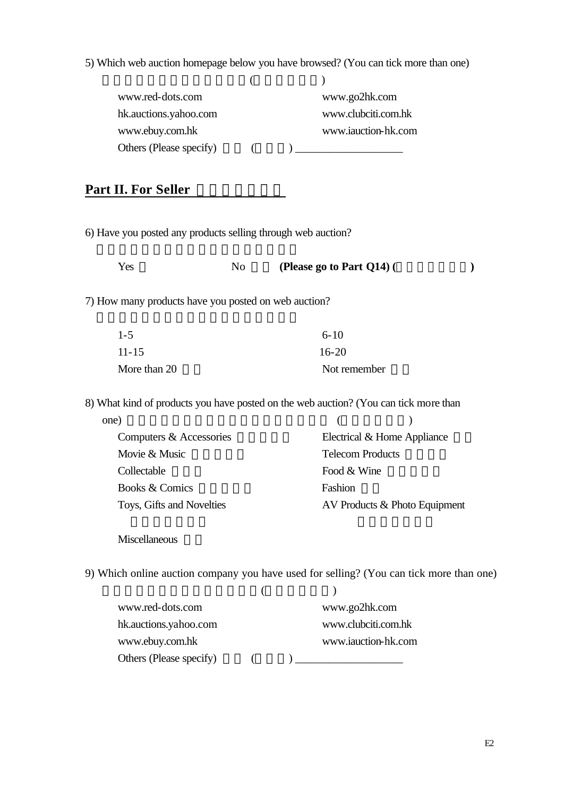5) Which web auction homepage below you have browsed? (You can tick more than one)

| ÿ www.red-dots.com        | ÿ www.go2hk.com       |
|---------------------------|-----------------------|
| ÿ hk.auctions.yahoo.com   | ÿ www.clubciti.com.hk |
| ÿ www.ebuy.com.hk         | ÿ www.iauction-hk.com |
| y Others (Please specify) |                       |

## **Part II. For Seller**

6) Have you posted any products selling through web auction?

| ÿ Yes | ÿ No | (Please go to Part $Q14$ ) ( |  |
|-------|------|------------------------------|--|
|-------|------|------------------------------|--|

7) How many products have you posted on web auction?

| $\ddot{V}$ 1-5                   | $\ddot{v}$ 6-10                  |
|----------------------------------|----------------------------------|
| $\ddot{V}$ 11-15                 | $\ddot{V}$ 16-20                 |
| $\ddot{\mathsf{y}}$ More than 20 | $\ddot{\mathsf{y}}$ Not remember |

8) What kind of products you have posted on the web auction? (You can tick more than

| one)                                          |                                                 |
|-----------------------------------------------|-------------------------------------------------|
| $\ddot{\gamma}$ Computers & Accessories       | $\ddot{\mathsf{y}}$ Electrical & Home Appliance |
| $\ddot{\mathsf{y}}$ Movie & Music             | ÿ Telecom Products                              |
| ÿ Collectable                                 | $\ddot{\mathsf{y}}$ Food & Wine                 |
| $\ddot{\mathsf{y}}$ Books & Comics            | ÿ Fashion                                       |
| $\ddot{\mathsf{y}}$ Toys, Gifts and Novelties | $\ddot{y}$ AV Products & Photo Equipment        |

 $\ddot{y}$  Miscellaneous

9) Which online auction company you have used for selling? (You can tick more than one)

| ÿ www.red-dots.com                          | ÿ www.go2hk.com       |
|---------------------------------------------|-----------------------|
| y hk.auctions.yahoo.com                     | ÿ www.clubciti.com.hk |
| ÿ www.ebuy.com.hk                           | ÿ www.iauction-hk.com |
| $\ddot{\mathsf{y}}$ Others (Please specify) |                       |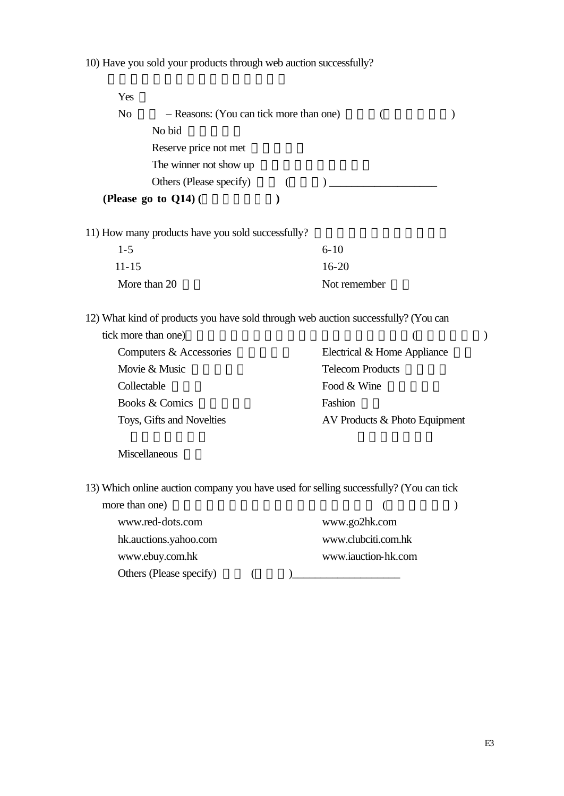10) Have you sold your products through web auction successfully?

| ÿ Yes                   |                                                                                    |          |                         |  |
|-------------------------|------------------------------------------------------------------------------------|----------|-------------------------|--|
| ÿ No                    | - Reasons: (You can tick more than one)                                            |          |                         |  |
|                         | ÿ No bid                                                                           |          |                         |  |
|                         | y Reserve price not met                                                            |          |                         |  |
|                         | $\ddot{y}$ The winner not show up                                                  |          |                         |  |
|                         | $\ddot{y}$ Others (Please specify)                                                 | $\left($ |                         |  |
|                         | (Please go to $Q14$ ) (                                                            |          |                         |  |
|                         | 11) How many products have you sold successfully?                                  |          |                         |  |
| $\ddot{y}$ 1-5          |                                                                                    |          | $\ddot{y}$ 6-10         |  |
| $\ddot{y}$ 11-15        |                                                                                    |          | $\ddot{v}$ 16-20        |  |
| $\ddot{y}$ More than 20 |                                                                                    |          | $\ddot{y}$ Not remember |  |
|                         | 12) What kind of products you have sold through web auction successfully? (You can |          |                         |  |

| tick more than one)                           |                                                 |
|-----------------------------------------------|-------------------------------------------------|
| $\ddot{\mathsf{y}}$ Computers & Accessories   | $\ddot{\mathsf{y}}$ Electrical & Home Appliance |
| $\ddot{\mathsf{y}}$ Movie & Music             | ÿ Telecom Products                              |
| ÿ Collectable                                 | $\ddot{\mathsf{y}}$ Food & Wine                 |
| $\ddot{\mathsf{y}}$ Books & Comics            | ÿ Fashion                                       |
| $\ddot{\mathsf{y}}$ Toys, Gifts and Novelties | $\ddot{y}$ AV Products & Photo Equipment        |

### $\ddot{y}$  Miscellaneous

13) Which online auction company you have used for selling successfully? (You can tick

| more than one)                              |                                |  |
|---------------------------------------------|--------------------------------|--|
| ÿ www.red-dots.com                          | ÿ www.go2hk.com                |  |
| y hk.auctions.yahoo.com                     | ÿ www.clubciti.com.hk          |  |
| ÿ www.ebuy.com.hk                           | $\ddot{y}$ www.iauction-hk.com |  |
| $\ddot{\mathsf{y}}$ Others (Please specify) |                                |  |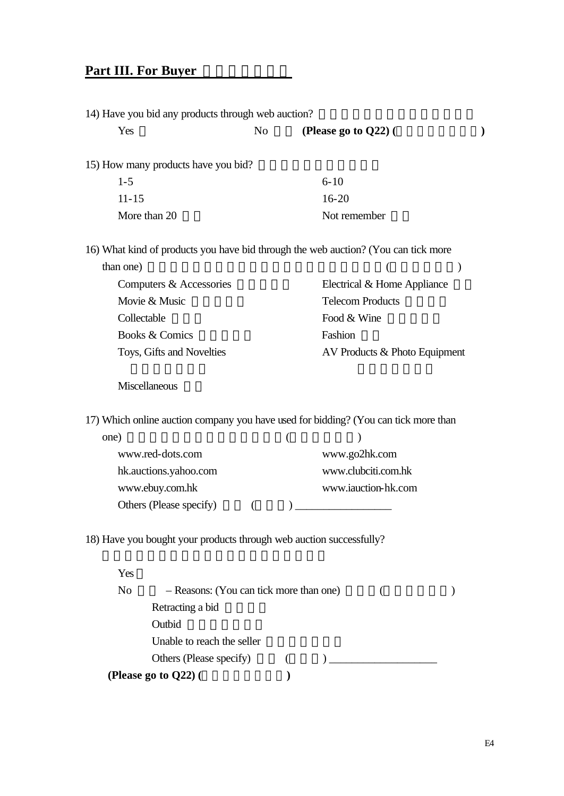# **Part III. For Buyer EXECUTE:**

| 14) Have you bid any products through web auction?                                  |          |   |                                                   |  |
|-------------------------------------------------------------------------------------|----------|---|---------------------------------------------------|--|
| ÿ Yes                                                                               | ÿ No     |   | (Please go to $Q22$ ) (                           |  |
| 15) How many products have you bid?                                                 |          |   |                                                   |  |
| $\ddot{y}$ 1-5                                                                      |          |   | $\ddot{y}$ 6-10                                   |  |
| $\ddot{y}$ 11-15                                                                    |          |   | $\ddot{y}$ 16-20                                  |  |
| $\ddot{y}$ More than 20                                                             |          |   | ÿ Not remember                                    |  |
| 16) What kind of products you have bid through the web auction? (You can tick more  |          |   |                                                   |  |
| than one)                                                                           |          |   | (                                                 |  |
| $\ddot{y}$ Computers & Accessories                                                  |          |   | $\ddot{y}$ Electrical & Home Appliance            |  |
| ÿ Movie & Music                                                                     |          |   | ÿ Telecom Products                                |  |
| ÿ Collectable                                                                       |          |   | $\ddot{y}$ Food & Wine                            |  |
| ÿ Books & Comics                                                                    |          |   | ÿ Fashion                                         |  |
| ÿ Toys, Gifts and Novelties                                                         |          |   | $\ddot{\mathsf{y}}$ AV Products & Photo Equipment |  |
| ÿ Miscellaneous                                                                     |          |   |                                                   |  |
| 17) Which online auction company you have used for bidding? (You can tick more than |          |   |                                                   |  |
| one)                                                                                |          | ( |                                                   |  |
| ÿ www.red-dots.com                                                                  |          |   | ÿ www.go2hk.com                                   |  |
| ÿ hk.auctions.yahoo.com                                                             |          |   | ÿ www.clubciti.com.hk                             |  |
| ÿ www.ebuy.com.hk                                                                   |          |   | ÿ www.iauction-hk.com                             |  |
| ÿ Others (Please specify)                                                           | $\left($ |   |                                                   |  |
| 18) Have you bought your products through web auction successfully?                 |          |   |                                                   |  |
| ÿ Yes                                                                               |          |   |                                                   |  |
| ÿ No<br>- Reasons: (You can tick more than one)                                     |          |   | $\overline{ }$                                    |  |
| ÿ Retracting a bid                                                                  |          |   |                                                   |  |
| ÿ Outbid                                                                            |          |   |                                                   |  |
| ÿ Unable to reach the seller                                                        |          |   |                                                   |  |
| y Others (Please specify)                                                           |          | € |                                                   |  |
| (Please go to Q22) (                                                                |          |   |                                                   |  |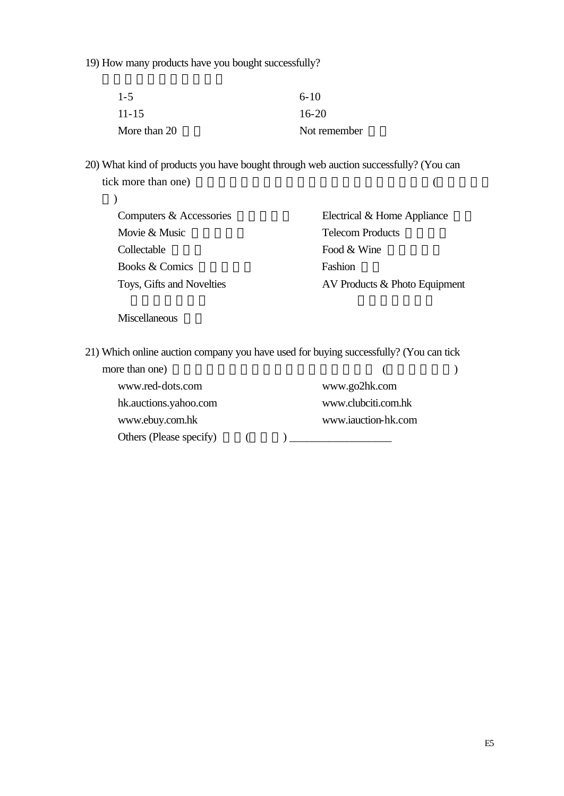19) How many products have you bought successfully?

| $\ddot{V}$ 1-5                   | $\ddot{v}$ 6-10                  |
|----------------------------------|----------------------------------|
| $\ddot{V}$ 11-15                 | $\ddot{V}$ 16-20                 |
| $\ddot{\mathsf{y}}$ More than 20 | $\ddot{\mathsf{y}}$ Not remember |

20) What kind of products you have bought through web auction successfully? (You can tick more than one)  $($ 

| $\ddot{\mathsf{y}}$ Computers & Accessories   | $\ddot{\mathsf{y}}$ Electrical & Home Appliance |
|-----------------------------------------------|-------------------------------------------------|
| $\ddot{\mathsf{y}}$ Movie & Music             | ÿ Telecom Products                              |
| ÿ Collectable                                 | $\ddot{\mathsf{y}}$ Food & Wine                 |
| $\ddot{\mathsf{y}}$ Books & Comics            | ÿ Fashion                                       |
| $\ddot{\mathsf{y}}$ Toys, Gifts and Novelties | $\ddot{y}$ AV Products & Photo Equipment        |

 $\ddot{y}$  Miscellaneous

21) Which online auction company you have used for buying successfully? (You can tick

| more than one)                              |  |                       |  |
|---------------------------------------------|--|-----------------------|--|
| ÿ www.red-dots.com                          |  | ÿ www.go2hk.com       |  |
| y hk.auctions.yahoo.com                     |  | ÿ www.clubciti.com.hk |  |
| ÿ www.ebuy.com.hk                           |  | ÿ www.iauction-hk.com |  |
| $\ddot{\mathsf{y}}$ Others (Please specify) |  |                       |  |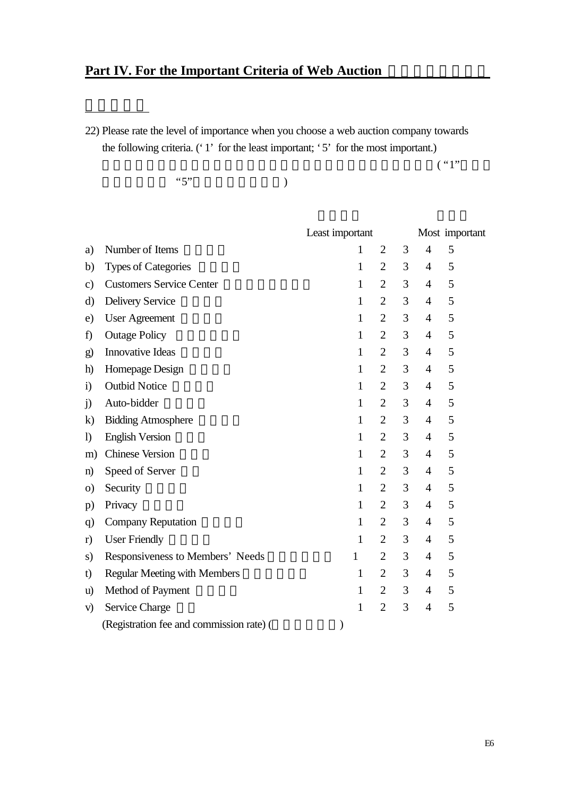# **Part IV. For the Important Criteria of Web Auction**

22) Please rate the level of importance when you choose a web auction company towards the following criteria. ('1' for the least important; '5' for the most important.)

 $( "1" )$ 

 $"5"$  (

|               |                                          | Least important |                |   |                | Most important |
|---------------|------------------------------------------|-----------------|----------------|---|----------------|----------------|
| a)            | Number of Items                          | 1               | $\overline{2}$ | 3 | $\overline{4}$ | 5              |
| b)            | <b>Types of Categories</b>               | 1               | $\overline{2}$ | 3 | $\overline{4}$ | 5              |
| $\mathbf{c})$ | <b>Customers Service Center</b>          | $\mathbf{1}$    | $\overline{2}$ | 3 | $\overline{4}$ | 5              |
| d)            | <b>Delivery Service</b>                  | 1               | $\overline{2}$ | 3 | $\overline{4}$ | 5              |
| e)            | <b>User Agreement</b>                    | $\mathbf{1}$    | $\overline{2}$ | 3 | $\overline{4}$ | 5              |
| f)            | <b>Outage Policy</b>                     | $\mathbf{1}$    | $\overline{2}$ | 3 | $\overline{4}$ | 5              |
| $\bf g)$      | Innovative Ideas                         | $\mathbf{1}$    | $\overline{2}$ | 3 | $\overline{4}$ | 5              |
| h)            | Homepage Design                          | $\mathbf{1}$    | $\overline{2}$ | 3 | $\overline{4}$ | 5              |
| $\mathbf{i}$  | <b>Outbid Notice</b>                     | $\mathbf{1}$    | $\overline{2}$ | 3 | 4              | 5              |
| j)            | Auto-bidder                              | $\mathbf{1}$    | $\overline{2}$ | 3 | $\overline{4}$ | 5              |
| $\bf k$       | <b>Bidding Atmosphere</b>                | 1               | $\overline{2}$ | 3 | $\overline{4}$ | 5              |
| $\mathbf{I}$  | <b>English Version</b>                   | $\mathbf{1}$    | $\overline{2}$ | 3 | $\overline{4}$ | 5              |
| m)            | <b>Chinese Version</b>                   | $\mathbf{1}$    | $\overline{2}$ | 3 | $\overline{4}$ | 5              |
| $\mathbf{n}$  | Speed of Server                          | $\mathbf{1}$    | $\overline{2}$ | 3 | $\overline{4}$ | 5              |
| $\circ$ )     | Security                                 | $\mathbf{1}$    | $\overline{2}$ | 3 | $\overline{4}$ | 5              |
| p)            | Privacy                                  | $\mathbf{1}$    | $\overline{2}$ | 3 | 4              | 5              |
| q             | <b>Company Reputation</b>                | $\mathbf{1}$    | $\overline{2}$ | 3 | $\overline{4}$ | 5              |
| r)            | <b>User Friendly</b>                     | 1               | $\overline{2}$ | 3 | 4              | 5              |
| s)            | Responsiveness to Members' Needs         | $\mathbf{1}$    | $\overline{2}$ | 3 | $\overline{4}$ | 5              |
| t)            | <b>Regular Meeting with Members</b>      | $\mathbf{1}$    | $\overline{2}$ | 3 | $\overline{4}$ | 5              |
| u)            | Method of Payment                        | $\mathbf{1}$    | $\overline{2}$ | 3 | $\overline{4}$ | 5              |
| V)            | Service Charge                           | 1               | $\overline{2}$ | 3 | 4              | 5              |
|               | (Registration fee and commission rate) ( | ⟩               |                |   |                |                |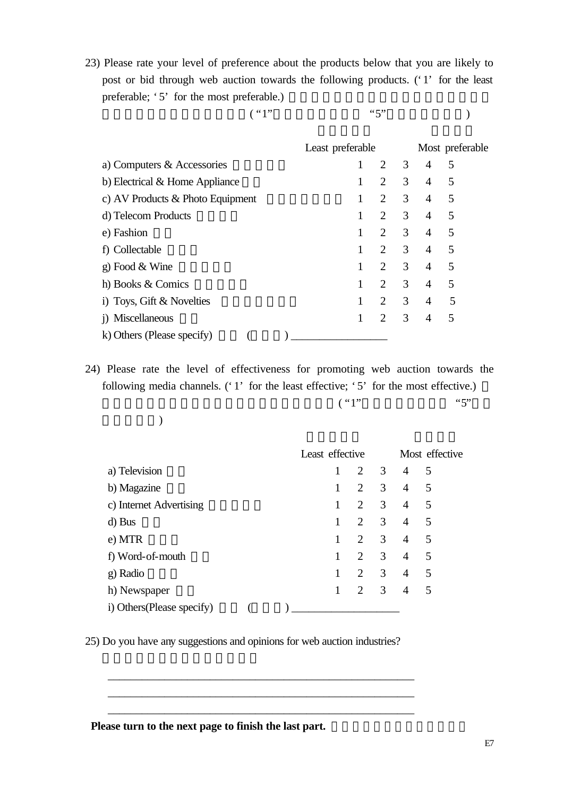23) Please rate your level of preference about the products below that you are likely to post or bid through web auction towards the following products. ('1' for the least preferable; '5' for the most preferable.)

估你對下列貨品的興趣程度。( "1"代表最不感興趣, "5"代表最感興趣。)

|                                    | Least preferable |                                  |                | Most preferable |
|------------------------------------|------------------|----------------------------------|----------------|-----------------|
| a) Computers & Accessories         |                  | 2<br>3                           | 4              | 5               |
| b) Electrical & Home Appliance     |                  | 3<br>2                           | 4              | 5               |
| c) AV Products $&$ Photo Equipment | 1                | 3<br>2                           | $\overline{4}$ | 5               |
| d) Telecom Products                | 1                | 3<br>2                           | $\overline{4}$ | 5               |
| e) Fashion                         |                  | 3<br>$\mathcal{D}_{\mathcal{L}}$ | $\overline{4}$ | 5               |
| f) Collectable                     |                  | $\mathcal{D}_{\mathcal{L}}$<br>3 | $\overline{4}$ | 5               |
| g) Food $&$ Wine                   |                  | $\overline{2}$<br>3              | 4              | 5               |
| h) Books & Comics                  |                  | 3<br>$\overline{2}$              | 4              | 5               |
| i) Toys, Gift $&$ Novelties        |                  | 3<br>2                           | 4              | 5               |
| i) Miscellaneous                   |                  | $\mathcal{D}_{\mathcal{L}}$<br>3 | 4              | 5               |
| k) Others (Please specify)         |                  |                                  |                |                 |

24) Please rate the level of effectiveness for promoting web auction towards the following media channels. ('1' for the least effective; '5' for the most effective.)

 $( "1"$ 

|  |  | $\mathcal{L}$ |
|--|--|---------------|

|                            |  | Least effective |   |                |                                  |   | Most effective |
|----------------------------|--|-----------------|---|----------------|----------------------------------|---|----------------|
| a) Television              |  |                 |   | $\overline{2}$ | $\overline{3}$<br>$\overline{4}$ | 5 |                |
| b) Magazine                |  | 1               | 2 | 3              | $\overline{4}$                   | 5 |                |
| c) Internet Advertising    |  | 1               |   | 3<br>2         | 4                                | 5 |                |
| d) Bus                     |  |                 | 2 | 3              | 4                                | 5 |                |
| e) MTR                     |  | 1               | 2 | 3              | $\overline{4}$                   | 5 |                |
| f) Word-of-mouth           |  |                 | 2 | 3              | 4                                | 5 |                |
| g) Radio                   |  |                 | 2 | 3              | 4                                | 5 |                |
| h) Newspaper               |  | 1               | 2 | 3              | 4                                | 5 |                |
| i) Others (Please specify) |  |                 |   |                |                                  |   |                |

25) Do you have any suggestions and opinions for web auction industries?

\_\_\_\_\_\_\_\_\_\_\_\_\_\_\_\_\_\_\_\_\_\_\_\_\_\_\_\_\_\_\_\_\_\_\_\_\_\_\_\_\_\_\_\_\_\_\_\_\_\_\_\_\_\_ \_\_\_\_\_\_\_\_\_\_\_\_\_\_\_\_\_\_\_\_\_\_\_\_\_\_\_\_\_\_\_\_\_\_\_\_\_\_\_\_\_\_\_\_\_\_\_\_\_\_\_\_\_\_ \_\_\_\_\_\_\_\_\_\_\_\_\_\_\_\_\_\_\_\_\_\_\_\_\_\_\_\_\_\_\_\_\_\_\_\_\_\_\_\_\_\_\_\_\_\_\_\_\_\_\_\_\_\_

Please turn to the next page to finish the last part.